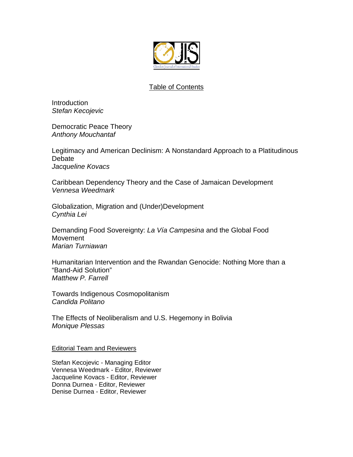

## Table of Contents

Introduction *Stefan Kecojevic*

Democratic Peace Theory *Anthony Mouchantaf*

Legitimacy and American Declinism: A Nonstandard Approach to a Platitudinous **Debate** *Jacqueline Kovacs*

Caribbean Dependency Theory and the Case of Jamaican Development *Vennesa Weedmark*

Globalization, Migration and (Under)Development *Cynthia Lei*

Demanding Food Sovereignty: *La Vía Campesina* and the Global Food Movement *Marian Turniawan*

Humanitarian Intervention and the Rwandan Genocide: Nothing More than a "Band-Aid Solution" *Matthew P. Farrell*

Towards Indigenous Cosmopolitanism *Candida Politano*

The Effects of Neoliberalism and U.S. Hegemony in Bolivia *Monique Plessas*

Editorial Team and Reviewers

Stefan Kecojevic - Managing Editor Vennesa Weedmark - Editor, Reviewer Jacqueline Kovacs - Editor, Reviewer Donna Durnea - Editor, Reviewer Denise Durnea - Editor, Reviewer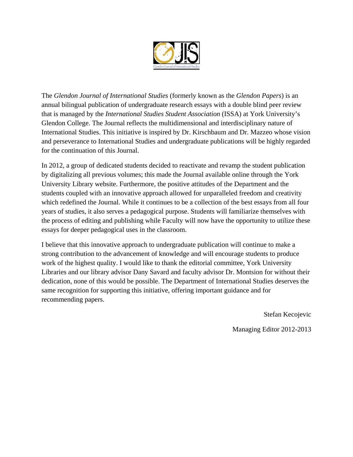

The *Glendon Journal of International Studies* (formerly known as the *Glendon Papers*) is an annual bilingual publication of undergraduate research essays with a double blind peer review that is managed by the *International Studies Student Association* (ISSA) at York University's Glendon College. The Journal reflects the multidimensional and interdisciplinary nature of International Studies. This initiative is inspired by Dr. Kirschbaum and Dr. Mazzeo whose vision and perseverance to International Studies and undergraduate publications will be highly regarded for the continuation of this Journal.

In 2012, a group of dedicated students decided to reactivate and revamp the student publication by digitalizing all previous volumes; this made the Journal available online through the York University Library website. Furthermore, the positive attitudes of the Department and the students coupled with an innovative approach allowed for unparalleled freedom and creativity which redefined the Journal. While it continues to be a collection of the best essays from all four years of studies, it also serves a pedagogical purpose. Students will familiarize themselves with the process of editing and publishing while Faculty will now have the opportunity to utilize these essays for deeper pedagogical uses in the classroom.

I believe that this innovative approach to undergraduate publication will continue to make a strong contribution to the advancement of knowledge and will encourage students to produce work of the highest quality. I would like to thank the editorial committee, York University Libraries and our library advisor Dany Savard and faculty advisor Dr. Montsion for without their dedication, none of this would be possible. The Department of International Studies deserves the same recognition for supporting this initiative, offering important guidance and for recommending papers.

Stefan Kecojevic

Managing Editor 2012-2013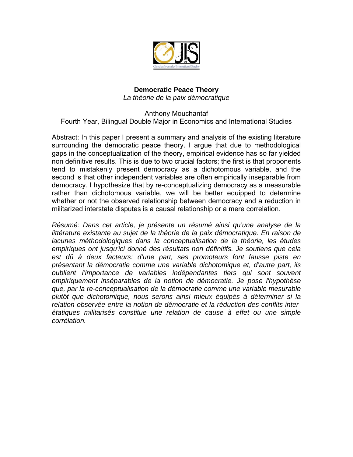

## **Democratic Peace Theory**  *La théorie de la paix démocratique*

## Anthony Mouchantaf Fourth Year, Bilingual Double Major in Economics and International Studies

Abstract: In this paper I present a summary and analysis of the existing literature surrounding the democratic peace theory. I argue that due to methodological gaps in the conceptualization of the theory, empirical evidence has so far yielded non definitive results. This is due to two crucial factors; the first is that proponents tend to mistakenly present democracy as a dichotomous variable, and the second is that other independent variables are often empirically inseparable from democracy. I hypothesize that by re-conceptualizing democracy as a measurable rather than dichotomous variable, we will be better equipped to determine whether or not the observed relationship between democracy and a reduction in militarized interstate disputes is a causal relationship or a mere correlation.

*Résumé: Dans cet article, je présente un résumé ainsi qu'une analyse de la littérature existante au sujet de la théorie de la paix démocratique. En raison de lacunes méthodologiques dans la conceptualisation de la théorie, les études empiriques ont jusqu'ici donné des résultats non définitifs. Je soutiens que cela est dû à deux facteurs: d'une part, ses promoteurs font fausse piste en présentant la démocratie comme une variable dichotomique et, d'autre part, ils oublient l'importance de variables indépendantes tiers qui sont souvent empiriquement inséparables de la notion de démocratie. Je pose l'hypothèse que, par la re-conceptualisation de la démocratie comme une variable mesurable plutôt que dichotomique, nous serons ainsi mieux équipés à déterminer si la relation observée entre la notion de démocratie et la réduction des conflits interétatiques militarisés constitue une relation de cause à effet ou une simple corrélation.*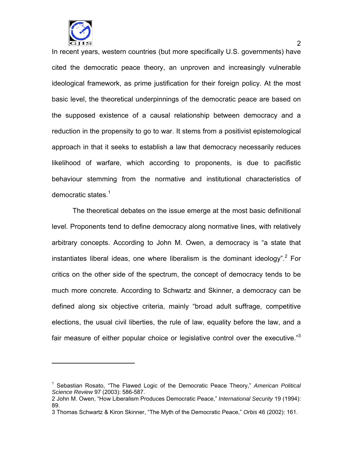

-

In recent years, western countries (but more specifically U.S. governments) have cited the democratic peace theory, an unproven and increasingly vulnerable ideological framework, as prime justification for their foreign policy. At the most basic level, the theoretical underpinnings of the democratic peace are based on the supposed existence of a causal relationship between democracy and a reduction in the propensity to go to war. It stems from a positivist epistemological approach in that it seeks to establish a law that democracy necessarily reduces likelihood of warfare, which according to proponents, is due to pacifistic behaviour stemming from the normative and institutional characteristics of democratic states. $1$ 

The theoretical debates on the issue emerge at the most basic definitional level. Proponents tend to define democracy along normative lines, with relatively arbitrary concepts. According to John M. Owen, a democracy is "a state that instantiates liberal ideas, one where liberalism is the dominant ideology".<sup>2</sup> For critics on the other side of the spectrum, the concept of democracy tends to be much more concrete. According to Schwartz and Skinner, a democracy can be defined along six objective criteria, mainly "broad adult suffrage, competitive elections, the usual civil liberties, the rule of law, equality before the law, and a fair measure of either popular choice or legislative control over the executive. $3<sup>3</sup>$ 

<sup>1</sup> Sebastian Rosato, "The Flawed Logic of the Democratic Peace Theory," *American Political Science Review* 97 (2003): 586-587.

<sup>2</sup> John M. Owen, "How Liberalism Produces Democratic Peace," *International Security* 19 (1994): 89.

<sup>3</sup> Thomas Schwartz & Kiron Skinner, "The Myth of the Democratic Peace," *Orbis* 46 (2002): 161.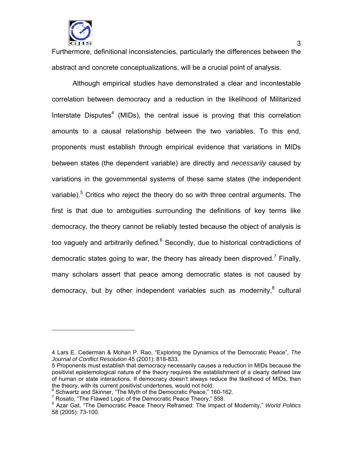

<u>.</u>

Furthermore, definitional inconsistencies, particularly the differences between the abstract and concrete conceptualizations, will be a crucial point of analysis.

Although empirical studies have demonstrated a clear and incontestable correlation between democracy and a reduction in the likelihood of Militarized Interstate Disputes<sup>4</sup> (MIDs), the central issue is proving that this correlation amounts to a causal relationship between the two variables. To this end, proponents must establish through empirical evidence that variations in MIDs between states (the dependent variable) are directly and *necessarily* caused by variations in the governmental systems of these same states (the independent variable).<sup>5</sup> Critics who reject the theory do so with three central arguments. The first is that due to ambiguities surrounding the definitions of key terms like democracy, the theory cannot be reliably tested because the object of analysis is too vaguely and arbitrarily defined.<sup>6</sup> Secondly, due to historical contradictions of democratic states going to war, the theory has already been disproved.<sup>7</sup> Finally, many scholars assert that peace among democratic states is not caused by democracy, but by other independent variables such as modernity, $8$  cultural

<sup>4</sup> Lars E. Cederman & Mohan P. Rao, "Exploring the Dynamics of the Democratic Peace", *The Journal of Conflict Resolution* 45 (2001): 818-833.

<sup>5</sup> Proponents must establish that democracy necessarily causes a reduction in MIDs because the positivist epistemological nature of the theory requires the establishment of a clearly defined law of human or state interactions. If democracy doesn't always reduce the likelihood of MIDs, then the theory, with its current positivist undertones, would not hold.

<sup>&</sup>lt;sup>6</sup> Schwartz and Skinner, "The Myth of the Democratic Peace," 160-162.

 $7$  Rosato, "The Flawed Logic of the Democratic Peace Theory," 558.

<sup>8</sup> Azar Gat, "The Democratic Peace Theory Reframed: The Impact of Modernity," *World Politics* 58 (2005): 73-100.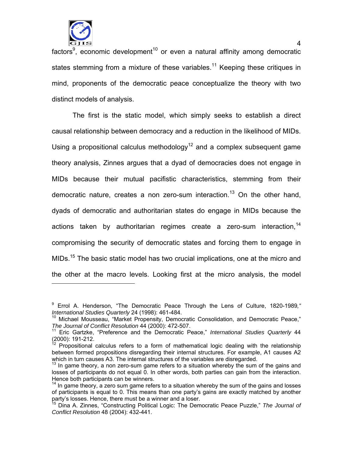

-

 4 factors<sup>9</sup>, economic development<sup>10</sup> or even a natural affinity among democratic states stemming from a mixture of these variables.<sup>11</sup> Keeping these critiques in mind, proponents of the democratic peace conceptualize the theory with two distinct models of analysis.

The first is the static model, which simply seeks to establish a direct causal relationship between democracy and a reduction in the likelihood of MIDs. Using a propositional calculus methodology<sup>12</sup> and a complex subsequent game theory analysis, Zinnes argues that a dyad of democracies does not engage in MIDs because their mutual pacifistic characteristics, stemming from their democratic nature, creates a non zero-sum interaction.<sup>13</sup> On the other hand, dyads of democratic and authoritarian states do engage in MIDs because the actions taken by authoritarian regimes create a zero-sum interaction,  $14$ compromising the security of democratic states and forcing them to engage in MIDs.<sup>15</sup> The basic static model has two crucial implications, one at the micro and the other at the macro levels. Looking first at the micro analysis, the model

<sup>9</sup> Errol A. Henderson, "The Democratic Peace Through the Lens of Culture, 1820-1989*,"* 

*International Studies Quarterly* 24 (1998): 461-484.<br><sup>10</sup> Michael Mousseau, "Market Propensity, Democratic Consolidation, and Democratic Peace," *The Journal of Conflict Resolution* 44 (2000): 472-507.<br><sup>11</sup> Eric Gartzke, "Preference and the Democratic Peace," *International Studies Quarterly* 44

 $(2000)$ : 191-212.

Propositional calculus refers to a form of mathematical logic dealing with the relationship between formed propositions disregarding their internal structures. For example, A1 causes A2 which in turn causes A3. The internal structures of the variables are disregarded.

 $13$  In game theory, a non zero-sum game refers to a situation whereby the sum of the gains and losses of participants do not equal 0. In other words, both parties can gain from the interaction. Hence both participants can be winners.

 $14$  In game theory, a zero sum game refers to a situation whereby the sum of the gains and losses of participants is equal to 0. This means than one party's gains are exactly matched by another party's losses. Hence, there must be a winner and a loser.

<sup>15</sup> Dina A. Zinnes, "Constructing Political Logic: The Democratic Peace Puzzle," *The Journal of Conflict Resolution* 48 (2004): 432-441.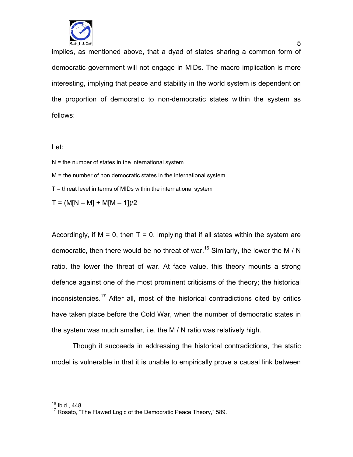

implies, as mentioned above, that a dyad of states sharing a common form of democratic government will not engage in MIDs. The macro implication is more interesting, implying that peace and stability in the world system is dependent on the proportion of democratic to non-democratic states within the system as follows:

#### Let:

 $N =$  the number of states in the international system

M = the number of non democratic states in the international system

 $T =$  threat level in terms of MIDs within the international system

 $T = (M[N - M] + M[M - 1]/2$ 

Accordingly, if  $M = 0$ , then  $T = 0$ , implying that if all states within the system are democratic, then there would be no threat of war.<sup>16</sup> Similarly, the lower the M / N ratio, the lower the threat of war. At face value, this theory mounts a strong defence against one of the most prominent criticisms of the theory; the historical inconsistencies.<sup>17</sup> After all, most of the historical contradictions cited by critics have taken place before the Cold War, when the number of democratic states in the system was much smaller, i.e. the M / N ratio was relatively high.

Though it succeeds in addressing the historical contradictions, the static model is vulnerable in that it is unable to empirically prove a causal link between

 $\overline{a}$ 

<sup>16</sup> Ibid., 448.

<sup>&</sup>lt;sup>17</sup> Rosato, "The Flawed Logic of the Democratic Peace Theory," 589.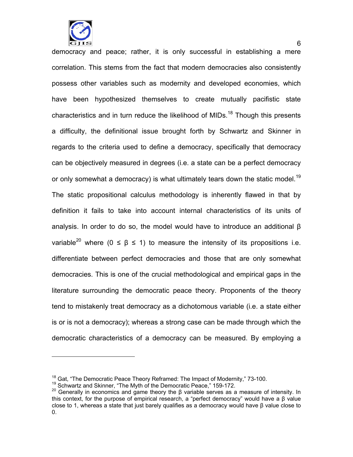

 $\overline{a}$ 

democracy and peace; rather, it is only successful in establishing a mere

correlation. This stems from the fact that modern democracies also consistently possess other variables such as modernity and developed economies, which have been hypothesized themselves to create mutually pacifistic state characteristics and in turn reduce the likelihood of MIDs.<sup>18</sup> Though this presents a difficulty, the definitional issue brought forth by Schwartz and Skinner in regards to the criteria used to define a democracy, specifically that democracy can be objectively measured in degrees (i.e. a state can be a perfect democracy or only somewhat a democracy) is what ultimately tears down the static model.<sup>19</sup> The static propositional calculus methodology is inherently flawed in that by definition it fails to take into account internal characteristics of its units of analysis. In order to do so, the model would have to introduce an additional β variable<sup>20</sup> where (0  $\leq \beta \leq 1$ ) to measure the intensity of its propositions i.e. differentiate between perfect democracies and those that are only somewhat democracies. This is one of the crucial methodological and empirical gaps in the literature surrounding the democratic peace theory. Proponents of the theory tend to mistakenly treat democracy as a dichotomous variable (i.e. a state either is or is not a democracy); whereas a strong case can be made through which the democratic characteristics of a democracy can be measured. By employing a

<sup>&</sup>lt;sup>18</sup> Gat, "The Democratic Peace Theory Reframed: The Impact of Modernity," 73-100.<br><sup>19</sup> Schwartz and Skinner, "The Myth of the Democratic Peace," 159-172.

<sup>20</sup> Generally in economics and game theory the β variable serves as a measure of intensity. In this context, for the purpose of empirical research, a "perfect democracy" would have a β value close to 1, whereas a state that just barely qualifies as a democracy would have  $\beta$  value close to 0.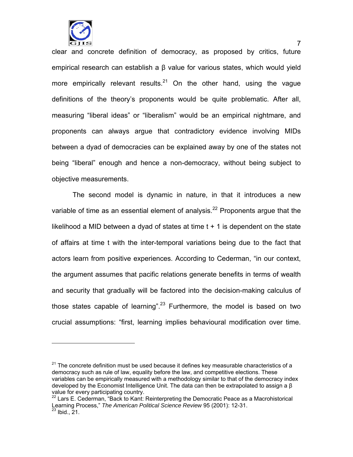

 $\overline{a}$ 

clear and concrete definition of democracy, as proposed by critics, future empirical research can establish a β value for various states, which would yield more empirically relevant results.<sup>21</sup> On the other hand, using the vague definitions of the theory's proponents would be quite problematic. After all, measuring "liberal ideas" or "liberalism" would be an empirical nightmare, and proponents can always argue that contradictory evidence involving MIDs between a dyad of democracies can be explained away by one of the states not being "liberal" enough and hence a non-democracy, without being subject to objective measurements.

The second model is dynamic in nature, in that it introduces a new variable of time as an essential element of analysis.<sup>22</sup> Proponents argue that the likelihood a MID between a dyad of states at time  $t + 1$  is dependent on the state of affairs at time t with the inter-temporal variations being due to the fact that actors learn from positive experiences. According to Cederman, "in our context, the argument assumes that pacific relations generate benefits in terms of wealth and security that gradually will be factored into the decision-making calculus of those states capable of learning".<sup>23</sup> Furthermore, the model is based on two crucial assumptions: "first, learning implies behavioural modification over time.

 $21$  The concrete definition must be used because it defines key measurable characteristics of a democracy such as rule of law, equality before the law, and competitive elections. These variables can be empirically measured with a methodology similar to that of the democracy index developed by the Economist Intelligence Unit. The data can then be extrapolated to assign a β value for every participating country.

 $22$  Lars E. Cederman, "Back to Kant: Reinterpreting the Democratic Peace as a Macrohistorical Learning Process," *The American Political Science Review* 95 (2001): 12-31. 23 Ibid., 21.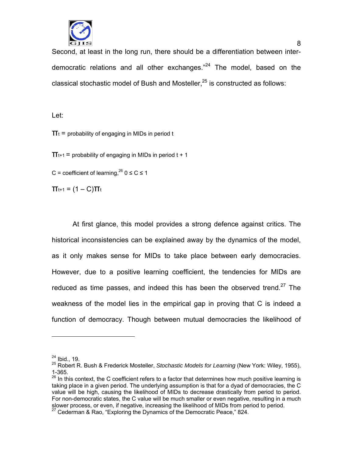

Second, at least in the long run, there should be a differentiation between interdemocratic relations and all other exchanges. $124$  The model, based on the classical stochastic model of Bush and Mosteller. $^{25}$  is constructed as follows:

Let:

 $\Pi_t$  = probability of engaging in MIDs in period t

 $\Pi_{t+1}$  = probability of engaging in MIDs in period  $t + 1$ 

C = coefficient of learning.<sup>26</sup>  $0 \le C \le 1$ 

 $\Pi_{t+1} = (1 - C)\Pi_t$ 

 At first glance, this model provides a strong defence against critics. The historical inconsistencies can be explained away by the dynamics of the model, as it only makes sense for MIDs to take place between early democracies. However, due to a positive learning coefficient, the tendencies for MIDs are reduced as time passes, and indeed this has been the observed trend.<sup>27</sup> The weakness of the model lies in the empirical gap in proving that C is indeed a function of democracy. Though between mutual democracies the likelihood of

 $\overline{a}$ 

 $24$  Ibid., 19.

<sup>25</sup> Robert R. Bush & Frederick Mosteller, *Stochastic Models for Learning* (New York: Wiley, 1955), 1-365.

 $26$  In this context, the C coefficient refers to a factor that determines how much positive learning is taking place in a given period. The underlying assumption is that for a dyad of democracies, the C value will be high, causing the likelihood of MIDs to decrease drastically from period to period. For non-democratic states, the C value will be much smaller or even negative, resulting in a much slower process, or even, if negative, increasing the likelihood of MIDs from period to period. 27 Cederman & Rao, "Exploring the Dynamics of the Democratic Peace," 824.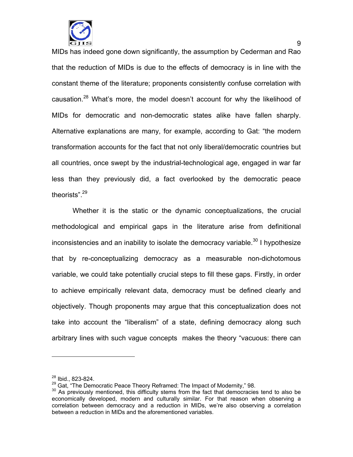

MIDs has indeed gone down significantly, the assumption by Cederman and Rao that the reduction of MIDs is due to the effects of democracy is in line with the constant theme of the literature; proponents consistently confuse correlation with causation.<sup>28</sup> What's more, the model doesn't account for why the likelihood of MIDs for democratic and non-democratic states alike have fallen sharply. Alternative explanations are many, for example, according to Gat: "the modern transformation accounts for the fact that not only liberal/democratic countries but all countries, once swept by the industrial-technological age, engaged in war far less than they previously did, a fact overlooked by the democratic peace theorists".29

Whether it is the static or the dynamic conceptualizations, the crucial methodological and empirical gaps in the literature arise from definitional inconsistencies and an inability to isolate the democracy variable.<sup>30</sup> I hypothesize that by re-conceptualizing democracy as a measurable non-dichotomous variable, we could take potentially crucial steps to fill these gaps. Firstly, in order to achieve empirically relevant data, democracy must be defined clearly and objectively. Though proponents may argue that this conceptualization does not take into account the "liberalism" of a state, defining democracy along such arbitrary lines with such vague concepts makes the theory "vacuous: there can

 $\overline{a}$ 

 $^{28}$  Ibid., 823-824.<br><sup>29</sup> Gat, "The Democratic Peace Theory Reframed: The Impact of Modernity," 98.

<sup>&</sup>lt;sup>30</sup> As previously mentioned, this difficulty stems from the fact that democracies tend to also be economically developed, modern and culturally similar. For that reason when observing a correlation between democracy and a reduction in MIDs, we're also observing a correlation between a reduction in MIDs and the aforementioned variables.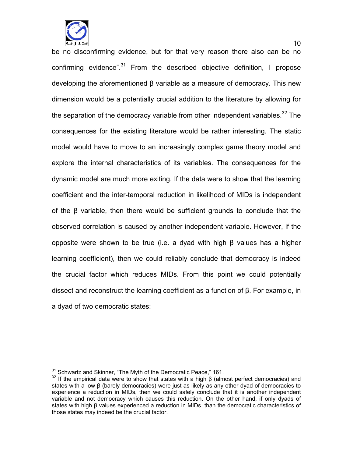

<u>.</u>

be no disconfirming evidence, but for that very reason there also can be no confirming evidence".<sup>31</sup> From the described objective definition, I propose developing the aforementioned β variable as a measure of democracy. This new dimension would be a potentially crucial addition to the literature by allowing for the separation of the democracy variable from other independent variables.<sup>32</sup> The consequences for the existing literature would be rather interesting. The static model would have to move to an increasingly complex game theory model and explore the internal characteristics of its variables. The consequences for the dynamic model are much more exiting. If the data were to show that the learning coefficient and the inter-temporal reduction in likelihood of MIDs is independent of the β variable, then there would be sufficient grounds to conclude that the observed correlation is caused by another independent variable. However, if the opposite were shown to be true (i.e. a dyad with high β values has a higher learning coefficient), then we could reliably conclude that democracy is indeed the crucial factor which reduces MIDs. From this point we could potentially dissect and reconstruct the learning coefficient as a function of β. For example, in a dyad of two democratic states:

<sup>&</sup>lt;sup>31</sup> Schwartz and Skinner, "The Myth of the Democratic Peace," 161.<br><sup>32</sup> If the empirical data were to show that states with a high β (almost perfect democracies) and states with a low β (barely democracies) were just as likely as any other dyad of democracies to experience a reduction in MIDs, then we could safely conclude that it is another independent variable and not democracy which causes this reduction. On the other hand, if only dyads of states with high β values experienced a reduction in MIDs, than the democratic characteristics of those states may indeed be the crucial factor.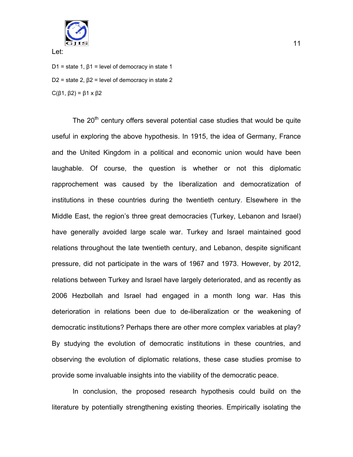

D1 = state 1,  $β1$  = level of democracy in state 1 D2 = state 2,  $β2$  = level of democracy in state 2 C( $\beta$ 1,  $\beta$ 2) =  $\beta$ 1 x  $\beta$ 2

The  $20<sup>th</sup>$  century offers several potential case studies that would be quite useful in exploring the above hypothesis. In 1915, the idea of Germany, France and the United Kingdom in a political and economic union would have been laughable. Of course, the question is whether or not this diplomatic rapprochement was caused by the liberalization and democratization of institutions in these countries during the twentieth century. Elsewhere in the Middle East, the region's three great democracies (Turkey, Lebanon and Israel) have generally avoided large scale war. Turkey and Israel maintained good relations throughout the late twentieth century, and Lebanon, despite significant pressure, did not participate in the wars of 1967 and 1973. However, by 2012, relations between Turkey and Israel have largely deteriorated, and as recently as 2006 Hezbollah and Israel had engaged in a month long war. Has this deterioration in relations been due to de-liberalization or the weakening of democratic institutions? Perhaps there are other more complex variables at play? By studying the evolution of democratic institutions in these countries, and observing the evolution of diplomatic relations, these case studies promise to provide some invaluable insights into the viability of the democratic peace.

In conclusion, the proposed research hypothesis could build on the literature by potentially strengthening existing theories. Empirically isolating the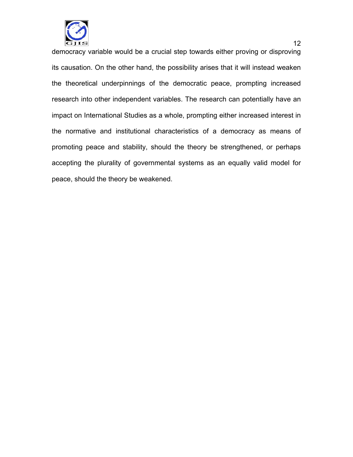

democracy variable would be a crucial step towards either proving or disproving its causation. On the other hand, the possibility arises that it will instead weaken the theoretical underpinnings of the democratic peace, prompting increased research into other independent variables. The research can potentially have an impact on International Studies as a whole, prompting either increased interest in the normative and institutional characteristics of a democracy as means of promoting peace and stability, should the theory be strengthened, or perhaps accepting the plurality of governmental systems as an equally valid model for peace, should the theory be weakened.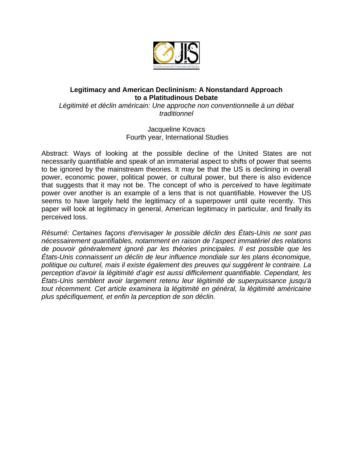

## **Legitimacy and American Declininism: A Nonstandard Approach to a Platitudinous Debate**

*Légitimité et déclin américain: Une approche non conventionnelle à un débat traditionnel* 

> Jacqueline Kovacs Fourth year, International Studies

Abstract: Ways of looking at the possible decline of the United States are not necessarily quantifiable and speak of an immaterial aspect to shifts of power that seems to be ignored by the mainstream theories. It may be that the US is declining in overall power, economic power, political power, or cultural power, but there is also evidence that suggests that it may not be. The concept of who is *perceived* to have *legitimate*  power over another is an example of a lens that is not quantifiable. However the US seems to have largely held the legitimacy of a superpower until quite recently. This paper will look at legitimacy in general, American legitimacy in particular, and finally its perceived loss.

*Résumé: Certaines façons d'envisager le possible déclin des États-Unis ne sont pas nécessairement quantifiables, notamment en raison de l'aspect immatériel des relations de pouvoir généralement ignoré par les théories principales. Il est possible que les États-Unis connaissent un déclin de leur influence mondiale sur les plans économique, politique ou culturel, mais il existe également des preuves qui suggèrent le contraire. La perception d'avoir la légitimité d'agir est aussi difficilement quantifiable. Cependant, les États-Unis semblent avoir largement retenu leur légitimité de superpuissance jusqu'à tout récemment. Cet article examinera la légitimité en général, la légitimité américaine plus spécifiquement, et enfin la perception de son déclin.*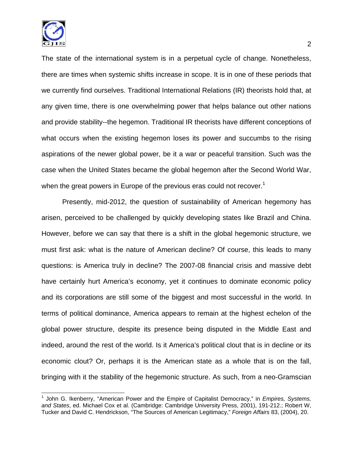

The state of the international system is in a perpetual cycle of change. Nonetheless, there are times when systemic shifts increase in scope. It is in one of these periods that we currently find ourselves. Traditional International Relations (IR) theorists hold that, at any given time, there is one overwhelming power that helps balance out other nations and provide stability--the hegemon. Traditional IR theorists have different conceptions of what occurs when the existing hegemon loses its power and succumbs to the rising aspirations of the newer global power, be it a war or peaceful transition. Such was the case when the United States became the global hegemon after the Second World War, when the great powers in Europe of the previous eras could not recover.<sup>1</sup>

 Presently, mid-2012, the question of sustainability of American hegemony has arisen, perceived to be challenged by quickly developing states like Brazil and China. However, before we can say that there is a shift in the global hegemonic structure, we must first ask: what is the nature of American decline? Of course, this leads to many questions: is America truly in decline? The 2007-08 financial crisis and massive debt have certainly hurt America's economy, yet it continues to dominate economic policy and its corporations are still some of the biggest and most successful in the world. In terms of political dominance, America appears to remain at the highest echelon of the global power structure, despite its presence being disputed in the Middle East and indeed, around the rest of the world. Is it America's political clout that is in decline or its economic clout? Or, perhaps it is the American state as a whole that is on the fall, bringing with it the stability of the hegemonic structure. As such, from a neo-Gramscian

 $\overline{\phantom{a}}$ 1 John G. Ikenberry, "American Power and the Empire of Capitalist Democracy," in *Empires, Systems, and States*, ed. Michael Cox et al. (Cambridge: Cambridge University Press, 2001), 191-212.; Robert W, Tucker and David C. Hendrickson, "The Sources of American Legitimacy," *Foreign Affairs* 83, (2004), 20.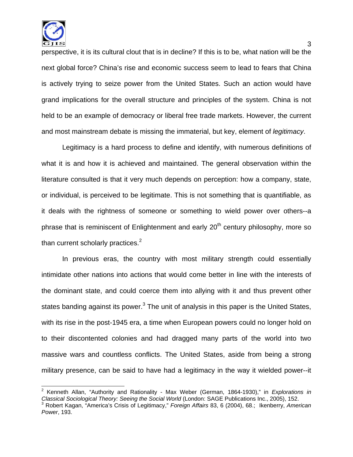

perspective, it is its cultural clout that is in decline? If this is to be, what nation will be the next global force? China's rise and economic success seem to lead to fears that China is actively trying to seize power from the United States. Such an action would have grand implications for the overall structure and principles of the system. China is not held to be an example of democracy or liberal free trade markets. However, the current and most mainstream debate is missing the immaterial, but key, element of *legitimacy*.

 Legitimacy is a hard process to define and identify, with numerous definitions of what it is and how it is achieved and maintained. The general observation within the literature consulted is that it very much depends on perception: how a company, state, or individual, is perceived to be legitimate. This is not something that is quantifiable, as it deals with the rightness of someone or something to wield power over others--a phrase that is reminiscent of Enlightenment and early  $20<sup>th</sup>$  century philosophy, more so than current scholarly practices. $2$ 

 In previous eras, the country with most military strength could essentially intimidate other nations into actions that would come better in line with the interests of the dominant state, and could coerce them into allying with it and thus prevent other states banding against its power. $^3$  The unit of analysis in this paper is the United States, with its rise in the post-1945 era, a time when European powers could no longer hold on to their discontented colonies and had dragged many parts of the world into two massive wars and countless conflicts. The United States, aside from being a strong military presence, can be said to have had a legitimacy in the way it wielded power--it

 2 Kenneth Allan, "Authority and Rationality - Max Weber (German, 1864-1930)," in *Explorations in* 

Classical Sociological Theory: Seeing the Social World (London: SAGE Publications Inc., 2005), 152.<br><sup>3</sup> Robert Kagan, "America's Crisis of Legitimacy," *Foreign Affairs* 83, 6 (2004), 68.; Ikenberry, *American Power*, 193.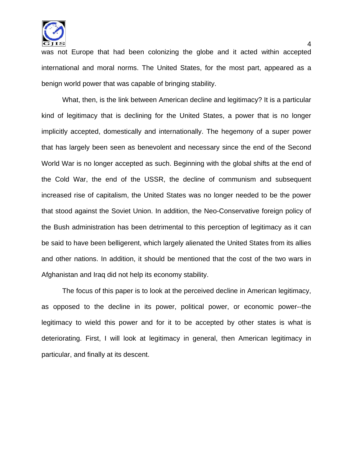

was not Europe that had been colonizing the globe and it acted within accepted international and moral norms. The United States, for the most part, appeared as a benign world power that was capable of bringing stability.

 What, then, is the link between American decline and legitimacy? It is a particular kind of legitimacy that is declining for the United States, a power that is no longer implicitly accepted, domestically and internationally. The hegemony of a super power that has largely been seen as benevolent and necessary since the end of the Second World War is no longer accepted as such. Beginning with the global shifts at the end of the Cold War, the end of the USSR, the decline of communism and subsequent increased rise of capitalism, the United States was no longer needed to be the power that stood against the Soviet Union. In addition, the Neo-Conservative foreign policy of the Bush administration has been detrimental to this perception of legitimacy as it can be said to have been belligerent, which largely alienated the United States from its allies and other nations. In addition, it should be mentioned that the cost of the two wars in Afghanistan and Iraq did not help its economy stability.

 The focus of this paper is to look at the perceived decline in American legitimacy, as opposed to the decline in its power, political power, or economic power--the legitimacy to wield this power and for it to be accepted by other states is what is deteriorating. First, I will look at legitimacy in general, then American legitimacy in particular, and finally at its descent.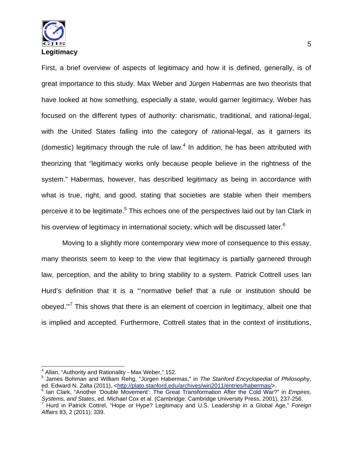

First, a brief overview of aspects of legitimacy and how it is defined, generally, is of great importance to this study. Max Weber and Jürgen Habermas are two theorists that have looked at how something, especially a state, would garner legitimacy. Weber has focused on the different types of authority: charismatic, traditional, and rational-legal, with the United States falling into the category of rational-legal, as it garners its (domestic) legitimacy through the rule of law. $4$  In addition, he has been attributed with theorizing that "legitimacy works only because people believe in the rightness of the system." Habermas, however, has described legitimacy as being in accordance with what is true, right, and good, stating that societies are stable when their members perceive it to be legitimate.<sup>5</sup> This echoes one of the perspectives laid out by Ian Clark in his overview of legitimacy in international society, which will be discussed later.<sup>6</sup>

 Moving to a slightly more contemporary view more of consequence to this essay, many theorists seem to keep to the view that legitimacy is partially garnered through law, perception, and the ability to bring stability to a system. Patrick Cottrell uses Ian Hurd's definition that it is a "'normative belief that a rule or institution should be obeyed."<sup>7</sup> This shows that there is an element of coercion in legitimacy, albeit one that is implied and accepted. Furthermore, Cottrell states that in the context of institutions,

 4 Allan, "Authority and Rationality - Max Weber," 152.

<sup>5</sup> James Bohman and William Rehg, "Jürgen Habermas," in *The Stanford Encyclopediat of Philosophy*, ed. Edward N. Zalta (2011), <http://plato.stanford.edu/archives/win2011/entries/habermas/>.

<sup>6</sup> Ian Clark, "Another 'Double Movement': The Great Transformation After the Cold War?" in *Empires,* 

*Systems, and States*, ed. Michael Cox et al. (Cambridge: Cambridge University Press, 2001), 237-256. <sup>7</sup> Hurd in Patrick Cottrel, "Hope or Hype? Legitimacy and U.S. Leadership in a Global Age," *Foreign Affairs* 83, 2 (2011): 339.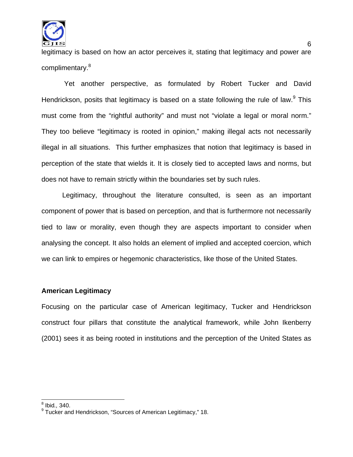

legitimacy is based on how an actor perceives it, stating that legitimacy and power are complimentary.8

 Yet another perspective, as formulated by Robert Tucker and David Hendrickson, posits that legitimacy is based on a state following the rule of law.<sup>9</sup> This must come from the "rightful authority" and must not "violate a legal or moral norm." They too believe "legitimacy is rooted in opinion," making illegal acts not necessarily illegal in all situations. This further emphasizes that notion that legitimacy is based in perception of the state that wields it. It is closely tied to accepted laws and norms, but does not have to remain strictly within the boundaries set by such rules.

 Legitimacy, throughout the literature consulted, is seen as an important component of power that is based on perception, and that is furthermore not necessarily tied to law or morality, even though they are aspects important to consider when analysing the concept. It also holds an element of implied and accepted coercion, which we can link to empires or hegemonic characteristics, like those of the United States.

#### **American Legitimacy**

Focusing on the particular case of American legitimacy, Tucker and Hendrickson construct four pillars that constitute the analytical framework, while John Ikenberry (2001) sees it as being rooted in institutions and the perception of the United States as

 8 Ibid*.,* 340.

<sup>&</sup>lt;sup>9</sup> Tucker and Hendrickson, "Sources of American Legitimacy," 18.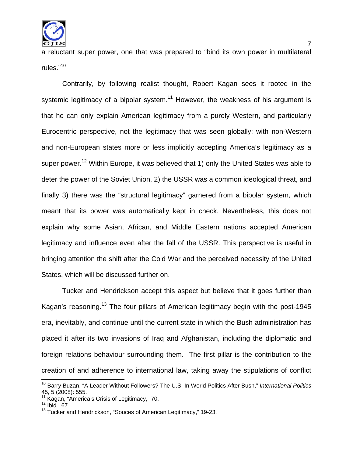

a reluctant super power, one that was prepared to "bind its own power in multilateral rules."<sup>10</sup>

 Contrarily, by following realist thought, Robert Kagan sees it rooted in the systemic legitimacy of a bipolar system.<sup>11</sup> However, the weakness of his argument is that he can only explain American legitimacy from a purely Western, and particularly Eurocentric perspective, not the legitimacy that was seen globally; with non-Western and non-European states more or less implicitly accepting America's legitimacy as a super power.<sup>12</sup> Within Europe, it was believed that 1) only the United States was able to deter the power of the Soviet Union, 2) the USSR was a common ideological threat, and finally 3) there was the "structural legitimacy" garnered from a bipolar system, which meant that its power was automatically kept in check. Nevertheless, this does not explain why some Asian, African, and Middle Eastern nations accepted American legitimacy and influence even after the fall of the USSR. This perspective is useful in bringing attention the shift after the Cold War and the perceived necessity of the United States, which will be discussed further on.

 Tucker and Hendrickson accept this aspect but believe that it goes further than Kagan's reasoning.<sup>13</sup> The four pillars of American legitimacy begin with the post-1945 era, inevitably, and continue until the current state in which the Bush administration has placed it after its two invasions of Iraq and Afghanistan, including the diplomatic and foreign relations behaviour surrounding them. The first pillar is the contribution to the creation of and adherence to international law, taking away the stipulations of conflict

 $\overline{a}$ 

<sup>10</sup> Barry Buzan, "A Leader Without Followers? The U.S. In World Politics After Bush," *International Politics* 45, 5 (2008): 555.

 $11$  Kagan, "America's Crisis of Legitimacy," 70.<br> $12$  Ibid., 67.

<sup>&</sup>lt;sup>13</sup> Tucker and Hendrickson, "Souces of American Legitimacy," 19-23.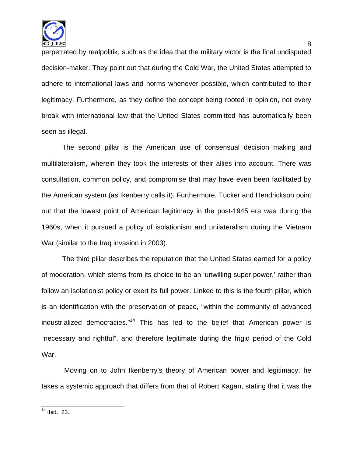

perpetrated by realpolitik, such as the idea that the military victor is the final undisputed decision-maker. They point out that during the Cold War, the United States attempted to adhere to international laws and norms whenever possible, which contributed to their legitimacy. Furthermore, as they define the concept being rooted in opinion, not every break with international law that the United States committed has automatically been seen as illegal.

 The second pillar is the American use of consensual decision making and multilateralism, wherein they took the interests of their allies into account. There was consultation, common policy, and compromise that may have even been facilitated by the American system (as Ikenberry calls it). Furthermore, Tucker and Hendrickson point out that the lowest point of American legitimacy in the post-1945 era was during the 1960s, when it pursued a policy of isolationism and unilateralism during the Vietnam War (similar to the Iraq invasion in 2003).

 The third pillar describes the reputation that the United States earned for a policy of moderation, which stems from its choice to be an 'unwilling super power,' rather than follow an isolationist policy or exert its full power. Linked to this is the fourth pillar, which is an identification with the preservation of peace, "within the community of advanced industrialized democracies."<sup>14</sup> This has led to the belief that American power is "necessary and rightful", and therefore legitimate during the frigid period of the Cold War.

 Moving on to John Ikenberry's theory of American power and legitimacy, he takes a systemic approach that differs from that of Robert Kagan, stating that it was the

 $\overline{\phantom{a}}$  $14$  Ibid., 23.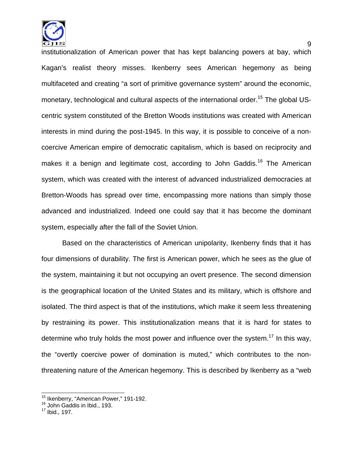

institutionalization of American power that has kept balancing powers at bay, which Kagan's realist theory misses. Ikenberry sees American hegemony as being multifaceted and creating "a sort of primitive governance system" around the economic, monetary, technological and cultural aspects of the international order.<sup>15</sup> The global UScentric system constituted of the Bretton Woods institutions was created with American interests in mind during the post-1945. In this way, it is possible to conceive of a noncoercive American empire of democratic capitalism, which is based on reciprocity and makes it a benign and legitimate cost, according to John Gaddis.<sup>16</sup> The American system, which was created with the interest of advanced industrialized democracies at Bretton-Woods has spread over time, encompassing more nations than simply those advanced and industrialized. Indeed one could say that it has become the dominant system, especially after the fall of the Soviet Union.

 Based on the characteristics of American unipolarity, Ikenberry finds that it has four dimensions of durability. The first is American power, which he sees as the glue of the system, maintaining it but not occupying an overt presence. The second dimension is the geographical location of the United States and its military, which is offshore and isolated. The third aspect is that of the institutions, which make it seem less threatening by restraining its power. This institutionalization means that it is hard for states to determine who truly holds the most power and influence over the system.<sup>17</sup> In this way, the "overtly coercive power of domination is muted," which contributes to the nonthreatening nature of the American hegemony. This is described by Ikenberry as a "web

 $\overline{\phantom{a}}$ <sup>15</sup> Ikenberry, "American Power," 191-192.<br><sup>16</sup> John Gaddis in Ibid., 193.

<sup>17</sup> Ibid.*,* 197.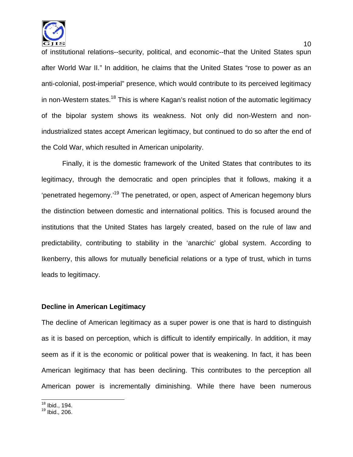

of institutional relations--security, political, and economic--that the United States spun after World War II." In addition, he claims that the United States "rose to power as an anti-colonial, post-imperial" presence, which would contribute to its perceived legitimacy in non-Western states.<sup>18</sup> This is where Kagan's realist notion of the automatic legitimacy of the bipolar system shows its weakness. Not only did non-Western and nonindustrialized states accept American legitimacy, but continued to do so after the end of the Cold War, which resulted in American unipolarity.

 Finally, it is the domestic framework of the United States that contributes to its legitimacy, through the democratic and open principles that it follows, making it a 'penetrated hegemony.'19 The penetrated, or open, aspect of American hegemony blurs the distinction between domestic and international politics. This is focused around the institutions that the United States has largely created, based on the rule of law and predictability, contributing to stability in the 'anarchic' global system. According to Ikenberry, this allows for mutually beneficial relations or a type of trust, which in turns leads to legitimacy.

## **Decline in American Legitimacy**

The decline of American legitimacy as a super power is one that is hard to distinguish as it is based on perception, which is difficult to identify empirically. In addition, it may seem as if it is the economic or political power that is weakening. In fact, it has been American legitimacy that has been declining. This contributes to the perception all American power is incrementally diminishing. While there have been numerous

 $\overline{a}$  $18$  Ibid., 194.

<sup>19</sup> Ibid.*,* 206.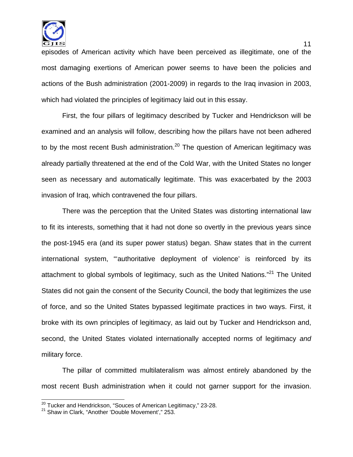

episodes of American activity which have been perceived as illegitimate, one of the most damaging exertions of American power seems to have been the policies and actions of the Bush administration (2001-2009) in regards to the Iraq invasion in 2003, which had violated the principles of legitimacy laid out in this essay.

 First, the four pillars of legitimacy described by Tucker and Hendrickson will be examined and an analysis will follow, describing how the pillars have not been adhered to by the most recent Bush administration.<sup>20</sup> The question of American legitimacy was already partially threatened at the end of the Cold War, with the United States no longer seen as necessary and automatically legitimate. This was exacerbated by the 2003 invasion of Iraq, which contravened the four pillars.

 There was the perception that the United States was distorting international law to fit its interests, something that it had not done so overtly in the previous years since the post-1945 era (and its super power status) began. Shaw states that in the current international system, "'authoritative deployment of violence' is reinforced by its attachment to global symbols of legitimacy, such as the United Nations."<sup>21</sup> The United States did not gain the consent of the Security Council, the body that legitimizes the use of force, and so the United States bypassed legitimate practices in two ways. First, it broke with its own principles of legitimacy, as laid out by Tucker and Hendrickson and, second, the United States violated internationally accepted norms of legitimacy *and* military force.

 The pillar of committed multilateralism was almost entirely abandoned by the most recent Bush administration when it could not garner support for the invasion.

 $\overline{\phantom{a}}$ 

<sup>&</sup>lt;sup>20</sup> Tucker and Hendrickson, "Souces of American Legitimacy," 23-28.<br><sup>21</sup> Shaw in Clark, "Another 'Double Movement'," 253.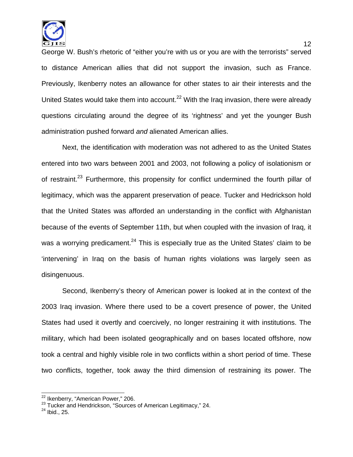

George W. Bush's rhetoric of "either you're with us or you are with the terrorists" served to distance American allies that did not support the invasion, such as France. Previously, Ikenberry notes an allowance for other states to air their interests and the United States would take them into account.<sup>22</sup> With the Iraq invasion, there were already questions circulating around the degree of its 'rightness' and yet the younger Bush administration pushed forward *and* alienated American allies.

 Next, the identification with moderation was not adhered to as the United States entered into two wars between 2001 and 2003, not following a policy of isolationism or of restraint.<sup>23</sup> Furthermore, this propensity for conflict undermined the fourth pillar of legitimacy, which was the apparent preservation of peace. Tucker and Hedrickson hold that the United States was afforded an understanding in the conflict with Afghanistan because of the events of September 11th, but when coupled with the invasion of Iraq, it was a worrying predicament.<sup>24</sup> This is especially true as the United States' claim to be 'intervening' in Iraq on the basis of human rights violations was largely seen as disingenuous.

 Second, Ikenberry's theory of American power is looked at in the context of the 2003 Iraq invasion. Where there used to be a covert presence of power, the United States had used it overtly and coercively, no longer restraining it with institutions. The military, which had been isolated geographically and on bases located offshore, now took a central and highly visible role in two conflicts within a short period of time. These two conflicts, together, took away the third dimension of restraining its power. The

 $\overline{a}$ 

<sup>&</sup>lt;sup>22</sup> Ikenberry, "American Power," 206.<br><sup>23</sup> Tucker and Hendrickson, "Sources of American Legitimacy," 24.<br><sup>24</sup> Ibid., 25.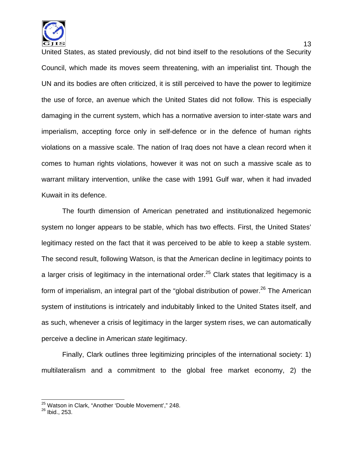

United States, as stated previously, did not bind itself to the resolutions of the Security Council, which made its moves seem threatening, with an imperialist tint. Though the UN and its bodies are often criticized, it is still perceived to have the power to legitimize the use of force, an avenue which the United States did not follow. This is especially damaging in the current system, which has a normative aversion to inter-state wars and imperialism, accepting force only in self-defence or in the defence of human rights violations on a massive scale. The nation of Iraq does not have a clean record when it comes to human rights violations, however it was not on such a massive scale as to warrant military intervention, unlike the case with 1991 Gulf war, when it had invaded Kuwait in its defence.

 The fourth dimension of American penetrated and institutionalized hegemonic system no longer appears to be stable, which has two effects. First, the United States' legitimacy rested on the fact that it was perceived to be able to keep a stable system. The second result, following Watson, is that the American decline in legitimacy points to a larger crisis of legitimacy in the international order.<sup>25</sup> Clark states that legitimacy is a form of imperialism, an integral part of the "global distribution of power.<sup>26</sup> The American system of institutions is intricately and indubitably linked to the United States itself, and as such, whenever a crisis of legitimacy in the larger system rises, we can automatically perceive a decline in American *state* legitimacy.

 Finally, Clark outlines three legitimizing principles of the international society: 1) multilateralism and a commitment to the global free market economy, 2) the

 $\overline{\phantom{a}}$ 

<sup>&</sup>lt;sup>25</sup> Watson in Clark, "Another 'Double Movement'," 248.

<sup>&</sup>lt;sup>26</sup> Ibid., 253.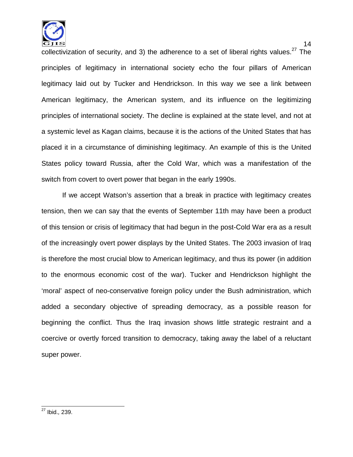

collectivization of security, and 3) the adherence to a set of liberal rights values.<sup>27</sup> The principles of legitimacy in international society echo the four pillars of American legitimacy laid out by Tucker and Hendrickson. In this way we see a link between American legitimacy, the American system, and its influence on the legitimizing principles of international society. The decline is explained at the state level, and not at a systemic level as Kagan claims, because it is the actions of the United States that has placed it in a circumstance of diminishing legitimacy. An example of this is the United States policy toward Russia, after the Cold War, which was a manifestation of the switch from covert to overt power that began in the early 1990s.

 If we accept Watson's assertion that a break in practice with legitimacy creates tension, then we can say that the events of September 11th may have been a product of this tension or crisis of legitimacy that had begun in the post-Cold War era as a result of the increasingly overt power displays by the United States. The 2003 invasion of Iraq is therefore the most crucial blow to American legitimacy, and thus its power (in addition to the enormous economic cost of the war). Tucker and Hendrickson highlight the 'moral' aspect of neo-conservative foreign policy under the Bush administration, which added a secondary objective of spreading democracy, as a possible reason for beginning the conflict. Thus the Iraq invasion shows little strategic restraint and a coercive or overtly forced transition to democracy, taking away the label of a reluctant super power.

14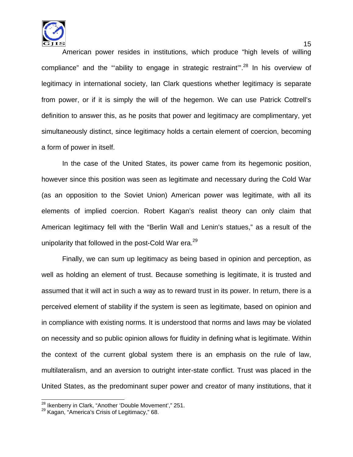

 American power resides in institutions, which produce "high levels of willing compliance" and the "ability to engage in strategic restraint"<sup>28</sup> In his overview of legitimacy in international society, Ian Clark questions whether legitimacy is separate from power, or if it is simply the will of the hegemon. We can use Patrick Cottrell's definition to answer this, as he posits that power and legitimacy are complimentary, yet simultaneously distinct, since legitimacy holds a certain element of coercion, becoming a form of power in itself.

 In the case of the United States, its power came from its hegemonic position, however since this position was seen as legitimate and necessary during the Cold War (as an opposition to the Soviet Union) American power was legitimate, with all its elements of implied coercion. Robert Kagan's realist theory can only claim that American legitimacy fell with the "Berlin Wall and Lenin's statues," as a result of the unipolarity that followed in the post-Cold War era.<sup>29</sup>

 Finally, we can sum up legitimacy as being based in opinion and perception, as well as holding an element of trust. Because something is legitimate, it is trusted and assumed that it will act in such a way as to reward trust in its power. In return, there is a perceived element of stability if the system is seen as legitimate, based on opinion and in compliance with existing norms. It is understood that norms and laws may be violated on necessity and so public opinion allows for fluidity in defining what is legitimate. Within the context of the current global system there is an emphasis on the rule of law, multilateralism, and an aversion to outright inter-state conflict. Trust was placed in the United States, as the predominant super power and creator of many institutions, that it

 $\overline{\phantom{a}}$ 

<sup>&</sup>lt;sup>28</sup> Ikenberry in Clark, "Another 'Double Movement'," 251.<br><sup>29</sup> Kagan, "America's Crisis of Legitimacy," 68.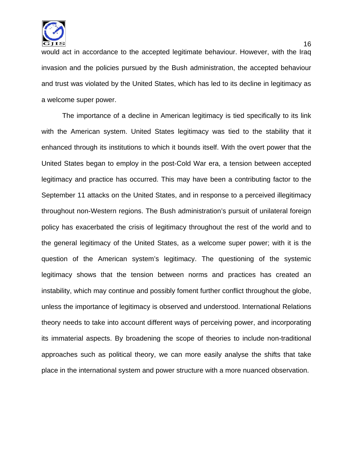

would act in accordance to the accepted legitimate behaviour. However, with the Iraq invasion and the policies pursued by the Bush administration, the accepted behaviour and trust was violated by the United States, which has led to its decline in legitimacy as a welcome super power.

 The importance of a decline in American legitimacy is tied specifically to its link with the American system. United States legitimacy was tied to the stability that it enhanced through its institutions to which it bounds itself. With the overt power that the United States began to employ in the post-Cold War era, a tension between accepted legitimacy and practice has occurred. This may have been a contributing factor to the September 11 attacks on the United States, and in response to a perceived illegitimacy throughout non-Western regions. The Bush administration's pursuit of unilateral foreign policy has exacerbated the crisis of legitimacy throughout the rest of the world and to the general legitimacy of the United States, as a welcome super power; with it is the question of the American system's legitimacy. The questioning of the systemic legitimacy shows that the tension between norms and practices has created an instability, which may continue and possibly foment further conflict throughout the globe, unless the importance of legitimacy is observed and understood. International Relations theory needs to take into account different ways of perceiving power, and incorporating its immaterial aspects. By broadening the scope of theories to include non-traditional approaches such as political theory, we can more easily analyse the shifts that take place in the international system and power structure with a more nuanced observation.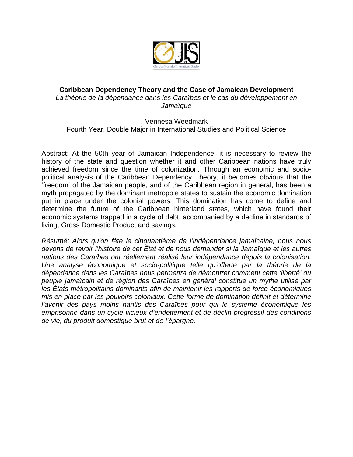

# **Caribbean Dependency Theory and the Case of Jamaican Development**  La théorie de la dépendance dans les Caraïbes et le cas du développement en *Jamaïque*

#### Vennesa Weedmark

Fourth Year, Double Major in International Studies and Political Science

Abstract: At the 50th year of Jamaican Independence, it is necessary to review the history of the state and question whether it and other Caribbean nations have truly achieved freedom since the time of colonization. Through an economic and sociopolitical analysis of the Caribbean Dependency Theory, it becomes obvious that the 'freedom' of the Jamaican people, and of the Caribbean region in general, has been a myth propagated by the dominant metropole states to sustain the economic domination put in place under the colonial powers. This domination has come to define and determine the future of the Caribbean hinterland states, which have found their economic systems trapped in a cycle of debt, accompanied by a decline in standards of living, Gross Domestic Product and savings.

*Résumé: Alors qu'on fête le cinquantième de l'indépendance jamaïcaine, nous nous devons de revoir l'histoire de cet État et de nous demander si la Jamaïque et les autres nations des Caraïbes ont réellement réalisé leur indépendance depuis la colonisation. Une analyse économique et socio-politique telle qu'offerte par la théorie de la dépendance dans les Caraïbes nous permettra de démontrer comment cette 'liberté' du peuple jamaïcain et de région des Caraïbes en général constitue un mythe utilisé par les États métropolitains dominants afin de maintenir les rapports de force économiques mis en place par les pouvoirs coloniaux. Cette forme de domination définit et détermine*  l'avenir des pays moins nantis des Caraïbes pour qui le système économique les *emprisonne dans un cycle vicieux d'endettement et de déclin progressif des conditions de vie, du produit domestique brut et de l'épargne.*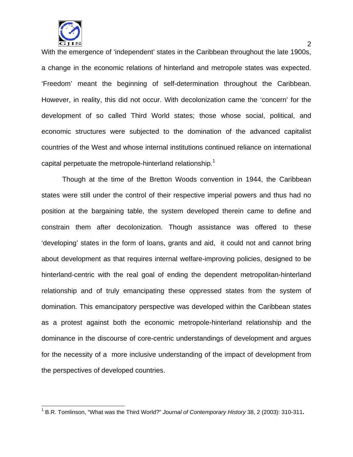

 $\overline{\phantom{a}}$ 

With the emergence of 'independent' states in the Caribbean throughout the late 1900s, a change in the economic relations of hinterland and metropole states was expected. 'Freedom' meant the beginning of self-determination throughout the Caribbean. However, in reality, this did not occur. With decolonization came the 'concern' for the development of so called Third World states; those whose social, political, and economic structures were subjected to the domination of the advanced capitalist countries of the West and whose internal institutions continued reliance on international capital perpetuate the metropole-hinterland relationship.<sup>1</sup>

Though at the time of the Bretton Woods convention in 1944, the Caribbean states were still under the control of their respective imperial powers and thus had no position at the bargaining table, the system developed therein came to define and constrain them after decolonization. Though assistance was offered to these 'developing' states in the form of loans, grants and aid, it could not and cannot bring about development as that requires internal welfare-improving policies, designed to be hinterland-centric with the real goal of ending the dependent metropolitan-hinterland relationship and of truly emancipating these oppressed states from the system of domination*.* This emancipatory perspective was developed within the Caribbean states as a protest against both the economic metropole-hinterland relationship and the dominance in the discourse of core-centric understandings of development and argues for the necessity of a more inclusive understanding of the impact of development from the perspectives of developed countries.

<sup>1</sup> B.R. Tomlinson, "What was the Third World?" *Journal of Contemporary History* 38, 2 (2003): 310-311**.**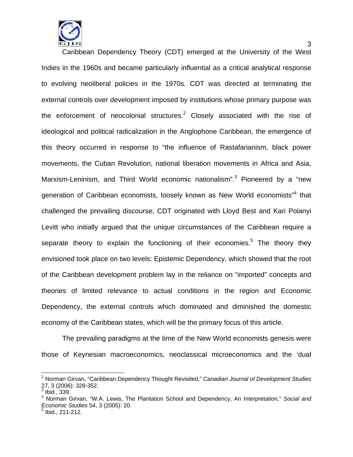

Caribbean Dependency Theory (CDT) emerged at the University of the West Indies in the 1960s and became particularly influential as a critical analytical response to evolving neoliberal policies in the 1970s. CDT was directed at terminating the external controls over development imposed by institutions whose primary purpose was the enforcement of neocolonial structures.<sup>2</sup> Closely associated with the rise of ideological and political radicalization in the Anglophone Caribbean, the emergence of this theory occurred in response to "the influence of Rastafarianism, black power movements, the Cuban Revolution, national liberation movements in Africa and Asia, Marxism-Leninism, and Third World economic nationalism".<sup>3</sup> Pioneered by a "new generation of Caribbean economists, loosely known as New World economists"<sup>4</sup> that challenged the prevailing discourse, CDT originated with Lloyd Best and Kari Polanyi Levitt who initially argued that the unique circumstances of the Caribbean require a separate theory to explain the functioning of their economies.<sup>5</sup> The theory they envisioned took place on two levels: Epistemic Dependency, which showed that the root of the Caribbean development problem lay in the reliance on "imported" concepts and theories of limited relevance to actual conditions in the region and Economic Dependency, the external controls which dominated and diminished the domestic economy of the Caribbean states, which will be the primary focus of this article.

The prevailing paradigms at the time of the New World economists genesis were those of Keynesian macroeconomics, neoclassical microeconomics and the 'dual

 2 Norman Girvan, "Caribbean Dependency Thought Revisited," *Canadian Journal of Development Studies* 27, 3 (2006): 328-352.

 $3$  Ibid., 339.

<sup>4</sup> Norman Girvan, "W.A. Lewis, The Plantation School and Dependency, An Interpretation," *Social and Economic Studies* 54, 3 (2005): 20. <sup>5</sup>

Ibid., 211-212.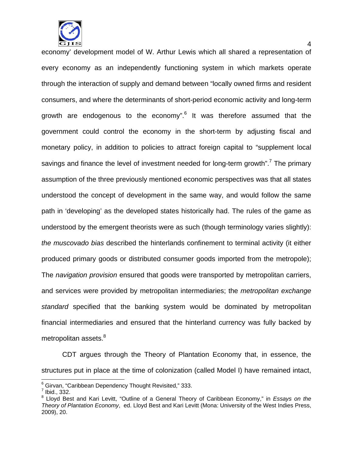

economy' development model of W. Arthur Lewis which all shared a representation of every economy as an independently functioning system in which markets operate through the interaction of supply and demand between "locally owned firms and resident consumers, and where the determinants of short-period economic activity and long-term growth are endogenous to the economy".<sup>6</sup> It was therefore assumed that the government could control the economy in the short-term by adjusting fiscal and monetary policy, in addition to policies to attract foreign capital to "supplement local savings and finance the level of investment needed for long-term growth".<sup>7</sup> The primary assumption of the three previously mentioned economic perspectives was that all states understood the concept of development in the same way, and would follow the same path in 'developing' as the developed states historically had. The rules of the game as understood by the emergent theorists were as such (though terminology varies slightly): *the muscovado bias* described the hinterlands confinement to terminal activity (it either produced primary goods or distributed consumer goods imported from the metropole); The *navigation provision* ensured that goods were transported by metropolitan carriers, and services were provided by metropolitan intermediaries; the *metropolitan exchange standard* specified that the banking system would be dominated by metropolitan financial intermediaries and ensured that the hinterland currency was fully backed by metropolitan assets.<sup>8</sup>

CDT argues through the Theory of Plantation Economy that, in essence, the structures put in place at the time of colonization (called Model I) have remained intact,

 $\overline{\phantom{a}}$ <sup>6</sup> Girvan, "Caribbean Dependency Thought Revisited," 333.<br><sup>7</sup> Ibid - 333

 $^7$  Ibid., 332.

<sup>8</sup> Lloyd Best and Kari Levitt, "Outline of a General Theory of Caribbean Economy," in *Essays on the Theory of Plantation Economy*, ed. Lloyd Best and Kari Levitt (Mona: University of the West Indies Press, 2009), 20.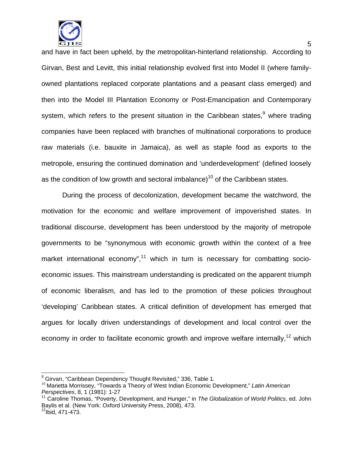

and have in fact been upheld, by the metropolitan-hinterland relationship. According to Girvan, Best and Levitt, this initial relationship evolved first into Model II (where familyowned plantations replaced corporate plantations and a peasant class emerged) and then into the Model III Plantation Economy or Post-Emancipation and Contemporary system, which refers to the present situation in the Caribbean states,  $9$  where trading companies have been replaced with branches of multinational corporations to produce raw materials (i.e. bauxite in Jamaica), as well as staple food as exports to the metropole, ensuring the continued domination and 'underdevelopment' (defined loosely as the condition of low growth and sectoral imbalance)<sup>10</sup> of the Caribbean states.

During the process of decolonization, development became the watchword, the motivation for the economic and welfare improvement of impoverished states. In traditional discourse, development has been understood by the majority of metropole governments to be "synonymous with economic growth within the context of a free market international economy", $11$  which in turn is necessary for combatting socioeconomic issues. This mainstream understanding is predicated on the apparent triumph of economic liberalism, and has led to the promotion of these policies throughout 'developing' Caribbean states. A critical definition of development has emerged that argues for locally driven understandings of development and local control over the economy in order to facilitate economic growth and improve welfare internally,<sup>12</sup> which

<sup>–&</sup>lt;br>9

<sup>&</sup>lt;sup>10</sup> Marietta Morrissey, "Towards a Theory of West Indian Economic Development," *Latin American Perspectives*, 8, 1 (1981): 1-27

<sup>&</sup>lt;sup>11</sup> Caroline Thomas, "Poverty, Development, and Hunger," in *The Globalization of World Politics*, ed. John Baylis et al. (New York: Oxford University Press, 2008), 473.<br><sup>12</sup>Ibid, 471-473.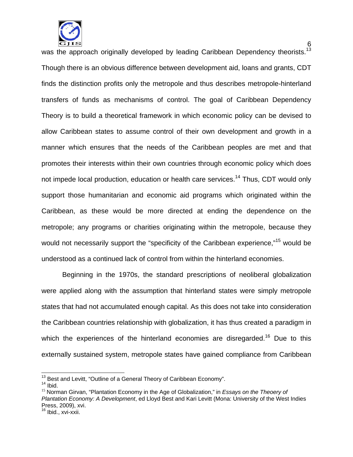

 $\sim$  6 was the approach originally developed by leading Caribbean Dependency theorists.<sup>13</sup> Though there is an obvious difference between development aid, loans and grants, CDT finds the distinction profits only the metropole and thus describes metropole-hinterland transfers of funds as mechanisms of control. The goal of Caribbean Dependency Theory is to build a theoretical framework in which economic policy can be devised to allow Caribbean states to assume control of their own development and growth in a manner which ensures that the needs of the Caribbean peoples are met and that promotes their interests within their own countries through economic policy which does not impede local production, education or health care services.<sup>14</sup> Thus, CDT would only support those humanitarian and economic aid programs which originated within the Caribbean, as these would be more directed at ending the dependence on the metropole; any programs or charities originating within the metropole, because they would not necessarily support the "specificity of the Caribbean experience,"<sup>15</sup> would be understood as a continued lack of control from within the hinterland economies.

Beginning in the 1970s, the standard prescriptions of neoliberal globalization were applied along with the assumption that hinterland states were simply metropole states that had not accumulated enough capital. As this does not take into consideration the Caribbean countries relationship with globalization, it has thus created a paradigm in which the experiences of the hinterland economies are disregarded.<sup>16</sup> Due to this externally sustained system, metropole states have gained compliance from Caribbean

<sup>&</sup>lt;sup>13</sup> Best and Levitt, "Outline of a General Theory of Caribbean Economy".

<sup>&</sup>lt;sup>14</sup> Ibid.<br><sup>15</sup> Norman Girvan, "Plantation Economy in the Age of Globalization," in *Essays on the Theoery of Plantation Economy: A Development*, ed Lloyd Best and Kari Levitt (Mona: University of the West Indies Press, 2009), xvi.

 $16$  Ibid., xvi-xxii.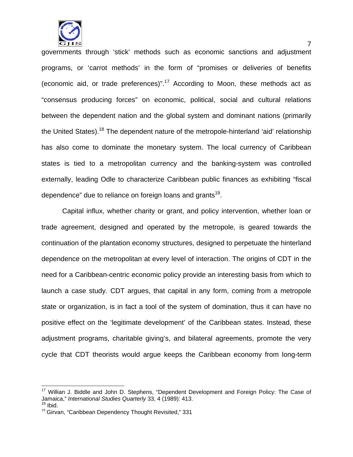

governments through 'stick' methods such as economic sanctions and adjustment programs, or 'carrot methods' in the form of "promises or deliveries of benefits (economic aid, or trade preferences)".<sup>17</sup> According to Moon, these methods act as "consensus producing forces" on economic, political, social and cultural relations between the dependent nation and the global system and dominant nations (primarily the United States).<sup>18</sup> The dependent nature of the metropole-hinterland 'aid' relationship has also come to dominate the monetary system. The local currency of Caribbean states is tied to a metropolitan currency and the banking-system was controlled externally, leading Odle to characterize Caribbean public finances as exhibiting "fiscal dependence" due to reliance on foreign loans and grants<sup>19</sup>.

Capital influx, whether charity or grant, and policy intervention, whether loan or trade agreement, designed and operated by the metropole, is geared towards the continuation of the plantation economy structures, designed to perpetuate the hinterland dependence on the metropolitan at every level of interaction. The origins of CDT in the need for a Caribbean-centric economic policy provide an interesting basis from which to launch a case study. CDT argues, that capital in any form, coming from a metropole state or organization, is in fact a tool of the system of domination, thus it can have no positive effect on the 'legitimate development' of the Caribbean states. Instead, these adjustment programs, charitable giving's, and bilateral agreements, promote the very cycle that CDT theorists would argue keeps the Caribbean economy from long-term

 $\overline{\phantom{a}}$ 

<sup>&</sup>lt;sup>17</sup> Willian J. Biddle and John D. Stephens, "Dependent Development and Foreign Policy: The Case of Jamaica," *International Studies Quarterly* 33, 4 (1989): 413.<br><sup>18</sup> Ibid.

<sup>&</sup>lt;sup>19</sup> Girvan, "Caribbean Dependency Thought Revisited," 331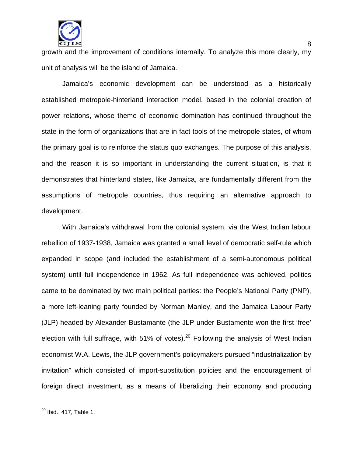

growth and the improvement of conditions internally. To analyze this more clearly, my unit of analysis will be the island of Jamaica.

Jamaica's economic development can be understood as a historically established metropole-hinterland interaction model, based in the colonial creation of power relations, whose theme of economic domination has continued throughout the state in the form of organizations that are in fact tools of the metropole states, of whom the primary goal is to reinforce the status quo exchanges. The purpose of this analysis, and the reason it is so important in understanding the current situation, is that it demonstrates that hinterland states, like Jamaica, are fundamentally different from the assumptions of metropole countries, thus requiring an alternative approach to development.

With Jamaica's withdrawal from the colonial system, via the West Indian labour rebellion of 1937-1938, Jamaica was granted a small level of democratic self-rule which expanded in scope (and included the establishment of a semi-autonomous political system) until full independence in 1962. As full independence was achieved, politics came to be dominated by two main political parties: the People's National Party (PNP), a more left-leaning party founded by Norman Manley, and the Jamaica Labour Party (JLP) headed by Alexander Bustamante (the JLP under Bustamente won the first 'free' election with full suffrage, with 51% of votes).<sup>20</sup> Following the analysis of West Indian economist W.A. Lewis, the JLP government's policymakers pursued "industrialization by invitation" which consisted of import-substitution policies and the encouragement of foreign direct investment, as a means of liberalizing their economy and producing

 $\overline{\phantom{a}}$ <sup>20</sup> Ibid., 417, Table 1.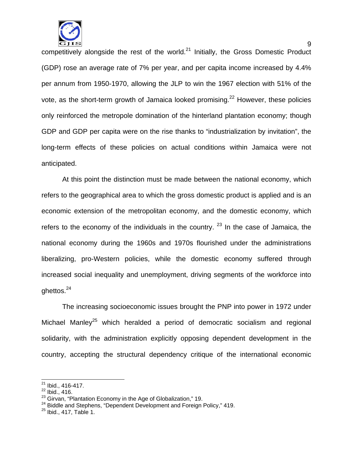

competitively alongside the rest of the world.<sup>21</sup> Initially, the Gross Domestic Product (GDP) rose an average rate of 7% per year, and per capita income increased by 4.4% per annum from 1950-1970, allowing the JLP to win the 1967 election with 51% of the vote, as the short-term growth of Jamaica looked promising.<sup>22</sup> However, these policies only reinforced the metropole domination of the hinterland plantation economy; though GDP and GDP per capita were on the rise thanks to "industrialization by invitation", the long-term effects of these policies on actual conditions within Jamaica were not anticipated.

At this point the distinction must be made between the national economy, which refers to the geographical area to which the gross domestic product is applied and is an economic extension of the metropolitan economy, and the domestic economy, which refers to the economy of the individuals in the country.  $23$  In the case of Jamaica, the national economy during the 1960s and 1970s flourished under the administrations liberalizing, pro-Western policies, while the domestic economy suffered through increased social inequality and unemployment, driving segments of the workforce into ghettos.24

The increasing socioeconomic issues brought the PNP into power in 1972 under Michael Manley<sup>25</sup> which heralded a period of democratic socialism and regional solidarity, with the administration explicitly opposing dependent development in the country, accepting the structural dependency critique of the international economic

 $\overline{\phantom{a}}$ 

 $^{21}$  Ibid., 416-417.

 $22$  Ibid., 416.<br> $23$  Girvan, "Plantation Economy in the Age of Globalization," 19.

 $^{24}$  Biddle and Stephens, "Dependent Development and Foreign Policy," 419.  $^{25}$  Ibid., 417, Table 1.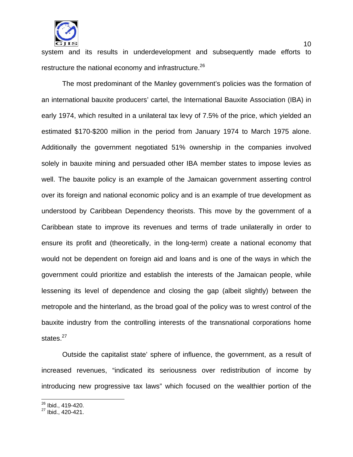

 $10$ system and its results in underdevelopment and subsequently made efforts to restructure the national economy and infrastructure.26

The most predominant of the Manley government's policies was the formation of an international bauxite producers' cartel, the International Bauxite Association (IBA) in early 1974, which resulted in a unilateral tax levy of 7.5% of the price, which yielded an estimated \$170-\$200 million in the period from January 1974 to March 1975 alone. Additionally the government negotiated 51% ownership in the companies involved solely in bauxite mining and persuaded other IBA member states to impose levies as well. The bauxite policy is an example of the Jamaican government asserting control over its foreign and national economic policy and is an example of true development as understood by Caribbean Dependency theorists. This move by the government of a Caribbean state to improve its revenues and terms of trade unilaterally in order to ensure its profit and (theoretically, in the long-term) create a national economy that would not be dependent on foreign aid and loans and is one of the ways in which the government could prioritize and establish the interests of the Jamaican people, while lessening its level of dependence and closing the gap (albeit slightly) between the metropole and the hinterland, as the broad goal of the policy was to wrest control of the bauxite industry from the controlling interests of the transnational corporations home states.<sup>27</sup>

Outside the capitalist state' sphere of influence, the government, as a result of increased revenues, "indicated its seriousness over redistribution of income by introducing new progressive tax laws" which focused on the wealthier portion of the

 $\overline{\phantom{a}}$ 

 $^{26}$  Ibid., 419-420.

<sup>&</sup>lt;sup>27</sup> Ibid., 420-421.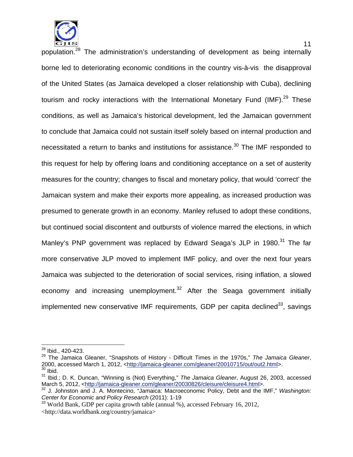

population.<sup>28</sup> The administration's understanding of development as being internally borne led to deteriorating economic conditions in the country vis-à-vis the disapproval of the United States (as Jamaica developed a closer relationship with Cuba), declining tourism and rocky interactions with the International Monetary Fund (IMF).<sup>29</sup> These conditions, as well as Jamaica's historical development, led the Jamaican government to conclude that Jamaica could not sustain itself solely based on internal production and necessitated a return to banks and institutions for assistance.<sup>30</sup> The IMF responded to this request for help by offering loans and conditioning acceptance on a set of austerity measures for the country; changes to fiscal and monetary policy, that would 'correct' the Jamaican system and make their exports more appealing, as increased production was presumed to generate growth in an economy. Manley refused to adopt these conditions, but continued social discontent and outbursts of violence marred the elections, in which Manley's PNP government was replaced by Edward Seaga's JLP in 1980. $31$  The far more conservative JLP moved to implement IMF policy, and over the next four years Jamaica was subjected to the deterioration of social services, rising inflation, a slowed economy and increasing unemployment.<sup>32</sup> After the Seaga government initially implemented new conservative IMF requirements, GDP per capita declined<sup>33</sup>, savings

 $\overline{\phantom{a}}$  $\frac{28}{10}$  Ibid., 420-423.

<sup>29</sup> The Jamaica Gleaner, "Snapshots of History - Difficult Times in the 1970s," *The Jamaica Gleaner*, 2000, accessed March 1, 2012, <<u>http://jamaica-gleaner.com/gleaner/20010715/out/out2.html</u>>.  $\frac{30}{1}$  Ibid.

<sup>31</sup> Ibid.; D. K. Duncan, "Winning is (Not) Everything," *The Jamaica Gleaner*, August 26, 2003, accessed March 5, 2012, <http://jamaica-gleaner.com/gleaner/20030826/cleisure/cleisure4.html>.

<sup>32</sup> J. Johnston and J. A. Montecino, "Jamaica: Macroeconomic Policy, Debt and the IMF," *Washington: Center for Economic and Policy Research* (2011): 1-19

<sup>&</sup>lt;sup>33</sup> World Bank, GDP per capita growth table (annual %), accessed February 16, 2012, <http://data.worldbank.org/country/jamaica>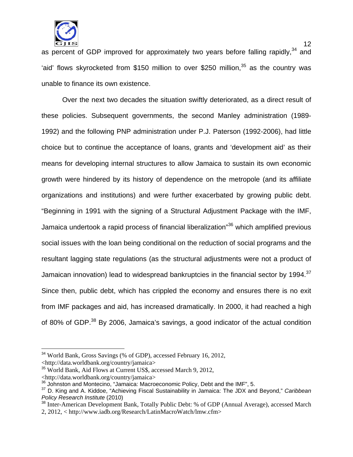

 $12$ as percent of GDP improved for approximately two years before falling rapidly,<sup>34</sup> and 'aid' flows skyrocketed from \$150 million to over \$250 million, $35$  as the country was unable to finance its own existence.

Over the next two decades the situation swiftly deteriorated, as a direct result of these policies. Subsequent governments, the second Manley administration (1989- 1992) and the following PNP administration under P.J. Paterson (1992-2006), had little choice but to continue the acceptance of loans, grants and 'development aid' as their means for developing internal structures to allow Jamaica to sustain its own economic growth were hindered by its history of dependence on the metropole (and its affiliate organizations and institutions) and were further exacerbated by growing public debt. "Beginning in 1991 with the signing of a Structural Adjustment Package with the IMF, Jamaica undertook a rapid process of financial liberalization<sup>36</sup> which amplified previous social issues with the loan being conditional on the reduction of social programs and the resultant lagging state regulations (as the structural adjustments were not a product of Jamaican innovation) lead to widespread bankruptcies in the financial sector by 1994.<sup>37</sup> Since then, public debt, which has crippled the economy and ensures there is no exit from IMF packages and aid, has increased dramatically. In 2000, it had reached a high of 80% of GDP.<sup>38</sup> By 2006, Jamaica's savings, a good indicator of the actual condition

<http://data.worldbank.org/country/jamaica>

 $\overline{a}$ 

<sup>&</sup>lt;sup>34</sup> World Bank, Gross Savings (% of GDP), accessed February 16, 2012,

<sup>35</sup> World Bank, Aid Flows at Current US\$, accessed March 9, 2012,

<sup>&</sup>lt;http://data.worldbank.org/country/jamaica>

<sup>&</sup>lt;sup>36</sup> Johnston and Montecino, "Jamaica: Macroeconomic Policy, Debt and the IMF", 5.<br><sup>37</sup> D. King and A. Kiddoe, "Achieving Fiscal Sustainability in Jamaica: The JDX and Beyond," *Caribbean Policy Research Institute* (2010)

<sup>&</sup>lt;sup>38</sup> Inter-American Development Bank, Totally Public Debt: % of GDP (Annual Average), accessed March

<sup>2, 2012, &</sup>lt; http://www.iadb.org/Research/LatinMacroWatch/lmw.cfm>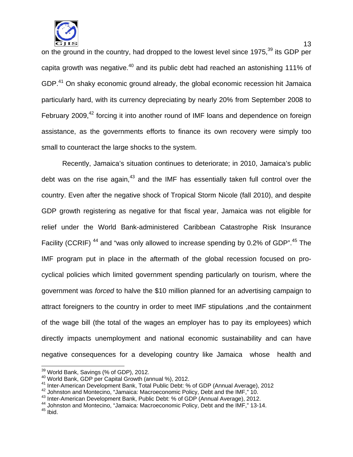

 $13$ on the ground in the country, had dropped to the lowest level since 1975,<sup>39</sup> its GDP per capita growth was negative.40 and its public debt had reached an astonishing 111% of GDP.<sup>41</sup> On shaky economic ground already, the global economic recession hit Jamaica particularly hard, with its currency depreciating by nearly 20% from September 2008 to February 2009,<sup>42</sup> forcing it into another round of IMF loans and dependence on foreign assistance, as the governments efforts to finance its own recovery were simply too small to counteract the large shocks to the system.

Recently, Jamaica's situation continues to deteriorate; in 2010, Jamaica's public debt was on the rise again, $43$  and the IMF has essentially taken full control over the country. Even after the negative shock of Tropical Storm Nicole (fall 2010), and despite GDP growth registering as negative for that fiscal year, Jamaica was not eligible for relief under the World Bank-administered Caribbean Catastrophe Risk Insurance Facility (CCRIF)<sup>44</sup> and "was only allowed to increase spending by 0.2% of GDP".<sup>45</sup> The IMF program put in place in the aftermath of the global recession focused on procyclical policies which limited government spending particularly on tourism, where the government was *forced* to halve the \$10 million planned for an advertising campaign to attract foreigners to the country in order to meet IMF stipulations ,and the containment of the wage bill (the total of the wages an employer has to pay its employees) which directly impacts unemployment and national economic sustainability and can have negative consequences for a developing country like Jamaica whose health and

<sup>&</sup>lt;sup>39</sup> World Bank, Savings (% of GDP), 2012.

<sup>&</sup>lt;sup>40</sup> World Bank, GDP per Capital Growth (annual %), 2012.<br>
<sup>41</sup> Inter-American Development Bank, Total Public Debt: % of GDP (Annual Average), 2012<br>
<sup>42</sup> Johnston and Montecino, "Jamaica: Macroeconomic Policy, Debt and th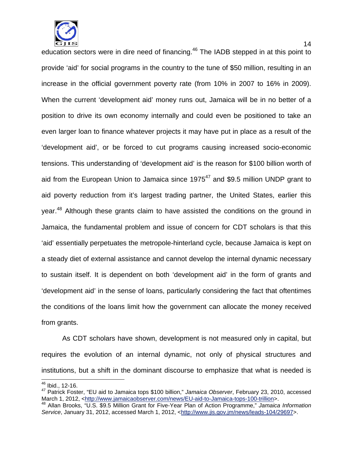

education sectors were in dire need of financing.<sup>46</sup> The IADB stepped in at this point to provide 'aid' for social programs in the country to the tune of \$50 million, resulting in an increase in the official government poverty rate (from 10% in 2007 to 16% in 2009). When the current 'development aid' money runs out, Jamaica will be in no better of a position to drive its own economy internally and could even be positioned to take an even larger loan to finance whatever projects it may have put in place as a result of the 'development aid', or be forced to cut programs causing increased socio-economic tensions. This understanding of 'development aid' is the reason for \$100 billion worth of aid from the European Union to Jamaica since  $1975^{47}$  and \$9.5 million UNDP grant to aid poverty reduction from it's largest trading partner, the United States, earlier this year.<sup>48</sup> Although these grants claim to have assisted the conditions on the ground in Jamaica, the fundamental problem and issue of concern for CDT scholars is that this 'aid' essentially perpetuates the metropole-hinterland cycle, because Jamaica is kept on a steady diet of external assistance and cannot develop the internal dynamic necessary to sustain itself. It is dependent on both 'development aid' in the form of grants and 'development aid' in the sense of loans, particularly considering the fact that oftentimes the conditions of the loans limit how the government can allocate the money received from grants.

As CDT scholars have shown, development is not measured only in capital, but requires the evolution of an internal dynamic, not only of physical structures and institutions, but a shift in the dominant discourse to emphasize that what is needed is

 $\overline{\phantom{a}}$  $46$  Ibid., 12-16.

<sup>47</sup> Patrick Foster, "EU aid to Jamaica tops \$100 billion," *Jamaica Observer*, February 23, 2010, accessed March 1, 2012, <http://www.jamaicaobserver.com/news/EU-aid-to-Jamaica-tops-100-trillion>.

<sup>48</sup> Allan Brooks, "U.S. \$9.5 Million Grant for Five-Year Plan of Action Programme," *Jamaica Information Service*, January 31, 2012, accessed March 1, 2012, <http://www.jis.gov.jm/news/leads-104/29697>.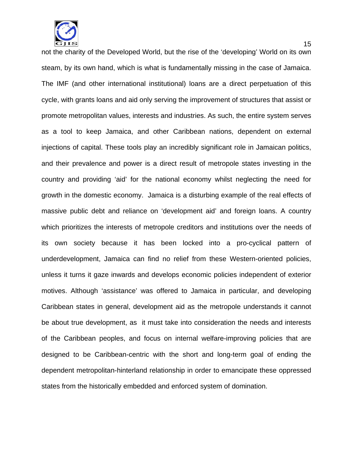

 $15$ not the charity of the Developed World, but the rise of the 'developing' World on its own steam, by its own hand, which is what is fundamentally missing in the case of Jamaica. The IMF (and other international institutional) loans are a direct perpetuation of this cycle, with grants loans and aid only serving the improvement of structures that assist or promote metropolitan values, interests and industries. As such, the entire system serves as a tool to keep Jamaica, and other Caribbean nations, dependent on external injections of capital. These tools play an incredibly significant role in Jamaican politics, and their prevalence and power is a direct result of metropole states investing in the country and providing 'aid' for the national economy whilst neglecting the need for growth in the domestic economy. Jamaica is a disturbing example of the real effects of massive public debt and reliance on 'development aid' and foreign loans. A country which prioritizes the interests of metropole creditors and institutions over the needs of its own society because it has been locked into a pro-cyclical pattern of underdevelopment, Jamaica can find no relief from these Western-oriented policies, unless it turns it gaze inwards and develops economic policies independent of exterior motives. Although 'assistance' was offered to Jamaica in particular, and developing Caribbean states in general, development aid as the metropole understands it cannot be about true development, as it must take into consideration the needs and interests of the Caribbean peoples, and focus on internal welfare-improving policies that are designed to be Caribbean-centric with the short and long-term goal of ending the dependent metropolitan-hinterland relationship in order to emancipate these oppressed states from the historically embedded and enforced system of domination.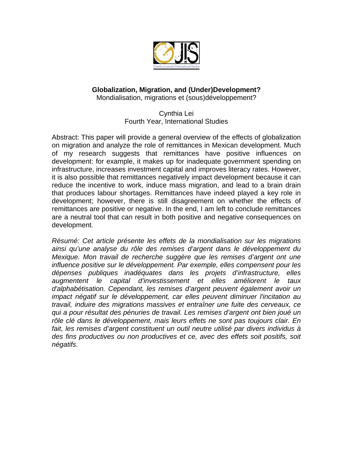

# **Globalization, Migration, and (Under)Development?**

Mondialisation, migrations et (sous)développement?

Cynthia Lei Fourth Year, International Studies

Abstract: This paper will provide a general overview of the effects of globalization on migration and analyze the role of remittances in Mexican development. Much of my research suggests that remittances have positive influences on development: for example, it makes up for inadequate government spending on infrastructure, increases investment capital and improves literacy rates. However, it is also possible that remittances negatively impact development because it can reduce the incentive to work, induce mass migration, and lead to a brain drain that produces labour shortages. Remittances have indeed played a key role in development; however, there is still disagreement on whether the effects of remittances are positive or negative. In the end, I am left to conclude remittances are a neutral tool that can result in both positive and negative consequences on development.

*Résumé: Cet article présente les effets de la mondialisation sur les migrations ainsi qu'une analyse du rôle des remises d'argent dans le développement du Mexique. Mon travail de recherche suggère que les remises d'argent ont une influence positive sur le développement. Par exemple, elles compensent pour les dépenses publiques inadéquates dans les projets d'infrastructure, elles augmentent le capital d'investissement et elles améliorent le taux d'alphabétisation. Cependant, les remises d'argent peuvent également avoir un impact négatif sur le développement, car elles peuvent diminuer l'incitation au travail, induire des migrations massives et entraîner une fuite des cerveaux, ce qui a pour résultat des pénuries de travail. Les remises d'argent ont bien joué un*  rôle clé dans le développement, mais leurs effets ne sont pas toujours clair. En fait, les remises d'argent constituent un outil neutre utilisé par divers individus à *des fins productives ou non productives et ce, avec des effets soit positifs, soit négatifs.*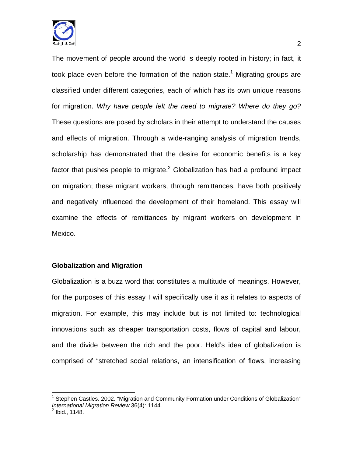

The movement of people around the world is deeply rooted in history; in fact, it took place even before the formation of the nation-state.<sup>1</sup> Migrating groups are classified under different categories, each of which has its own unique reasons for migration. *Why have people felt the need to migrate? Where do they go?*  These questions are posed by scholars in their attempt to understand the causes and effects of migration. Through a wide-ranging analysis of migration trends, scholarship has demonstrated that the desire for economic benefits is a key factor that pushes people to migrate.<sup>2</sup> Globalization has had a profound impact on migration; these migrant workers, through remittances, have both positively and negatively influenced the development of their homeland. This essay will examine the effects of remittances by migrant workers on development in Mexico.

#### **Globalization and Migration**

Globalization is a buzz word that constitutes a multitude of meanings. However, for the purposes of this essay I will specifically use it as it relates to aspects of migration. For example, this may include but is not limited to: technological innovations such as cheaper transportation costs, flows of capital and labour, and the divide between the rich and the poor. Held's idea of globalization is comprised of "stretched social relations, an intensification of flows, increasing

 $\overline{\phantom{a}}$ 

<sup>&</sup>lt;sup>1</sup> Stephen Castles. 2002. "Migration and Community Formation under Conditions of Globalization" *International Migration Review* 36(4): 1144.<br><sup>2</sup> Ibid., 1148.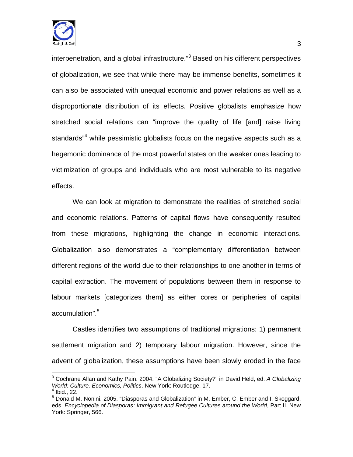

interpenetration, and a global infrastructure."<sup>3</sup> Based on his different perspectives of globalization, we see that while there may be immense benefits, sometimes it can also be associated with unequal economic and power relations as well as a disproportionate distribution of its effects. Positive globalists emphasize how stretched social relations can "improve the quality of life [and] raise living standards"<sup>4</sup> while pessimistic globalists focus on the negative aspects such as a hegemonic dominance of the most powerful states on the weaker ones leading to victimization of groups and individuals who are most vulnerable to its negative effects.

We can look at migration to demonstrate the realities of stretched social and economic relations. Patterns of capital flows have consequently resulted from these migrations, highlighting the change in economic interactions. Globalization also demonstrates a "complementary differentiation between different regions of the world due to their relationships to one another in terms of capital extraction. The movement of populations between them in response to labour markets [categorizes them] as either cores or peripheries of capital accumulation".<sup>5</sup>

Castles identifies two assumptions of traditional migrations: 1) permanent settlement migration and 2) temporary labour migration. However, since the advent of globalization, these assumptions have been slowly eroded in the face

 3 Cochrane Allan and Kathy Pain. 2004. "A Globalizing Society?" in David Held, ed. *A Globalizing World: Culture, Economics, Politics*. New York: Routledge, 17. <sup>4</sup>  $<sup>4</sup>$  Ibid., 22.</sup>

<sup>&</sup>lt;sup>5</sup> Donald M. Nonini. 2005. "Diasporas and Globalization" in M. Ember, C. Ember and I. Skoggard, eds. *Encyclopedia of Diasporas: Immigrant and Refugee Cultures around the World*, Part II. New York: Springer, 566.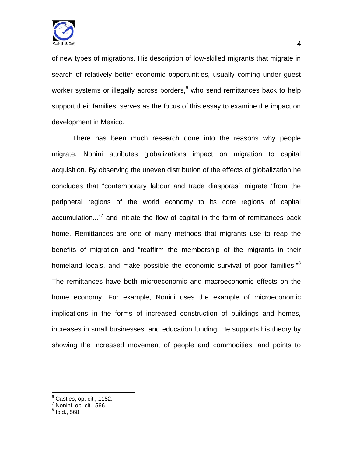

of new types of migrations. His description of low-skilled migrants that migrate in search of relatively better economic opportunities, usually coming under guest worker systems or illegally across borders,  $6$  who send remittances back to help support their families, serves as the focus of this essay to examine the impact on development in Mexico.

There has been much research done into the reasons why people migrate. Nonini attributes globalizations impact on migration to capital acquisition. By observing the uneven distribution of the effects of globalization he concludes that "contemporary labour and trade diasporas" migrate "from the peripheral regions of the world economy to its core regions of capital accumulation..."<sup>7</sup> and initiate the flow of capital in the form of remittances back home. Remittances are one of many methods that migrants use to reap the benefits of migration and "reaffirm the membership of the migrants in their homeland locals, and make possible the economic survival of poor families."<sup>8</sup> The remittances have both microeconomic and macroeconomic effects on the home economy. For example, Nonini uses the example of microeconomic implications in the forms of increased construction of buildings and homes, increases in small businesses, and education funding. He supports his theory by showing the increased movement of people and commodities, and points to

<sup>&</sup>lt;u>。</u><br>\_ Castles, op. cit., 1152.

 $<sup>7</sup>$  Nonini. op. cit., 566.</sup>

 $^8$  Ibid., 568.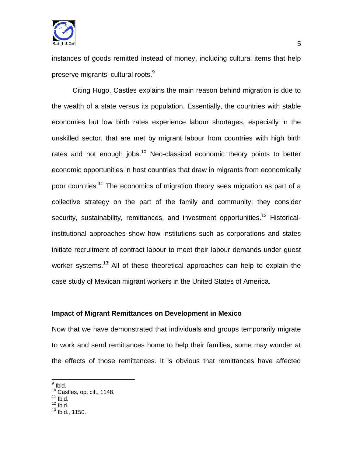

instances of goods remitted instead of money, including cultural items that help preserve migrants' cultural roots.<sup>9</sup>

Citing Hugo, Castles explains the main reason behind migration is due to the wealth of a state versus its population. Essentially, the countries with stable economies but low birth rates experience labour shortages, especially in the unskilled sector, that are met by migrant labour from countries with high birth rates and not enough jobs.<sup>10</sup> Neo-classical economic theory points to better economic opportunities in host countries that draw in migrants from economically poor countries.<sup>11</sup> The economics of migration theory sees migration as part of a collective strategy on the part of the family and community; they consider security, sustainability, remittances, and investment opportunities.<sup>12</sup> Historicalinstitutional approaches show how institutions such as corporations and states initiate recruitment of contract labour to meet their labour demands under guest worker systems.<sup>13</sup> All of these theoretical approaches can help to explain the case study of Mexican migrant workers in the United States of America.

#### **Impact of Migrant Remittances on Development in Mexico**

Now that we have demonstrated that individuals and groups temporarily migrate to work and send remittances home to help their families, some may wonder at the effects of those remittances. It is obvious that remittances have affected

 $\overline{9}$  Ibid.

 $\frac{10}{10}$  Castles, op. cit., 1148.

 $12$  Ibid.

<sup>13</sup> Ibid., 1150.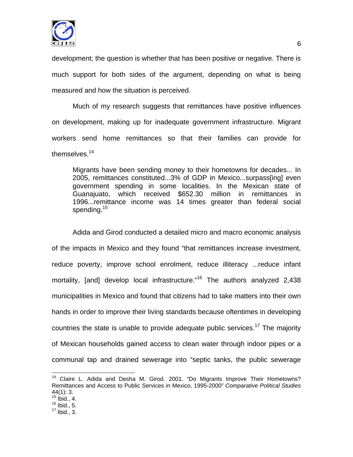

development; the question is whether that has been positive or negative. There is much support for both sides of the argument, depending on what is being measured and how the situation is perceived.

Much of my research suggests that remittances have positive influences on development, making up for inadequate government infrastructure. Migrant workers send home remittances so that their families can provide for themselves.<sup>14</sup>

Migrants have been sending money to their hometowns for decades... In 2005, remittances constituted...3% of GDP in Mexico...surpass[ing] even government spending in some localities. In the Mexican state of Guanajuato, which received \$652.30 million in remittances in 1996...remittance income was 14 times greater than federal social spending.<sup>15</sup>

Adida and Girod conducted a detailed micro and macro economic analysis of the impacts in Mexico and they found "that remittances increase investment, reduce poverty, improve school enrolment, reduce illiteracy ...reduce infant mortality, [and] develop local infrastructure."<sup>16</sup> The authors analyzed 2,438 municipalities in Mexico and found that citizens had to take matters into their own hands in order to improve their living standards because oftentimes in developing countries the state is unable to provide adequate public services.<sup>17</sup> The majority of Mexican households gained access to clean water through indoor pipes or a communal tap and drained sewerage into "septic tanks, the public sewerage

 $\overline{\phantom{a}}$ 

<sup>&</sup>lt;sup>14</sup> Claire L. Adida and Desha M. Girod. 2001. "Do Migrants Improve Their Hometowns? Remittances and Access to Public Services in Mexico, 1995-2000" *Comparative Political Studies* 44(1): 3.

 $15$  Ibid., 4.  $16$  Ibid., 5.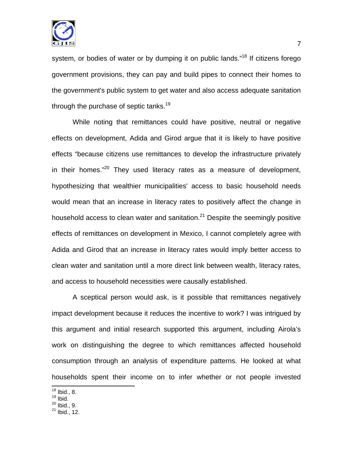

system, or bodies of water or by dumping it on public lands."<sup>18</sup> If citizens forego government provisions, they can pay and build pipes to connect their homes to the government's public system to get water and also access adequate sanitation through the purchase of septic tanks.<sup>19</sup>

While noting that remittances could have positive, neutral or negative effects on development, Adida and Girod argue that it is likely to have positive effects "because citizens use remittances to develop the infrastructure privately in their homes. $"^{20}$  They used literacy rates as a measure of development, hypothesizing that wealthier municipalities' access to basic household needs would mean that an increase in literacy rates to positively affect the change in household access to clean water and sanitation. $^{21}$  Despite the seemingly positive effects of remittances on development in Mexico, I cannot completely agree with Adida and Girod that an increase in literacy rates would imply better access to clean water and sanitation until a more direct link between wealth, literacy rates, and access to household necessities were causally established.

A sceptical person would ask, is it possible that remittances negatively impact development because it reduces the incentive to work? I was intrigued by this argument and initial research supported this argument, including Airola's work on distinguishing the degree to which remittances affected household consumption through an analysis of expenditure patterns. He looked at what households spent their income on to infer whether or not people invested

 $\overline{\phantom{a}}$ 

 $18$  Ibid., 8.

 $19$  lbid.

 $^{1111}$ <sup>20</sup> Ibid., 9.

 $^{21}$  Ibid., 12.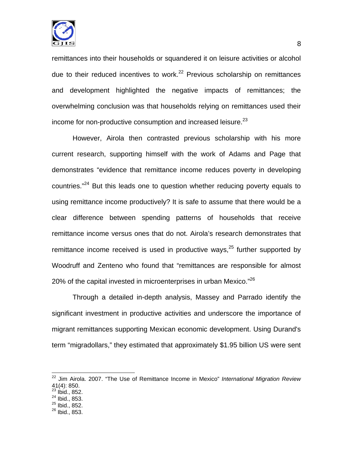

remittances into their households or squandered it on leisure activities or alcohol due to their reduced incentives to work.<sup>22</sup> Previous scholarship on remittances and development highlighted the negative impacts of remittances; the overwhelming conclusion was that households relying on remittances used their income for non-productive consumption and increased leisure. $^{23}$ 

However, Airola then contrasted previous scholarship with his more current research, supporting himself with the work of Adams and Page that demonstrates "evidence that remittance income reduces poverty in developing countries."24 But this leads one to question whether reducing poverty equals to using remittance income productively? It is safe to assume that there would be a clear difference between spending patterns of households that receive remittance income versus ones that do not. Airola's research demonstrates that remittance income received is used in productive ways,  $25$  further supported by Woodruff and Zenteno who found that "remittances are responsible for almost 20% of the capital invested in microenterprises in urban Mexico."<sup>26</sup>

Through a detailed in-depth analysis, Massey and Parrado identify the significant investment in productive activities and underscore the importance of migrant remittances supporting Mexican economic development. Using Durand's term "migradollars," they estimated that approximately \$1.95 billion US were sent

 $\overline{a}$ 22 Jim Airola. 2007. "The Use of Remittance Income in Mexico" *International Migration Review* 41(4): 850.

 $^{23}$  Ibid., 852.

 $^{24}$  Ibid., 853.

 $^{25}$  Ibid., 852.

<sup>26</sup> Ibid., 853.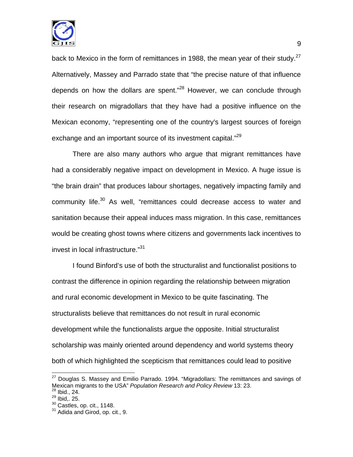

back to Mexico in the form of remittances in 1988, the mean year of their study.<sup>27</sup> Alternatively, Massey and Parrado state that "the precise nature of that influence depends on how the dollars are spent."<sup>28</sup> However, we can conclude through their research on migradollars that they have had a positive influence on the Mexican economy, "representing one of the country's largest sources of foreign exchange and an important source of its investment capital."<sup>29</sup>

There are also many authors who argue that migrant remittances have had a considerably negative impact on development in Mexico. A huge issue is "the brain drain" that produces labour shortages, negatively impacting family and community life.<sup>30</sup> As well, "remittances could decrease access to water and sanitation because their appeal induces mass migration. In this case, remittances would be creating ghost towns where citizens and governments lack incentives to invest in local infrastructure."31

I found Binford's use of both the structuralist and functionalist positions to contrast the difference in opinion regarding the relationship between migration and rural economic development in Mexico to be quite fascinating. The structuralists believe that remittances do not result in rural economic development while the functionalists argue the opposite. Initial structuralist scholarship was mainly oriented around dependency and world systems theory both of which highlighted the scepticism that remittances could lead to positive

 $\overline{a}$ 

 $27$  Douglas S. Massey and Emilio Parrado. 1994. "Migradollars: The remittances and savings of Mexican migrants to the USA" *Population Research and Policy Review* 13: 23.

 $^{28}$  Ibid., 24.

 $^{29}$  Ibid,. 25.<br> $^{30}$  Castles, op. cit., 1148.

 $31$  Adida and Girod, op. cit., 9.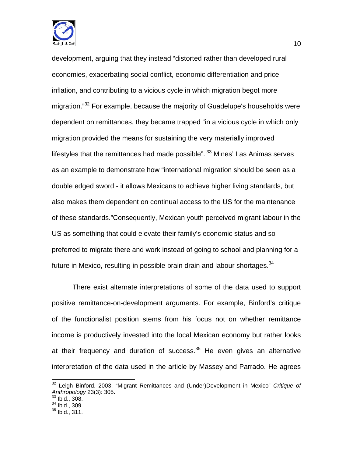

development, arguing that they instead "distorted rather than developed rural economies, exacerbating social conflict, economic differentiation and price inflation, and contributing to a vicious cycle in which migration begot more migration."32 For example, because the majority of Guadelupe's households were dependent on remittances, they became trapped "in a vicious cycle in which only migration provided the means for sustaining the very materially improved lifestyles that the remittances had made possible".  $33$  Mines' Las Animas serves as an example to demonstrate how "international migration should be seen as a double edged sword - it allows Mexicans to achieve higher living standards, but also makes them dependent on continual access to the US for the maintenance of these standards."Consequently, Mexican youth perceived migrant labour in the US as something that could elevate their family's economic status and so preferred to migrate there and work instead of going to school and planning for a future in Mexico, resulting in possible brain drain and labour shortages.<sup>34</sup>

There exist alternate interpretations of some of the data used to support positive remittance-on-development arguments. For example, Binford's critique of the functionalist position stems from his focus not on whether remittance income is productively invested into the local Mexican economy but rather looks at their frequency and duration of success. $35$  He even gives an alternative interpretation of the data used in the article by Massey and Parrado. He agrees

 $\overline{\phantom{a}}$ 

<sup>32</sup> Leigh Binford. 2003. "Migrant Remittances and (Under)Development in Mexico" *Critique of Anthropology* 23(3): 305.<br><sup>33</sup> Ibid., 308.

 $34$  Ibid., 309.

 $^{35}$  Ibid., 311.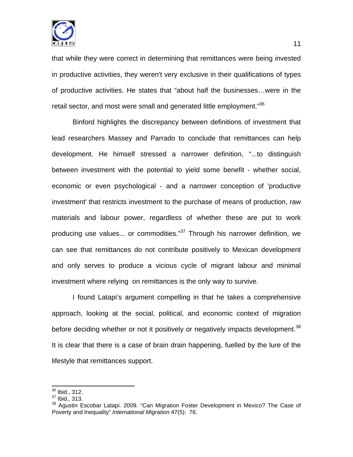

that while they were correct in determining that remittances were being invested in productive activities, they weren't very exclusive in their qualifications of types of productive activities. He states that "about half the businesses…were in the retail sector, and most were small and generated little employment."<sup>36</sup>

Binford highlights the discrepancy between definitions of investment that lead researchers Massey and Parrado to conclude that remittances can help development. He himself stressed a narrower definition, "...to distinguish between investment with the potential to yield some benefit - whether social, economic or even psychological - and a narrower conception of 'productive investment' that restricts investment to the purchase of means of production, raw materials and labour power, regardless of whether these are put to work producing use values... or commodities."<sup>37</sup> Through his narrower definition, we can see that remittances do not contribute positively to Mexican development and only serves to produce a vicious cycle of migrant labour and minimal investment where relying on remittances is the only way to survive.

I found Latapi's argument compelling in that he takes a comprehensive approach, looking at the social, political, and economic context of migration before deciding whether or not it positively or negatively impacts development.<sup>38</sup> It is clear that there is a case of brain drain happening, fuelled by the lure of the lifestyle that remittances support.

 $\overline{\phantom{a}}$  $\frac{36}{1}$  Ibid., 312.

 $37$  Ibid., 313.

<sup>38</sup> Agustin Escobar Latapi. 2009. "Can Migration Foster Development in Mexico? The Case of Poverty and Inequality" *International Migration* 47(5): 76.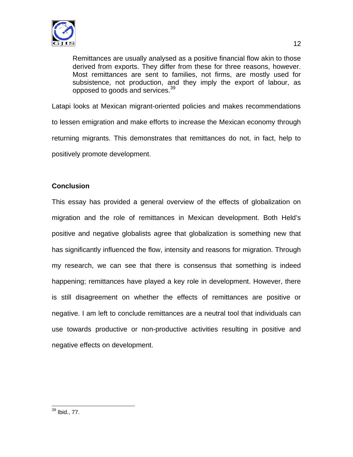

Remittances are usually analysed as a positive financial flow akin to those derived from exports. They differ from these for three reasons, however. Most remittances are sent to families, not firms, are mostly used for subsistence, not production, and they imply the export of labour, as opposed to goods and services.<sup>39</sup>

Latapi looks at Mexican migrant-oriented policies and makes recommendations to lessen emigration and make efforts to increase the Mexican economy through returning migrants. This demonstrates that remittances do not, in fact, help to positively promote development.

#### **Conclusion**

This essay has provided a general overview of the effects of globalization on migration and the role of remittances in Mexican development. Both Held's positive and negative globalists agree that globalization is something new that has significantly influenced the flow, intensity and reasons for migration. Through my research, we can see that there is consensus that something is indeed happening; remittances have played a key role in development. However, there is still disagreement on whether the effects of remittances are positive or negative. I am left to conclude remittances are a neutral tool that individuals can use towards productive or non-productive activities resulting in positive and negative effects on development.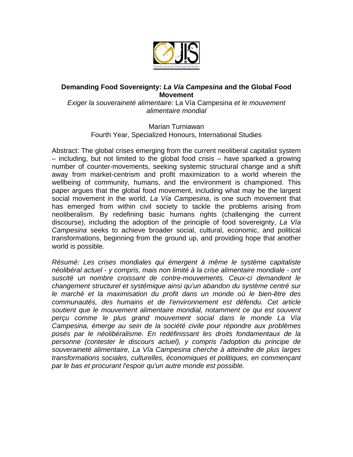

## **Demanding Food Sovereignty:** *La Vía Campesina* **and the Global Food Movement**

*Exiger la souveraineté alimentaire:* La Vía Campesina *et le mouvement alimentaire mondial* 

#### Marian Turniawan Fourth Year, Specialized Honours, International Studies

Abstract: The global crises emerging from the current neoliberal capitalist system – including, but not limited to the global food crisis – have sparked a growing number of counter-movements, seeking systemic structural change and a shift away from market-centrism and profit maximization to a world wherein the wellbeing of community, humans, and the environment is championed. This paper argues that the global food movement, including what may be the largest social movement in the world, *La Vía Campesina*, is one such movement that has emerged from within civil society to tackle the problems arising from neoliberalism. By redefining basic humans rights (challenging the current discourse), including the adoption of the principle of food sovereignty, *La Vía Campesina* seeks to achieve broader social, cultural, economic, and political transformations, beginning from the ground up, and providing hope that another world is possible.

*Résumé: Les crises mondiales qui émergent à même le système capitaliste néolibéral actuel - y compris, mais non limité à la crise alimentaire mondiale - ont suscité un nombre croissant de contre-mouvements. Ceux-ci demandent le changement structurel et systémique ainsi qu'un abandon du système centré sur le marché et la maximisation du profit dans un monde où le bien-être des communautés, des humains et de l'environnement est défendu. Cet article soutient que le mouvement alimentaire mondial, notamment ce qui est souvent perçu comme le plus grand mouvement social dans le monde La Vía Campesina, émerge au sein de la société civile pour répondre aux problèmes posés par le néolibéralisme. En redéfinissant les droits fondamentaux de la personne (contester le discours actuel), y compris l'adoption du principe de souveraineté alimentaire, La Vía Campesina cherche à atteindre de plus larges transformations sociales, culturelles, économiques et politiques, en commençant par le bas et procurant l'espoir qu'un autre monde est possible.*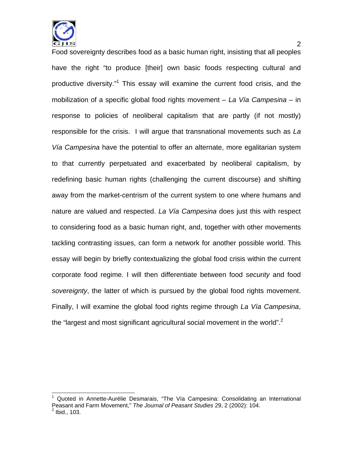

 $\overline{\phantom{a}}$ 

Food sovereignty describes food as a basic human right, insisting that all peoples have the right "to produce [their] own basic foods respecting cultural and productive diversity."<sup>1</sup> This essay will examine the current food crisis, and the mobilization of a specific global food rights movement – *La Vía Campesina* – in response to policies of neoliberal capitalism that are partly (if not mostly) responsible for the crisis. I will argue that transnational movements such as *La Vía Campesina* have the potential to offer an alternate, more egalitarian system to that currently perpetuated and exacerbated by neoliberal capitalism, by redefining basic human rights (challenging the current discourse) and shifting away from the market-centrism of the current system to one where humans and nature are valued and respected. *La Vía Campesina* does just this with respect to considering food as a basic human right, and, together with other movements tackling contrasting issues, can form a network for another possible world. This essay will begin by briefly contextualizing the global food crisis within the current corporate food regime. I will then differentiate between food *security* and food *sovereignty*, the latter of which is pursued by the global food rights movement. Finally, I will examine the global food rights regime through *La Vía Campesina*, the "largest and most significant agricultural social movement in the world".<sup>2</sup>

<sup>1</sup> Quoted in Annette-Aurélie Desmarais, "The Vía Campesina: Consolidating an International Peasant and Farm Movement," *The Journal of Peasant Studies* 29, 2 (2002): 104.<br><sup>2</sup> Ibid., 103.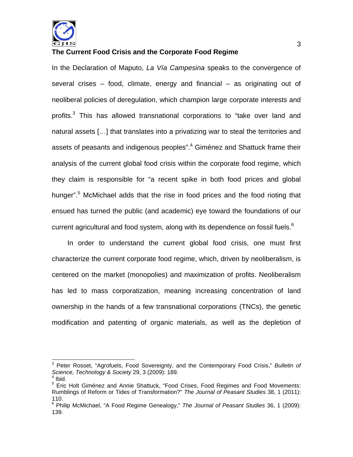

#### **The Current Food Crisis and the Corporate Food Regime**

In the Declaration of Maputo, *La Vía Campesina* speaks to the convergence of several crises – food, climate, energy and financial – as originating out of neoliberal policies of deregulation, which champion large corporate interests and profits.<sup>3</sup> This has allowed transnational corporations to "take over land and natural assets […] that translates into a privatizing war to steal the territories and assets of peasants and indigenous peoples".<sup>4</sup> Giménez and Shattuck frame their analysis of the current global food crisis within the corporate food regime, which they claim is responsible for "a recent spike in both food prices and global hunger".<sup>5</sup> McMichael adds that the rise in food prices and the food rioting that ensued has turned the public (and academic) eye toward the foundations of our current agricultural and food system, along with its dependence on fossil fuels.<sup>6</sup>

 In order to understand the current global food crisis, one must first characterize the current corporate food regime, which, driven by neoliberalism, is centered on the market (monopolies) and maximization of profits. Neoliberalism has led to mass corporatization, meaning increasing concentration of land ownership in the hands of a few transnational corporations (TNCs), the genetic modification and patenting of organic materials, as well as the depletion of

 3 Peter Rosset, "Agrofuels, Food Sovereignty, and the Contemporary Food Crisis," *Bulletin of Science, Technology & Society* 29, 3 (2009): 189. <sup>4</sup>

 $<sup>4</sup>$  Ibid.</sup>

<sup>&</sup>lt;sup>5</sup> Eric Holt Giménez and Annie Shattuck, "Food Crises, Food Regimes and Food Movements: Rumblings of Reform or Tides of Transformation?" *The Journal of Peasant Studies* 38, 1 (2011): 110.

<sup>6</sup> Philip McMichael, "A Food Regime Genealogy," *The Journal of Peasant Studies* 36, 1 (2009): 139.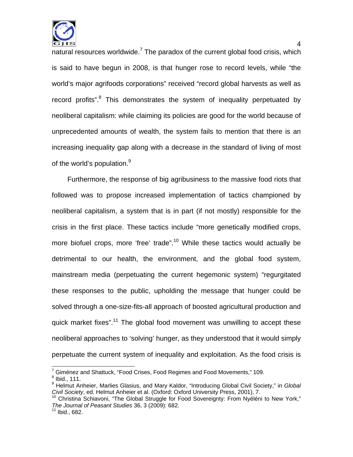

natural resources worldwide.<sup>7</sup> The paradox of the current global food crisis, which is said to have begun in 2008, is that hunger rose to record levels, while "the world's major agrifoods corporations" received "record global harvests as well as record profits".<sup>8</sup> This demonstrates the system of inequality perpetuated by neoliberal capitalism: while claiming its policies are good for the world because of unprecedented amounts of wealth, the system fails to mention that there is an increasing inequality gap along with a decrease in the standard of living of most of the world's population.<sup>9</sup>

 Furthermore, the response of big agribusiness to the massive food riots that followed was to propose increased implementation of tactics championed by neoliberal capitalism, a system that is in part (if not mostly) responsible for the crisis in the first place. These tactics include "more genetically modified crops, more biofuel crops, more 'free' trade".<sup>10</sup> While these tactics would actually be detrimental to our health, the environment, and the global food system, mainstream media (perpetuating the current hegemonic system) "regurgitated these responses to the public, upholding the message that hunger could be solved through a one-size-fits-all approach of boosted agricultural production and quick market fixes".<sup>11</sup> The global food movement was unwilling to accept these neoliberal approaches to 'solving' hunger, as they understood that it would simply perpetuate the current system of inequality and exploitation. As the food crisis is

 7 Giménez and Shattuck, "Food Crises, Food Regimes and Food Movements," 109.

 $\frac{8}{1}$  Ibid., 111.

<sup>9</sup> Helmut Anheier, Marlies Glasius, and Mary Kaldor, "Introducing Global Civil Society," in *Global Civil Society*, ed. Helmut Anheier et al. (Oxford: Oxford University Press, 2001), 7.<br><sup>10</sup> Christina Schiavoni, "The Global Struggle for Food Sovereignty: From Nyéléni to New York,"

*The Journal of Peasant Studies* 36, 3 (2009): 682. 11 Ibid., 682.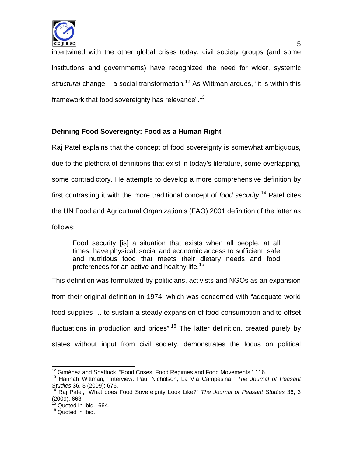

 $\sim$  5  $\sim$  5  $\sim$  5  $\sim$  5  $\sim$  5  $\sim$  5  $\sim$  5  $\sim$  5  $\sim$  5  $\sim$  5  $\sim$  5  $\sim$  5  $\sim$  5  $\sim$  5  $\sim$  5  $\sim$  5  $\sim$  5  $\sim$  5  $\sim$  5  $\sim$  5  $\sim$  5  $\sim$  5  $\sim$  5  $\sim$  5  $\sim$  5  $\sim$  5  $\sim$  5  $\sim$  5  $\sim$  5  $\sim$  5  $\sim$  5  $\sim$ intertwined with the other global crises today, civil society groups (and some institutions and governments) have recognized the need for wider, systemic *structural* change – a social transformation.12 As Wittman argues, "it is within this framework that food sovereignty has relevance".<sup>13</sup>

# **Defining Food Sovereignty: Food as a Human Right**

Raj Patel explains that the concept of food sovereignty is somewhat ambiguous, due to the plethora of definitions that exist in today's literature, some overlapping, some contradictory. He attempts to develop a more comprehensive definition by first contrasting it with the more traditional concept of *food security*. 14 Patel cites the UN Food and Agricultural Organization's (FAO) 2001 definition of the latter as follows:

Food security [is] a situation that exists when all people, at all times, have physical, social and economic access to sufficient, safe and nutritious food that meets their dietary needs and food preferences for an active and healthy life.<sup>15</sup>

This definition was formulated by politicians, activists and NGOs as an expansion from their original definition in 1974, which was concerned with "adequate world food supplies … to sustain a steady expansion of food consumption and to offset fluctuations in production and prices".<sup>16</sup> The latter definition, created purely by states without input from civil society, demonstrates the focus on political

<sup>&</sup>lt;sup>12</sup> Giménez and Shattuck, "Food Crises, Food Regimes and Food Movements," 116.

<sup>&</sup>lt;sup>13</sup> Hannah Wittman, "Interview: Paul Nicholson, La Vía Campesina," *The Journal of Peasant*<br>*Studies* 36, 3 (2009): 676.<br><sup>14</sup> Rai Patel "What door Food Caussicuted and *a* service and *a* 

*Studies* 36, 3 (2009): 676. 14 Raj Patel, "What does Food Sovereignty Look Like?" *The Journal of Peasant Studies* 36, 3 (2009): 663.

 $15$  Quoted in Ibid., 664.

<sup>&</sup>lt;sup>16</sup> Quoted in Ibid.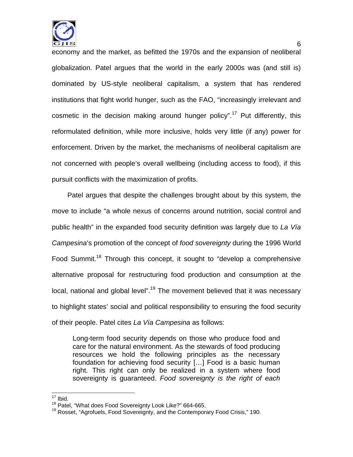

economy and the market, as befitted the 1970s and the expansion of neoliberal globalization. Patel argues that the world in the early 2000s was (and still is) dominated by US-style neoliberal capitalism, a system that has rendered institutions that fight world hunger, such as the FAO, "increasingly irrelevant and cosmetic in the decision making around hunger policy".<sup>17</sup> Put differently, this reformulated definition, while more inclusive, holds very little (if any) power for enforcement. Driven by the market, the mechanisms of neoliberal capitalism are not concerned with people's overall wellbeing (including access to food), if this pursuit conflicts with the maximization of profits.

 Patel argues that despite the challenges brought about by this system, the move to include "a whole nexus of concerns around nutrition, social control and public health" in the expanded food security definition was largely due to *La Vía Campesina*'s promotion of the concept of *food sovereignty* during the 1996 World Food Summit.<sup>18</sup> Through this concept, it sought to "develop a comprehensive alternative proposal for restructuring food production and consumption at the local, national and global level".<sup>19</sup> The movement believed that it was necessary to highlight states' social and political responsibility to ensuring the food security of their people. Patel cites *La Vía Campesina* as follows:

Long-term food security depends on those who produce food and care for the natural environment. As the stewards of food producing resources we hold the following principles as the necessary foundation for achieving food security […] Food is a basic human right. This right can only be realized in a system where food sovereignty is guaranteed. *Food sovereignty is the right of each* 

 $\overline{\phantom{a}}$  $\frac{17}{12}$  Ibid.

<sup>&</sup>lt;sup>18</sup> Patel, "What does Food Sovereignty Look Like?" 664-665.<br><sup>19</sup> Rosset, "Agrofuels, Food Sovereignty, and the Contemporary Food Crisis," 190.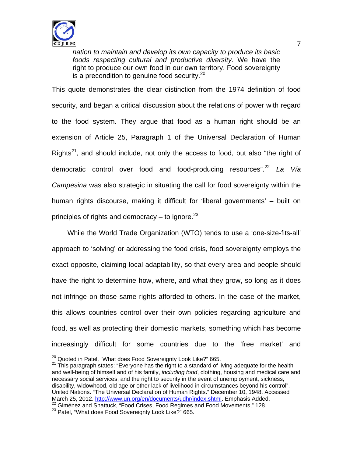

*nation to maintain and develop its own capacity to produce its basic foods respecting cultural and productive diversity*. We have the right to produce our own food in our own territory. Food sovereignty is a precondition to genuine food security.<sup>20</sup>

This quote demonstrates the clear distinction from the 1974 definition of food security, and began a critical discussion about the relations of power with regard to the food system. They argue that food as a human right should be an extension of Article 25, Paragraph 1 of the Universal Declaration of Human Rights<sup>21</sup>, and should include, not only the access to food, but also "the right of democratic control over food and food-producing resources".<sup>22</sup> *La Vía Campesina* was also strategic in situating the call for food sovereignty within the human rights discourse, making it difficult for 'liberal governments' – built on principles of rights and democracy  $-$  to ignore.<sup>23</sup>

 While the World Trade Organization (WTO) tends to use a 'one-size-fits-all' approach to 'solving' or addressing the food crisis, food sovereignty employs the exact opposite, claiming local adaptability, so that every area and people should have the right to determine how, where, and what they grow, so long as it does not infringe on those same rights afforded to others. In the case of the market, this allows countries control over their own policies regarding agriculture and food, as well as protecting their domestic markets, something which has become increasingly difficult for some countries due to the 'free market' and

<sup>&</sup>lt;sup>20</sup> Quoted in Patel, "What does Food Sovereignty Look Like?" 665.

 $21$  This paragraph states: "Everyone has the right to a standard of living adequate for the health and well-being of himself and of his family, *including food*, clothing, housing and medical care and necessary social services, and the right to security in the event of unemployment, sickness, disability, widowhood, old age or other lack of livelihood in circumstances beyond his control". United Nations. "The Universal Declaration of Human Rights." December 10, 1948. Accessed<br>March 25, 2012. http://www.un.org/en/documents/udhr/index.shtml. Emphasis Added. <sup>22</sup> Giménez and Shattuck, "Food Crises, Food Regimes and Food Movements," 128.  $^{23}$  Patel, "What does Food Sovereignty Look Like?" 665.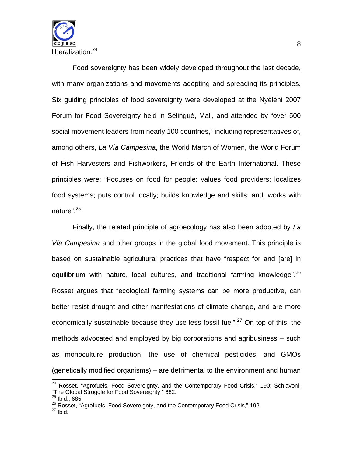

 Food sovereignty has been widely developed throughout the last decade, with many organizations and movements adopting and spreading its principles. Six guiding principles of food sovereignty were developed at the Nyéléni 2007 Forum for Food Sovereignty held in Sélingué, Mali, and attended by "over 500 social movement leaders from nearly 100 countries," including representatives of, among others, *La Vía Campesina*, the World March of Women, the World Forum of Fish Harvesters and Fishworkers, Friends of the Earth International. These principles were: "Focuses on food for people; values food providers; localizes food systems; puts control locally; builds knowledge and skills; and, works with nature".<sup>25</sup>

Finally, the related principle of agroecology has also been adopted by *La Vía Campesina* and other groups in the global food movement. This principle is based on sustainable agricultural practices that have "respect for and [are] in equilibrium with nature, local cultures, and traditional farming knowledge".  $26$ Rosset argues that "ecological farming systems can be more productive, can better resist drought and other manifestations of climate change, and are more economically sustainable because they use less fossil fuel".<sup>27</sup> On top of this, the methods advocated and employed by big corporations and agribusiness – such as monoculture production, the use of chemical pesticides, and GMOs (genetically modified organisms) – are detrimental to the environment and human  $\overline{\phantom{a}}$ 

<sup>&</sup>lt;sup>24</sup> Rosset, "Agrofuels, Food Sovereignty, and the Contemporary Food Crisis," 190; Schiavoni, "The Global Struggle for Food Sovereignty," 682.

 $^{25}$  Ibid., 685.

<sup>&</sup>lt;sup>26</sup> Rosset, "Agrofuels, Food Sovereignty, and the Contemporary Food Crisis," 192.<br><sup>27</sup> Ibid.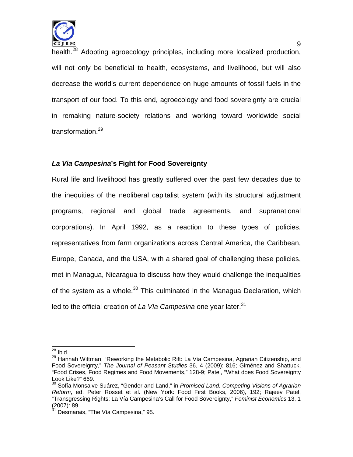

e de la construcción de la construcción de la construcción de la construcción de la construcción de la constru health.<sup>28</sup> Adopting agroecology principles, including more localized production, will not only be beneficial to health, ecosystems, and livelihood, but will also decrease the world's current dependence on huge amounts of fossil fuels in the transport of our food. To this end, agroecology and food sovereignty are crucial in remaking nature-society relations and working toward worldwide social transformation.<sup>29</sup>

## *La Via Campesina***'s Fight for Food Sovereignty**

Rural life and livelihood has greatly suffered over the past few decades due to the inequities of the neoliberal capitalist system (with its structural adjustment programs, regional and global trade agreements, and supranational corporations). In April 1992, as a reaction to these types of policies, representatives from farm organizations across Central America, the Caribbean, Europe, Canada, and the USA, with a shared goal of challenging these policies, met in Managua, Nicaragua to discuss how they would challenge the inequalities of the system as a whole.<sup>30</sup> This culminated in the Managua Declaration, which led to the official creation of *La Vía Campesina* one year later.<sup>31</sup>

 $\overline{\phantom{a}}$  $\frac{28}{10}$  Ibid.

<sup>&</sup>lt;sup>29</sup> Hannah Wittman, "Reworking the Metabolic Rift: La Vía Campesina, Agrarian Citizenship, and Food Sovereignty," *The Journal of Peasant Studies* 36, 4 (2009): 816; Giménez and Shattuck, "Food Crises, Food Regimes and Food Movements," 128-9; Patel, "What does Food Sovereignty Look Like?" 669.

<sup>30</sup> Sofía Monsalve Suárez, "Gender and Land," in *Promised Land: Competing Visions of Agrarian Reform*, ed. Peter Rosset et al. (New York: Food First Books, 2006), 192; Rajeev Patel, "Transgressing Rights: La Vía Campesina's Call for Food Sovereignty," *Feminist Economics* 13, 1  $(2007)$ : 89.

Desmarais, "The Vía Campesina," 95.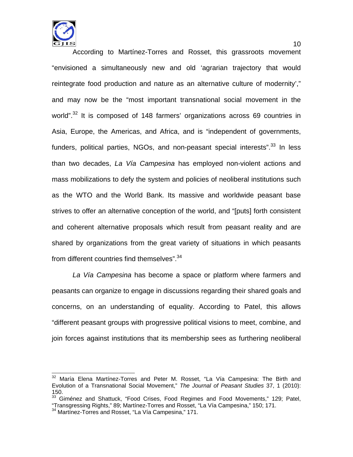

 $\overline{\phantom{a}}$ 

According to Martínez-Torres and Rosset, this grassroots movement "envisioned a simultaneously new and old 'agrarian trajectory that would reintegrate food production and nature as an alternative culture of modernity'," and may now be the "most important transnational social movement in the world".<sup>32</sup> It is composed of 148 farmers' organizations across 69 countries in Asia, Europe, the Americas, and Africa, and is "independent of governments, funders, political parties, NGOs, and non-peasant special interests".<sup>33</sup> In less than two decades, *La Vía Campesina* has employed non-violent actions and mass mobilizations to defy the system and policies of neoliberal institutions such as the WTO and the World Bank. Its massive and worldwide peasant base strives to offer an alternative conception of the world, and "[puts] forth consistent and coherent alternative proposals which result from peasant reality and are shared by organizations from the great variety of situations in which peasants from different countries find themselves".<sup>34</sup>

*La Vía Campesina* has become a space or platform where farmers and peasants can organize to engage in discussions regarding their shared goals and concerns, on an understanding of equality. According to Patel, this allows "different peasant groups with progressive political visions to meet, combine, and join forces against institutions that its membership sees as furthering neoliberal

 $32$  María Elena Martínez-Torres and Peter M. Rosset, "La Vía Campesina: The Birth and Evolution of a Transnational Social Movement," *The Journal of Peasant Studies* 37, 1 (2010): 150.

<sup>&</sup>lt;sup>33</sup> Giménez and Shattuck, "Food Crises, Food Regimes and Food Movements," 129; Patel, <br>"Transgressing Rights," 89; Martínez-Torres and Rosset, "La Vía Campesina," 150; 171.

<sup>&</sup>quot;Transgressing Rights," 89; Martínez-Torres and Rosset, "La Vía Campesina," 150; 171. 34 Martínez-Torres and Rosset, "La Vía Campesina," 171.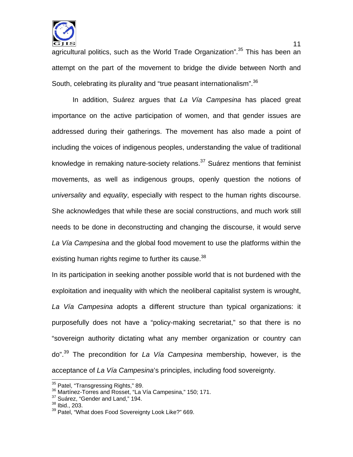

 $11$ agricultural politics, such as the World Trade Organization".<sup>35</sup> This has been an attempt on the part of the movement to bridge the divide between North and South, celebrating its plurality and "true peasant internationalism".<sup>36</sup>

In addition, Suárez argues that *La Vía Campesina* has placed great importance on the active participation of women, and that gender issues are addressed during their gatherings. The movement has also made a point of including the voices of indigenous peoples, understanding the value of traditional knowledge in remaking nature-society relations.<sup>37</sup> Suárez mentions that feminist movements, as well as indigenous groups, openly question the notions of *universality* and *equality*, especially with respect to the human rights discourse. She acknowledges that while these are social constructions, and much work still needs to be done in deconstructing and changing the discourse, it would serve *La Vía Campesina* and the global food movement to use the platforms within the existing human rights regime to further its cause.<sup>38</sup>

In its participation in seeking another possible world that is not burdened with the exploitation and inequality with which the neoliberal capitalist system is wrought, *La Vía Campesina* adopts a different structure than typical organizations: it purposefully does not have a "policy-making secretariat," so that there is no "sovereign authority dictating what any member organization or country can do".39 The precondition for *La Vía Campesina* membership, however, is the acceptance of *La Vía Campesina*'s principles, including food sovereignty.

<sup>&</sup>lt;sup>35</sup> Patel, "Transgressing Rights," 89.

<sup>36</sup> Martínez-Torres and Rosset, "La Vía Campesina," 150; 171.<br><sup>37</sup> Suárez, "Gender and Land," 194.

 $38$  Ibid.,  $203$ .

<sup>&</sup>lt;sup>39</sup> Patel, "What does Food Sovereignty Look Like?" 669.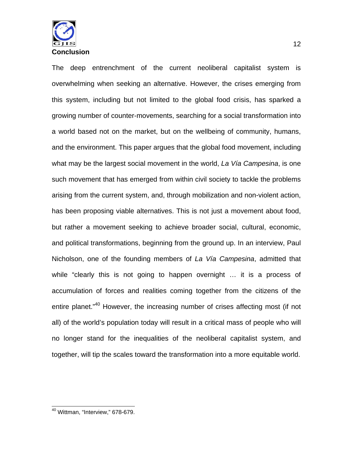

The deep entrenchment of the current neoliberal capitalist system is overwhelming when seeking an alternative. However, the crises emerging from this system, including but not limited to the global food crisis, has sparked a growing number of counter-movements, searching for a social transformation into a world based not on the market, but on the wellbeing of community, humans, and the environment. This paper argues that the global food movement, including what may be the largest social movement in the world, *La Vía Campesina*, is one such movement that has emerged from within civil society to tackle the problems arising from the current system, and, through mobilization and non-violent action, has been proposing viable alternatives. This is not just a movement about food, but rather a movement seeking to achieve broader social, cultural, economic, and political transformations, beginning from the ground up. In an interview, Paul Nicholson, one of the founding members of *La Vía Campesina*, admitted that while "clearly this is not going to happen overnight … it is a process of accumulation of forces and realities coming together from the citizens of the entire planet.<sup>"40</sup> However, the increasing number of crises affecting most (if not all) of the world's population today will result in a critical mass of people who will no longer stand for the inequalities of the neoliberal capitalist system, and together, will tip the scales toward the transformation into a more equitable world.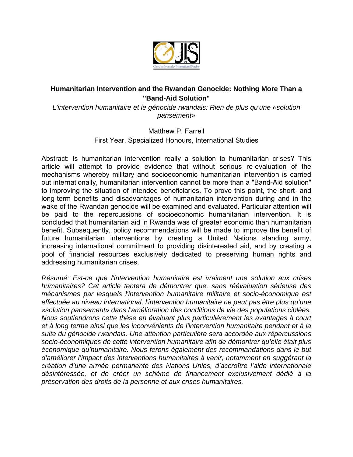

## **Humanitarian Intervention and the Rwandan Genocide: Nothing More Than a "Band-Aid Solution"**

*L'intervention humanitaire et le génocide rwandais: Rien de plus qu'une «solution pansement»* 

## Matthew P. Farrell First Year, Specialized Honours, International Studies

Abstract: Is humanitarian intervention really a solution to humanitarian crises? This article will attempt to provide evidence that without serious re-evaluation of the mechanisms whereby military and socioeconomic humanitarian intervention is carried out internationally, humanitarian intervention cannot be more than a "Band-Aid solution" to improving the situation of intended beneficiaries. To prove this point, the short- and long-term benefits and disadvantages of humanitarian intervention during and in the wake of the Rwandan genocide will be examined and evaluated. Particular attention will be paid to the repercussions of socioeconomic humanitarian intervention. It is concluded that humanitarian aid in Rwanda was of greater economic than humanitarian benefit. Subsequently, policy recommendations will be made to improve the benefit of future humanitarian interventions by creating a United Nations standing army, increasing international commitment to providing disinterested aid, and by creating a pool of financial resources exclusively dedicated to preserving human rights and addressing humanitarian crises.

*Résumé: Est-ce que l'intervention humanitaire est vraiment une solution aux crises humanitaires? Cet article tentera de démontrer que, sans réévaluation sérieuse des mécanismes par lesquels l'intervention humanitaire militaire et socio-économique est effectuée au niveau international, l'intervention humanitaire ne peut pas être plus qu'une «solution pansement» dans l'amélioration des conditions de vie des populations ciblées. Nous soutiendrons cette thèse en évaluant plus particulièrement les avantages à court et à long terme ainsi que les inconvénients de l'intervention humanitaire pendant et à la suite du génocide rwandais. Une attention particulière sera accordée aux répercussions socio-économiques de cette intervention humanitaire afin de démontrer qu'elle était plus économique qu'humanitaire. Nous ferons également des recommandations dans le but d'améliorer l'impact des interventions humanitaires à venir, notamment en suggérant la création d'une armée permanente des Nations Unies, d'accroître l'aide internationale désintéressée, et de créer un schème de financement exclusivement dédié à la préservation des droits de la personne et aux crises humanitaires.*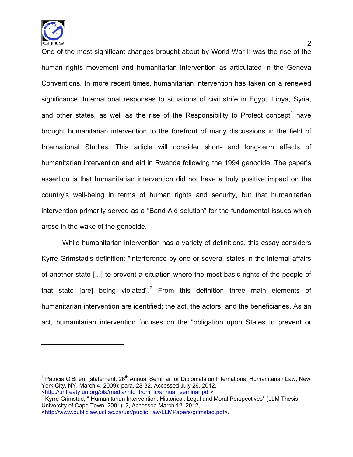

 $\overline{a}$ 

One of the most significant changes brought about by World War II was the rise of the human rights movement and humanitarian intervention as articulated in the Geneva Conventions. In more recent times, humanitarian intervention has taken on a renewed significance. International responses to situations of civil strife in Egypt, Libya, Syria, and other states, as well as the rise of the Responsibility to Protect concept<sup>1</sup> have brought humanitarian intervention to the forefront of many discussions in the field of International Studies. This article will consider short- and long-term effects of humanitarian intervention and aid in Rwanda following the 1994 genocide. The paper's assertion is that humanitarian intervention did not have a truly positive impact on the country's well-being in terms of human rights and security, but that humanitarian intervention primarily served as a "Band-Aid solution" for the fundamental issues which arose in the wake of the genocide.

 While humanitarian intervention has a variety of definitions, this essay considers Kyrre Grimstad's definition: "interference by one or several states in the internal affairs of another state [...] to prevent a situation where the most basic rights of the people of that state [are] being violated".<sup>2</sup> From this definition three main elements of humanitarian intervention are identified; the act, the actors, and the beneficiaries. As an act, humanitarian intervention focuses on the "obligation upon States to prevent or

<sup>2</sup> Kyrre Grimstad, "Humanitarian Intervention: Historical, Legal and Moral Perspectives" (LLM Thesis, University of Cape Town, 2001): 2, Accessed March 12, 2012, <http://www.publiclaw.uct.ac.za/usr/public\_law/LLMPapers/grimstad.pdf>.

<sup>&</sup>lt;sup>1</sup> Patricia O'Brien, (statement, 26<sup>th</sup> Annual Seminar for Diplomats on International Humanitarian Law, New York City, NY, March 4, 2009): para. 28-32, Accessed July 26, 2012, <http://untreaty.un.org/ola/media/info\_from\_lc/annual\_seminar.pdf>.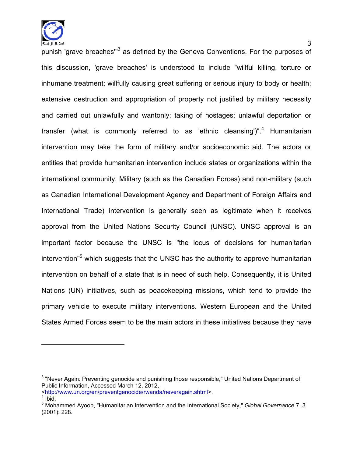

punish 'grave breaches"<sup>3</sup> as defined by the Geneva Conventions. For the purposes of this discussion, 'grave breaches' is understood to include "willful killing, torture or inhumane treatment; willfully causing great suffering or serious injury to body or health; extensive destruction and appropriation of property not justified by military necessity and carried out unlawfully and wantonly; taking of hostages; unlawful deportation or transfer (what is commonly referred to as 'ethnic cleansing')".<sup>4</sup> Humanitarian intervention may take the form of military and/or socioeconomic aid. The actors or entities that provide humanitarian intervention include states or organizations within the international community. Military (such as the Canadian Forces) and non-military (such as Canadian International Development Agency and Department of Foreign Affairs and International Trade) intervention is generally seen as legitimate when it receives approval from the United Nations Security Council (UNSC). UNSC approval is an important factor because the UNSC is "the locus of decisions for humanitarian intervention"<sup>5</sup> which suggests that the UNSC has the authority to approve humanitarian intervention on behalf of a state that is in need of such help. Consequently, it is United Nations (UN) initiatives, such as peacekeeping missions, which tend to provide the primary vehicle to execute military interventions. Western European and the United States Armed Forces seem to be the main actors in these initiatives because they have

 $\overline{a}$ 

<sup>&</sup>lt;sup>3</sup> "Never Again: Preventing genocide and punishing those responsible," United Nations Department of Public Information, Accessed March 12, 2012,

<sup>&</sup>lt;http://www.un.org/en/preventgenocide/rwanda/neveragain.shtml>.

 $4$  Ibid.

<sup>5</sup> Mohammed Ayoob, "Humanitarian Intervention and the International Society," *Global Governance* 7, 3 (2001): 228.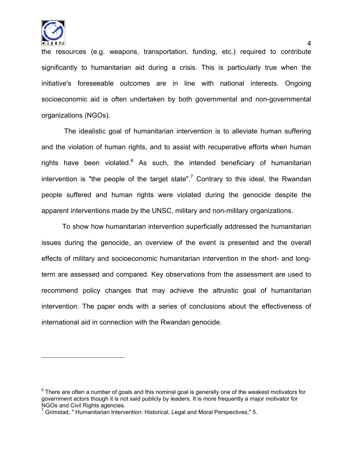

 $\overline{a}$ 

the resources (e.g. weapons, transportation, funding, etc.) required to contribute significantly to humanitarian aid during a crisis. This is particularly true when the initiative's foreseeable outcomes are in line with national interests. Ongoing socioeconomic aid is often undertaken by both governmental and non-governmental organizations (NGOs).

 The idealistic goal of humanitarian intervention is to alleviate human suffering and the violation of human rights, and to assist with recuperative efforts when human rights have been violated.<sup>6</sup> As such, the intended beneficiary of humanitarian intervention is "the people of the target state".<sup>7</sup> Contrary to this ideal, the Rwandan people suffered and human rights were violated during the genocide despite the apparent interventions made by the UNSC, military and non-military organizations.

To show how humanitarian intervention superficially addressed the humanitarian issues during the genocide, an overview of the event is presented and the overall effects of military and socioeconomic humanitarian intervention in the short- and longterm are assessed and compared. Key observations from the assessment are used to recommend policy changes that may achieve the altruistic goal of humanitarian intervention. The paper ends with a series of conclusions about the effectiveness of international aid in connection with the Rwandan genocide.

 $^6$  There are often a number of goals and this nominal goal is generally one of the weakest motivators for government actors though it is not said publicly by leaders. It is more frequently a major motivator for NGOs and Civil Rights agencies.

<sup>&</sup>lt;sup>7</sup> Grimstad, " Humanitarian Intervention: Historical, Legal and Moral Perspectives," 5.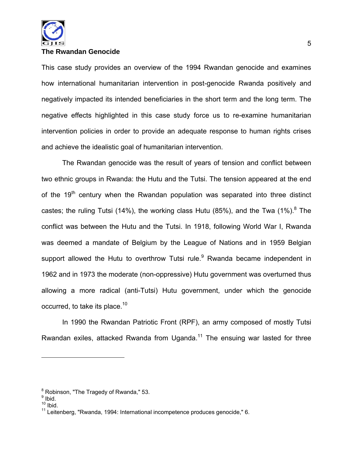

#### **The Rwandan Genocide**

This case study provides an overview of the 1994 Rwandan genocide and examines how international humanitarian intervention in post-genocide Rwanda positively and negatively impacted its intended beneficiaries in the short term and the long term. The negative effects highlighted in this case study force us to re-examine humanitarian intervention policies in order to provide an adequate response to human rights crises and achieve the idealistic goal of humanitarian intervention.

 The Rwandan genocide was the result of years of tension and conflict between two ethnic groups in Rwanda: the Hutu and the Tutsi. The tension appeared at the end of the 19<sup>th</sup> century when the Rwandan population was separated into three distinct castes; the ruling Tutsi (14%), the working class Hutu (85%), and the Twa (1%). $8$  The conflict was between the Hutu and the Tutsi. In 1918, following World War I, Rwanda was deemed a mandate of Belgium by the League of Nations and in 1959 Belgian support allowed the Hutu to overthrow Tutsi rule.<sup>9</sup> Rwanda became independent in 1962 and in 1973 the moderate (non-oppressive) Hutu government was overturned thus allowing a more radical (anti-Tutsi) Hutu government, under which the genocide occurred, to take its place.<sup>10</sup>

 In 1990 the Rwandan Patriotic Front (RPF), an army composed of mostly Tutsi Rwandan exiles, attacked Rwanda from Uganda.<sup>11</sup> The ensuing war lasted for three

 $^8$  Robinson, "The Tragedy of Rwanda," 53.<br><sup>9</sup> Ibid.

 $10$  Ibid.

 $11$  Leitenberg, "Rwanda, 1994: International incompetence produces genocide," 6.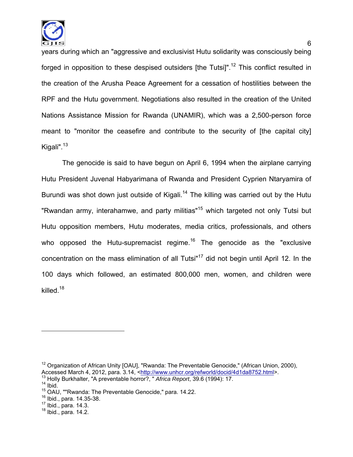

years during which an "aggressive and exclusivist Hutu solidarity was consciously being forged in opposition to these despised outsiders [the Tutsi]".<sup>12</sup> This conflict resulted in the creation of the Arusha Peace Agreement for a cessation of hostilities between the RPF and the Hutu government. Negotiations also resulted in the creation of the United Nations Assistance Mission for Rwanda (UNAMIR), which was a 2,500-person force meant to "monitor the ceasefire and contribute to the security of [the capital city] Kigali".<sup>13</sup>

 The genocide is said to have begun on April 6, 1994 when the airplane carrying Hutu President Juvenal Habyarimana of Rwanda and President Cyprien Ntaryamira of Burundi was shot down just outside of Kigali.<sup>14</sup> The killing was carried out by the Hutu "Rwandan army, interahamwe, and party militias"<sup>15</sup> which targeted not only Tutsi but Hutu opposition members, Hutu moderates, media critics, professionals, and others who opposed the Hutu-supremacist regime.<sup>16</sup> The genocide as the "exclusive" concentration on the mass elimination of all Tutsi<sup>n17</sup> did not begin until April 12. In the 100 days which followed, an estimated 800,000 men, women, and children were killed. $18$ 

- <sup>13</sup> Holly Burkhalter, "A preventable horror?, " *Africa Report*, 39.6 (1994): 17.<br><sup>14</sup> Ibid.
- 

<sup>&</sup>lt;sup>12</sup> Organization of African Unity [OAU], "Rwanda: The Preventable Genocide," (African Union, 2000), Accessed March 4, 2012, para. 3.14, <http://www.unhcr.org/refworld/docid/4d1da8752.html>.

<sup>&</sup>lt;sup>15</sup> OAU, ""Rwanda: The Preventable Genocide," para. 14.22.<br><sup>16</sup> Ibid., para. 14.35-38.<br><sup>17</sup> Ibid., para. 14.3.<br><sup>18</sup> Ibid., para. 14.2.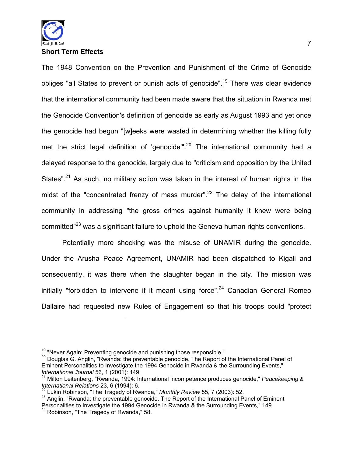

The 1948 Convention on the Prevention and Punishment of the Crime of Genocide obliges "all States to prevent or punish acts of genocide".<sup>19</sup> There was clear evidence that the international community had been made aware that the situation in Rwanda met the Genocide Convention's definition of genocide as early as August 1993 and yet once the genocide had begun "[w]eeks were wasted in determining whether the killing fully met the strict legal definition of 'genocide'".<sup>20</sup> The international community had a delayed response to the genocide, largely due to "criticism and opposition by the United States".<sup>21</sup> As such, no military action was taken in the interest of human rights in the midst of the "concentrated frenzy of mass murder".<sup>22</sup> The delay of the international community in addressing "the gross crimes against humanity it knew were being committed"23 was a significant failure to uphold the Geneva human rights conventions.

 Potentially more shocking was the misuse of UNAMIR during the genocide. Under the Arusha Peace Agreement, UNAMIR had been dispatched to Kigali and consequently, it was there when the slaughter began in the city. The mission was initially "forbidden to intervene if it meant using force".<sup>24</sup> Canadian General Romeo Dallaire had requested new Rules of Engagement so that his troops could "protect

<sup>&</sup>lt;sup>19</sup> "Never Again: Preventing genocide and punishing those responsible."<br><sup>20</sup> Douglas G. Anglin, "Rwanda: the preventable genocide. The Report of the International Panel of Eminent Personalities to Investigate the 1994 Genocide in Rwanda & the Surrounding Events,"<br>International Journal 56, 1 (2001): 149.

<sup>&</sup>lt;sup>21</sup> Milton Leitenberg, "Rwanda, 1994: International incompetence produces genocide," *Peacekeeping &* International Relations 23, 6 (1994): 6.<br>
<sup>22</sup> Lukin Robinson, "The Tragedy of Rwanda," Monthly Review 55, 7 (2003): 52.<br>
<sup>23</sup> Anglin, "Rwanda: the preventable genocide. The Report of the International Panel of Eminent

Personalities to Investigate the 1994 Genocide in Rwanda & the Surrounding Events," 149.<br><sup>24</sup> Robinson, "The Tragedy of Rwanda," 58.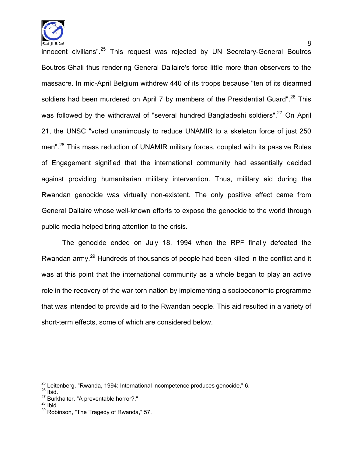

innocent civilians".<sup>25</sup> This request was rejected by UN Secretary-General Boutros Boutros-Ghali thus rendering General Dallaire's force little more than observers to the massacre. In mid-April Belgium withdrew 440 of its troops because "ten of its disarmed soldiers had been murdered on April 7 by members of the Presidential Guard".<sup>26</sup> This was followed by the withdrawal of "several hundred Bangladeshi soldiers".<sup>27</sup> On April 21, the UNSC "voted unanimously to reduce UNAMIR to a skeleton force of just 250 men".<sup>28</sup> This mass reduction of UNAMIR military forces, coupled with its passive Rules of Engagement signified that the international community had essentially decided against providing humanitarian military intervention. Thus, military aid during the Rwandan genocide was virtually non-existent. The only positive effect came from General Dallaire whose well-known efforts to expose the genocide to the world through public media helped bring attention to the crisis.

 The genocide ended on July 18, 1994 when the RPF finally defeated the Rwandan army.29 Hundreds of thousands of people had been killed in the conflict and it was at this point that the international community as a whole began to play an active role in the recovery of the war-torn nation by implementing a socioeconomic programme that was intended to provide aid to the Rwandan people. This aid resulted in a variety of short-term effects, some of which are considered below.

 $^{25}$  Leitenberg, "Rwanda, 1994: International incompetence produces genocide," 6.<br><sup>26 Ibid</sup>

 $^{27}$  Burkhalter, "A preventable horror?."<br> $^{28}$  Ibid.

<sup>&</sup>lt;sup>29</sup> Robinson, "The Tragedy of Rwanda," 57.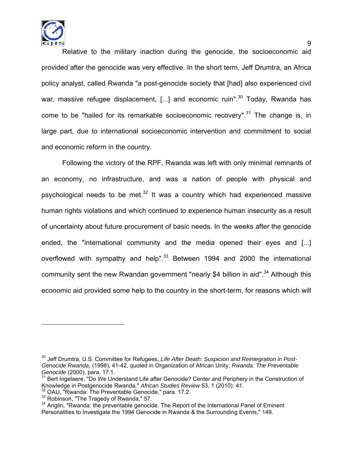

 Relative to the military inaction during the genocide, the socioeconomic aid provided after the genocide was very effective. In the short term, Jeff Drumtra, an Africa policy analyst, called Rwanda "a post-genocide society that [had] also experienced civil war, massive refugee displacement,  $[...]$  and economic ruin".<sup>30</sup> Today, Rwanda has come to be "hailed for its remarkable socioeconomic recovery".<sup>31</sup> The change is, in large part, due to international socioeconomic intervention and commitment to social and economic reform in the country.

 Following the victory of the RPF, Rwanda was left with only minimal remnants of an economy, no infrastructure, and was a nation of people with physical and psychological needs to be met. $32$  It was a country which had experienced massive human rights violations and which continued to experience human insecurity as a result of uncertainty about future procurement of basic needs. In the weeks after the genocide ended, the "international community and the media opened their eyes and [...] overflowed with sympathy and help".<sup>33</sup> Between 1994 and 2000 the international community sent the new Rwandan government "nearly \$4 billion in aid".<sup>34</sup> Although this economic aid provided some help to the country in the short-term, for reasons which will

<sup>30</sup> Jeff Drumtra, U.S. Committee for Refugees, *Life After Death: Suspicion and Reintegration in Post-Genocide Rwanda*, (1998), 41-42, quoted in Organization of African Unity, *Rwanda: The Preventable* 

<sup>&</sup>lt;sup>31</sup> Bert Ingelaere, "Do We Understand Life after Genocide? Center and Periphery in the Construction of Knowledge in Postgenocide Rwanda," African Studies Review 53, 1 (2010): 41.<br>
32 OAU, "Rwanda: The Preventable Genocide," para. 17.2.<br>
33 Robinson, "The Tragedy of Rwanda," 57.<br>
34 Anglin, "Rwanda: the preventable genocide.

Personalities to Investigate the 1994 Genocide in Rwanda & the Surrounding Events," 149.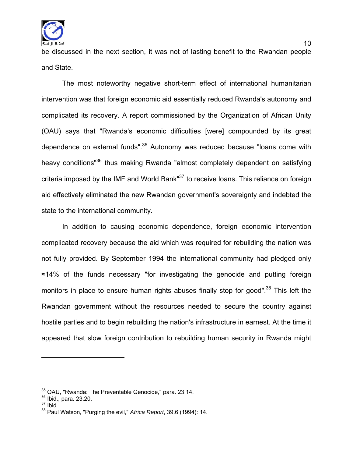

 $10$ be discussed in the next section, it was not of lasting benefit to the Rwandan people and State.

 The most noteworthy negative short-term effect of international humanitarian intervention was that foreign economic aid essentially reduced Rwanda's autonomy and complicated its recovery. A report commissioned by the Organization of African Unity (OAU) says that "Rwanda's economic difficulties [were] compounded by its great dependence on external funds".<sup>35</sup> Autonomy was reduced because "loans come with heavy conditions<sup>"36</sup> thus making Rwanda "almost completely dependent on satisfying criteria imposed by the IMF and World Bank"37 to receive loans. This reliance on foreign aid effectively eliminated the new Rwandan government's sovereignty and indebted the state to the international community.

 In addition to causing economic dependence, foreign economic intervention complicated recovery because the aid which was required for rebuilding the nation was not fully provided. By September 1994 the international community had pledged only ≈14% of the funds necessary "for investigating the genocide and putting foreign monitors in place to ensure human rights abuses finally stop for good".<sup>38</sup> This left the Rwandan government without the resources needed to secure the country against hostile parties and to begin rebuilding the nation's infrastructure in earnest. At the time it appeared that slow foreign contribution to rebuilding human security in Rwanda might

 $35$  OAU, "Rwanda: The Preventable Genocide," para. 23.14.<br> $36$  Ibid., para. 23.20.  $37$  Ibid.

<sup>38</sup> Paul Watson, "Purging the evil," *Africa Report*, 39.6 (1994): 14.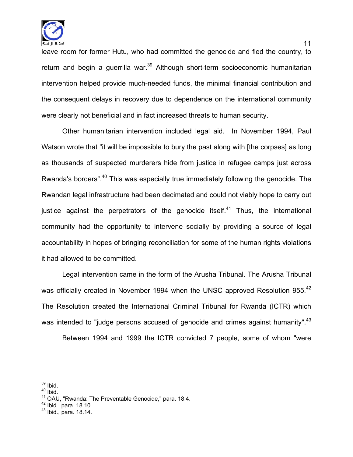

leave room for former Hutu, who had committed the genocide and fled the country, to return and begin a guerrilla war.<sup>39</sup> Although short-term socioeconomic humanitarian intervention helped provide much-needed funds, the minimal financial contribution and the consequent delays in recovery due to dependence on the international community were clearly not beneficial and in fact increased threats to human security.

 Other humanitarian intervention included legal aid. In November 1994, Paul Watson wrote that "it will be impossible to bury the past along with [the corpses] as long as thousands of suspected murderers hide from justice in refugee camps just across Rwanda's borders".40 This was especially true immediately following the genocide. The Rwandan legal infrastructure had been decimated and could not viably hope to carry out justice against the perpetrators of the genocide itself.<sup>41</sup> Thus, the international community had the opportunity to intervene socially by providing a source of legal accountability in hopes of bringing reconciliation for some of the human rights violations it had allowed to be committed.

 Legal intervention came in the form of the Arusha Tribunal. The Arusha Tribunal was officially created in November 1994 when the UNSC approved Resolution 955.<sup>42</sup> The Resolution created the International Criminal Tribunal for Rwanda (ICTR) which was intended to "judge persons accused of genocide and crimes against humanity".<sup>43</sup>

Between 1994 and 1999 the ICTR convicted 7 people, some of whom "were

 $\overline{a}$ 

 $40$  Ibid.

 $39$  Ibid.

<sup>&</sup>lt;sup>41</sup> OAU, "Rwanda: The Preventable Genocide," para. 18.4.<br><sup>42</sup> Ibid., para. 18.10.<br><sup>43</sup> Ibid., para. 18.14.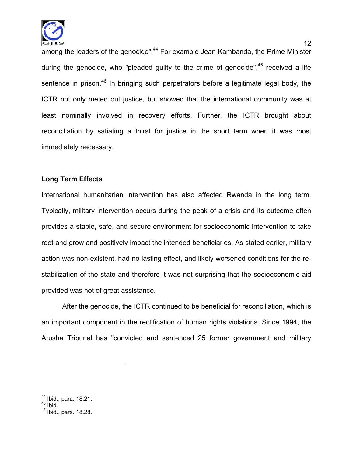

 $12$ among the leaders of the genocide".<sup>44</sup> For example Jean Kambanda, the Prime Minister during the genocide, who "pleaded quilty to the crime of genocide", $45$  received a life sentence in prison.<sup>46</sup> In bringing such perpetrators before a legitimate legal body, the ICTR not only meted out justice, but showed that the international community was at least nominally involved in recovery efforts. Further, the ICTR brought about reconciliation by satiating a thirst for justice in the short term when it was most immediately necessary.

## **Long Term Effects**

International humanitarian intervention has also affected Rwanda in the long term. Typically, military intervention occurs during the peak of a crisis and its outcome often provides a stable, safe, and secure environment for socioeconomic intervention to take root and grow and positively impact the intended beneficiaries. As stated earlier, military action was non-existent, had no lasting effect, and likely worsened conditions for the restabilization of the state and therefore it was not surprising that the socioeconomic aid provided was not of great assistance.

 After the genocide, the ICTR continued to be beneficial for reconciliation, which is an important component in the rectification of human rights violations. Since 1994, the Arusha Tribunal has "convicted and sentenced 25 former government and military

 $^{44}$  Ibid., para. 18.21.

<sup>46</sup> Ibid., para. 18.28.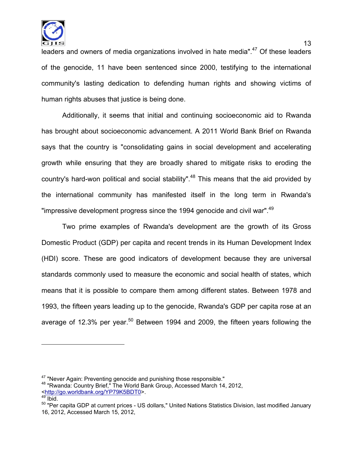

 $\sim$  13 leaders and owners of media organizations involved in hate media".<sup>47</sup> Of these leaders of the genocide, 11 have been sentenced since 2000, testifying to the international community's lasting dedication to defending human rights and showing victims of human rights abuses that justice is being done.

 Additionally, it seems that initial and continuing socioeconomic aid to Rwanda has brought about socioeconomic advancement. A 2011 World Bank Brief on Rwanda says that the country is "consolidating gains in social development and accelerating growth while ensuring that they are broadly shared to mitigate risks to eroding the country's hard-won political and social stability".<sup>48</sup> This means that the aid provided by the international community has manifested itself in the long term in Rwanda's "impressive development progress since the 1994 genocide and civil war".<sup>49</sup>

 Two prime examples of Rwanda's development are the growth of its Gross Domestic Product (GDP) per capita and recent trends in its Human Development Index (HDI) score. These are good indicators of development because they are universal standards commonly used to measure the economic and social health of states, which means that it is possible to compare them among different states. Between 1978 and 1993, the fifteen years leading up to the genocide, Rwanda's GDP per capita rose at an average of 12.3% per year.<sup>50</sup> Between 1994 and 2009, the fifteen years following the

<sup>&</sup>lt;sup>47</sup> "Never Again: Preventing genocide and punishing those responsible."<br><sup>48</sup> "Rwanda: Country Brief," The World Bank Group, Accessed March 14, 2012, <http://go.worldbank.org/YP79K5BDT0>.

<sup>&</sup>lt;sup>49</sup> Ibid.

<sup>50 &</sup>quot;Per capita GDP at current prices - US dollars," United Nations Statistics Division, last modified January 16, 2012, Accessed March 15, 2012,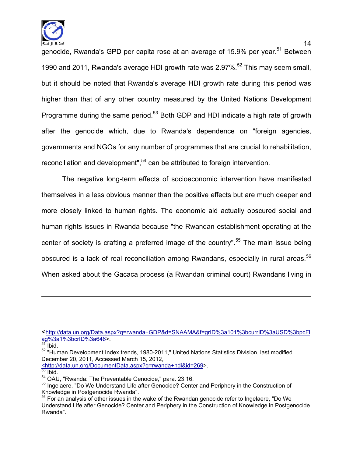

 $14$ genocide, Rwanda's GPD per capita rose at an average of 15.9% per year.<sup>51</sup> Between 1990 and 2011, Rwanda's average HDI growth rate was 2.97%.<sup>52</sup> This may seem small, but it should be noted that Rwanda's average HDI growth rate during this period was higher than that of any other country measured by the United Nations Development Programme during the same period.<sup>53</sup> Both GDP and HDI indicate a high rate of growth after the genocide which, due to Rwanda's dependence on "foreign agencies, governments and NGOs for any number of programmes that are crucial to rehabilitation, reconciliation and development",<sup>54</sup> can be attributed to foreign intervention.

 The negative long-term effects of socioeconomic intervention have manifested themselves in a less obvious manner than the positive effects but are much deeper and more closely linked to human rights. The economic aid actually obscured social and human rights issues in Rwanda because "the Rwandan establishment operating at the center of society is crafting a preferred image of the country".<sup>55</sup> The main issue being obscured is a lack of real reconciliation among Rwandans, especially in rural areas.<sup>56</sup> When asked about the Gacaca process (a Rwandan criminal court) Rwandans living in

<sup>&</sup>lt;http://data.un.org/Data.aspx?q=rwanda+GDP&d=SNAAMA&f=grID%3a101%3bcurrID%3aUSD%3bpcFl ag%3a1%3bcrID%3a646>.

 $\overline{51}$  Ibid.

<sup>52 &</sup>quot;Human Development Index trends, 1980-2011," United Nations Statistics Division, last modified December 20, 2011, Accessed March 15, 2012, <http://data.un.org/DocumentData.aspx?q=rwanda+hdi&id=269>.

<sup>&</sup>lt;sup>53</sup> Ibid.<br><sup>54</sup> OAU, "Rwanda: The Preventable Genocide," para. 23.16.

<sup>&</sup>lt;sup>55</sup> Ingelaere, "Do We Understand Life after Genocide? Center and Periphery in the Construction of Knowledge in Postgenocide Rwanda".

<sup>&</sup>lt;sup>56</sup> For an analysis of other issues in the wake of the Rwandan genocide refer to Ingelaere, "Do We Understand Life after Genocide? Center and Periphery in the Construction of Knowledge in Postgenocide Rwanda".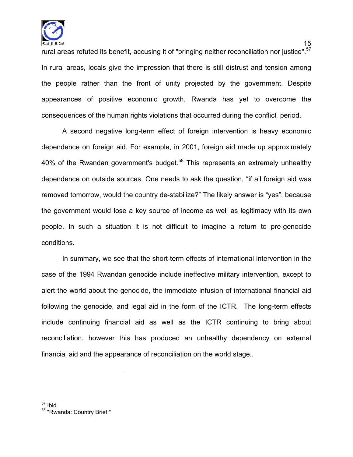

rural areas refuted its benefit, accusing it of "bringing neither reconciliation nor justice".<sup>57</sup> In rural areas, locals give the impression that there is still distrust and tension among the people rather than the front of unity projected by the government. Despite appearances of positive economic growth, Rwanda has yet to overcome the consequences of the human rights violations that occurred during the conflict period.

 A second negative long-term effect of foreign intervention is heavy economic dependence on foreign aid. For example, in 2001, foreign aid made up approximately 40% of the Rwandan government's budget.<sup>58</sup> This represents an extremely unhealthy dependence on outside sources. One needs to ask the question, "if all foreign aid was removed tomorrow, would the country de-stabilize?" The likely answer is "yes", because the government would lose a key source of income as well as legitimacy with its own people. In such a situation it is not difficult to imagine a return to pre-genocide conditions.

 In summary, we see that the short-term effects of international intervention in the case of the 1994 Rwandan genocide include ineffective military intervention, except to alert the world about the genocide, the immediate infusion of international financial aid following the genocide, and legal aid in the form of the ICTR. The long-term effects include continuing financial aid as well as the ICTR continuing to bring about reconciliation, however this has produced an unhealthy dependency on external financial aid and the appearance of reconciliation on the world stage..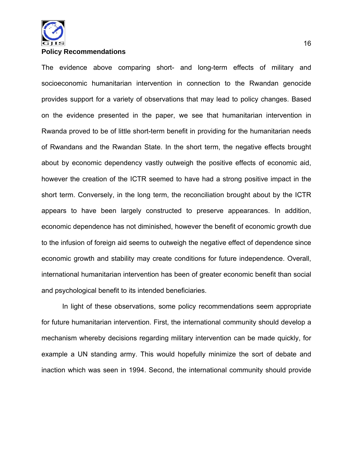

#### **Policy Recommendations**

The evidence above comparing short- and long-term effects of military and socioeconomic humanitarian intervention in connection to the Rwandan genocide provides support for a variety of observations that may lead to policy changes. Based on the evidence presented in the paper, we see that humanitarian intervention in Rwanda proved to be of little short-term benefit in providing for the humanitarian needs of Rwandans and the Rwandan State. In the short term, the negative effects brought about by economic dependency vastly outweigh the positive effects of economic aid, however the creation of the ICTR seemed to have had a strong positive impact in the short term. Conversely, in the long term, the reconciliation brought about by the ICTR appears to have been largely constructed to preserve appearances. In addition, economic dependence has not diminished, however the benefit of economic growth due to the infusion of foreign aid seems to outweigh the negative effect of dependence since economic growth and stability may create conditions for future independence. Overall, international humanitarian intervention has been of greater economic benefit than social and psychological benefit to its intended beneficiaries.

 In light of these observations, some policy recommendations seem appropriate for future humanitarian intervention. First, the international community should develop a mechanism whereby decisions regarding military intervention can be made quickly, for example a UN standing army. This would hopefully minimize the sort of debate and inaction which was seen in 1994. Second, the international community should provide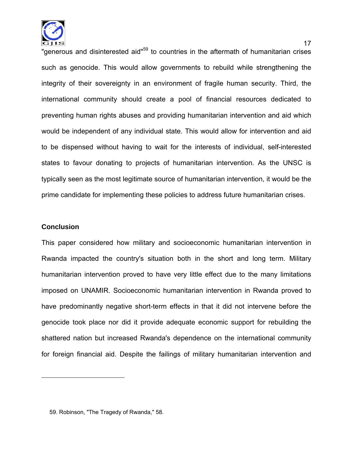

"generous and disinterested aid"<sup>59</sup> to countries in the aftermath of humanitarian crises such as genocide. This would allow governments to rebuild while strengthening the integrity of their sovereignty in an environment of fragile human security. Third, the international community should create a pool of financial resources dedicated to preventing human rights abuses and providing humanitarian intervention and aid which would be independent of any individual state. This would allow for intervention and aid to be dispensed without having to wait for the interests of individual, self-interested states to favour donating to projects of humanitarian intervention. As the UNSC is typically seen as the most legitimate source of humanitarian intervention, it would be the prime candidate for implementing these policies to address future humanitarian crises.

### **Conclusion**

 $\overline{a}$ 

This paper considered how military and socioeconomic humanitarian intervention in Rwanda impacted the country's situation both in the short and long term. Military humanitarian intervention proved to have very little effect due to the many limitations imposed on UNAMIR. Socioeconomic humanitarian intervention in Rwanda proved to have predominantly negative short-term effects in that it did not intervene before the genocide took place nor did it provide adequate economic support for rebuilding the shattered nation but increased Rwanda's dependence on the international community for foreign financial aid. Despite the failings of military humanitarian intervention and

 <sup>59.</sup> Robinson, "The Tragedy of Rwanda," 58.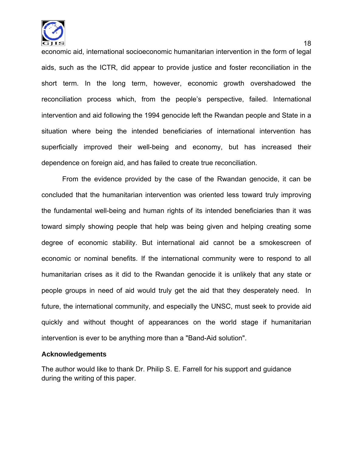

economic aid, international socioeconomic humanitarian intervention in the form of legal aids, such as the ICTR, did appear to provide justice and foster reconciliation in the short term. In the long term, however, economic growth overshadowed the reconciliation process which, from the people's perspective, failed. International intervention and aid following the 1994 genocide left the Rwandan people and State in a situation where being the intended beneficiaries of international intervention has superficially improved their well-being and economy, but has increased their dependence on foreign aid, and has failed to create true reconciliation.

 From the evidence provided by the case of the Rwandan genocide, it can be concluded that the humanitarian intervention was oriented less toward truly improving the fundamental well-being and human rights of its intended beneficiaries than it was toward simply showing people that help was being given and helping creating some degree of economic stability. But international aid cannot be a smokescreen of economic or nominal benefits. If the international community were to respond to all humanitarian crises as it did to the Rwandan genocide it is unlikely that any state or people groups in need of aid would truly get the aid that they desperately need. In future, the international community, and especially the UNSC, must seek to provide aid quickly and without thought of appearances on the world stage if humanitarian intervention is ever to be anything more than a "Band-Aid solution".

### **Acknowledgements**

The author would like to thank Dr. Philip S. E. Farrell for his support and guidance during the writing of this paper.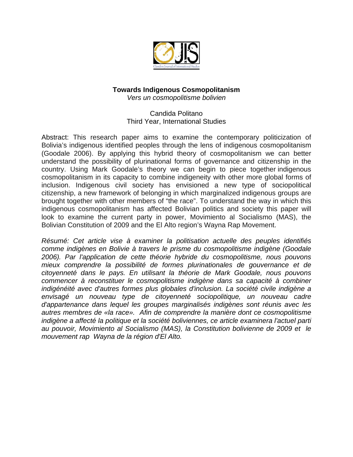

# **Towards Indigenous Cosmopolitanism**

*Vers un cosmopolitisme bolivien* 

## Candida Politano Third Year, International Studies

Abstract: This research paper aims to examine the contemporary politicization of Bolivia's indigenous identified peoples through the lens of indigenous cosmopolitanism (Goodale 2006). By applying this hybrid theory of cosmopolitanism we can better understand the possibility of plurinational forms of governance and citizenship in the country. Using Mark Goodale's theory we can begin to piece together indigenous cosmopolitanism in its capacity to combine indigeneity with other more global forms of inclusion. Indigenous civil society has envisioned a new type of sociopolitical citizenship, a new framework of belonging in which marginalized indigenous groups are brought together with other members of "the race". To understand the way in which this indigenous cosmopolitanism has affected Bolivian politics and society this paper will look to examine the current party in power, Movimiento al Socialismo (MAS), the Bolivian Constitution of 2009 and the El Alto region's Wayna Rap Movement.

*Résumé: Cet article vise à examiner la politisation actuelle des peuples identifiés comme indigènes en Bolivie à travers le prisme du cosmopolitisme indigène (Goodale 2006). Par l'application de cette théorie hybride du cosmopolitisme, nous pouvons mieux comprendre la possibilité de formes plurinationales de gouvernance et de citoyenneté dans le pays. En utilisant la théorie de Mark Goodale, nous pouvons commencer à reconstituer le cosmopolitisme indigène dans sa capacité à combiner indigénéité avec d'autres formes plus globales d'inclusion. La société civile indigène a envisagé un nouveau type de citoyenneté sociopolitique, un nouveau cadre d'appartenance dans lequel les groupes marginalisés indigènes sont réunis avec les autres membres de «la race». Afin de comprendre la manière dont ce cosmopolitisme indigène a affecté la politique et la société boliviennes, ce article examinera l'actuel parti au pouvoir, Movimiento al Socialismo (MAS), la Constitution bolivienne de 2009 et le mouvement rap Wayna de la région d'El Alto.*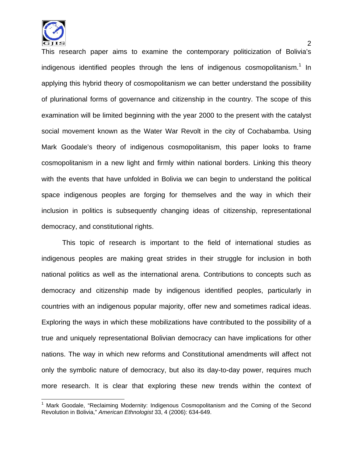

 $\overline{\phantom{a}}$ 

This research paper aims to examine the contemporary politicization of Bolivia's indigenous identified peoples through the lens of indigenous cosmopolitanism.<sup>1</sup> In applying this hybrid theory of cosmopolitanism we can better understand the possibility of plurinational forms of governance and citizenship in the country. The scope of this examination will be limited beginning with the year 2000 to the present with the catalyst social movement known as the Water War Revolt in the city of Cochabamba. Using Mark Goodale's theory of indigenous cosmopolitanism, this paper looks to frame cosmopolitanism in a new light and firmly within national borders. Linking this theory with the events that have unfolded in Bolivia we can begin to understand the political space indigenous peoples are forging for themselves and the way in which their inclusion in politics is subsequently changing ideas of citizenship, representational democracy, and constitutional rights.

 This topic of research is important to the field of international studies as indigenous peoples are making great strides in their struggle for inclusion in both national politics as well as the international arena. Contributions to concepts such as democracy and citizenship made by indigenous identified peoples, particularly in countries with an indigenous popular majority, offer new and sometimes radical ideas. Exploring the ways in which these mobilizations have contributed to the possibility of a true and uniquely representational Bolivian democracy can have implications for other nations. The way in which new reforms and Constitutional amendments will affect not only the symbolic nature of democracy, but also its day-to-day power, requires much more research. It is clear that exploring these new trends within the context of

<sup>&</sup>lt;sup>1</sup> Mark Goodale, "Reclaiming Modernity: Indigenous Cosmopolitanism and the Coming of the Second Revolution in Bolivia," *American Ethnologist* 33, 4 (2006): 634-649.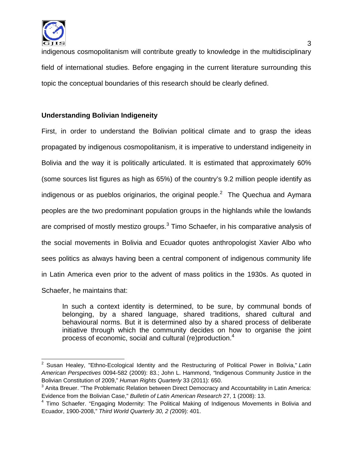

 $3<sup>3</sup>$ indigenous cosmopolitanism will contribute greatly to knowledge in the multidisciplinary field of international studies. Before engaging in the current literature surrounding this topic the conceptual boundaries of this research should be clearly defined.

# **Understanding Bolivian Indigeneity**

First, in order to understand the Bolivian political climate and to grasp the ideas propagated by indigenous cosmopolitanism, it is imperative to understand indigeneity in Bolivia and the way it is politically articulated. It is estimated that approximately 60% (some sources list figures as high as 65%) of the country's 9.2 million people identify as indigenous or as pueblos originarios, the original people.<sup>2</sup> The Quechua and Aymara peoples are the two predominant population groups in the highlands while the lowlands are comprised of mostly mestizo groups. $^3$  Timo Schaefer, in his comparative analysis of the social movements in Bolivia and Ecuador quotes anthropologist Xavier Albo who sees politics as always having been a central component of indigenous community life in Latin America even prior to the advent of mass politics in the 1930s. As quoted in Schaefer, he maintains that:

In such a context identity is determined, to be sure, by communal bonds of belonging, by a shared language, shared traditions, shared cultural and behavioural norms. But it is determined also by a shared process of deliberate initiative through which the community decides on how to organise the joint process of economic, social and cultural (re)production.<sup>4</sup>

 2 Susan Healey, "Ethno-Ecological Identity and the Restructuring of Political Power in Bolivia," *Latin American Perspectives* 0094-582 (2009): 83.; John L. Hammond, *"*Indigenous Community Justice in the Bolivian Constitution of 2009," *Human Rights Quarterly* 33 (2011): 650.

<sup>&</sup>lt;sup>3</sup> Anita Breuer. "The Problematic Relation between Direct Democracy and Accountability in Latin America: Evidence from the Bolivian Case," *Bulletin of Latin American Research* 27, 1 (2008): 13.

<sup>&</sup>lt;sup>4</sup> Timo Schaefer. "Engaging Modernity: The Political Making of Indigenous Movements in Bolivia and Ecuador, 1900-2008," *Third World Quarterly 30, 2 (*2009): 401.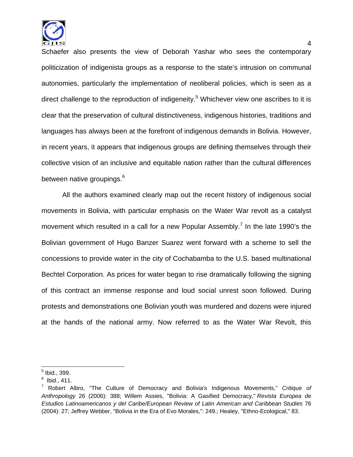

Schaefer also presents the view of Deborah Yashar who sees the contemporary politicization of indigenista groups as a response to the state's intrusion on communal autonomies, particularly the implementation of neoliberal policies, which is seen as a direct challenge to the reproduction of indigeneity.<sup>5</sup> Whichever view one ascribes to it is clear that the preservation of cultural distinctiveness, indigenous histories, traditions and languages has always been at the forefront of indigenous demands in Bolivia. However, in recent years, it appears that indigenous groups are defining themselves through their collective vision of an inclusive and equitable nation rather than the cultural differences between native groupings.<sup>6</sup>

 All the authors examined clearly map out the recent history of indigenous social movements in Bolivia, with particular emphasis on the Water War revolt as a catalyst movement which resulted in a call for a new Popular Assembly.<sup>7</sup> In the late 1990's the Bolivian government of Hugo Banzer Suarez went forward with a scheme to sell the concessions to provide water in the city of Cochabamba to the U.S. based multinational Bechtel Corporation. As prices for water began to rise dramatically following the signing of this contract an immense response and loud social unrest soon followed. During protests and demonstrations one Bolivian youth was murdered and dozens were injured at the hands of the national army. Now referred to as the Water War Revolt, this

<sup>&</sup>lt;u>5</u><br>bid., 399.

*<sup>6</sup>* Ibid., 411.

<sup>7</sup> Robert Albro, "The Culture of Democracy and Bolivia's Indigenous Movements," *Critique of Anthropology* 26 (2006): 388; Willem Assies, "Bolivia: A Gasified Democracy," *Revista Europea de Estudios Latinoamericanos y del Caribe/European Review of Latin American and Caribbean Studies* 76 (2004): 27; Jeffrey Webber, "Bolivia in the Era of Evo Morales,": 249.; Healey, "Ethno-Ecological," 83.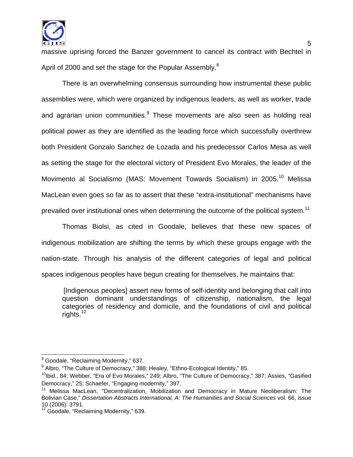

 $5\,$ massive uprising forced the Banzer government to cancel its contract with Bechtel in April of 2000 and set the stage for the Popular Assembly.<sup>8</sup>

There is an overwhelming consensus surrounding how instrumental these public assemblies were, which were organized by indigenous leaders, as well as worker, trade and agrarian union communities.<sup>9</sup> These movements are also seen as holding real political power as they are identified as the leading force which successfully overthrew both President Gonzalo Sanchez de Lozada and his predecessor Carlos Mesa as well as setting the stage for the electoral victory of President Evo Morales, the leader of the Movimento al Socialismo (MAS: Movement Towards Socialism) in 2005.<sup>10</sup> Melissa MacLean even goes so far as to assert that these "extra-institutional" mechanisms have prevailed over institutional ones when determining the outcome of the political system.<sup>11</sup>

 Thomas Biolsi, as cited in Goodale, believes that these new spaces of indigenous mobilization are shifting the terms by which these groups engage with the nation-state. Through his analysis of the different categories of legal and political spaces indigenous peoples have begun creating for themselves, he maintains that:

[Indigenous peoples] assert new forms of self-identity and belonging that call into question dominant understandings of citizenship, nationalism, the legal categories of residency and domicile, and the foundations of civil and political rights. $12$ 

 8 Goodale, "Reclaiming Modernity," 637.

 $^9$  Albro, "The Culture of Democracy," 388; Healey, "Ethno-Ecological Identity," 85.

<sup>&</sup>lt;sup>10</sup>Ibid., 84; Webber, "Era of Evo Morales," 249; Albro, "The Culture of Democracy," 387; Assies, "Gasified Democracy," 25; Schaefer, "Engaging modernity," 397.

<sup>&</sup>lt;sup>11</sup> Melissa MacLean, "Decentralization, Mobilization and Democracy in Mature Neoliberalism: The Bolivian Case," *Dissertation Abstracts International, A: The Humanities and Social Sciences* vol. 66, issue

 $12$  Goodale, "Reclaiming Modernity," 639.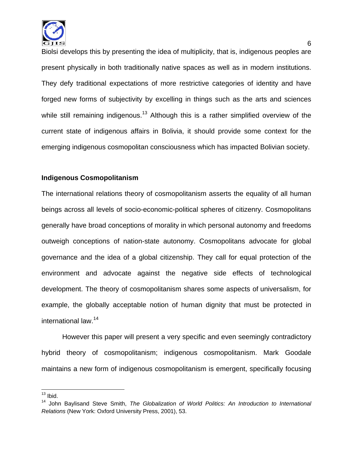

Biolsi develops this by presenting the idea of multiplicity, that is, indigenous peoples are present physically in both traditionally native spaces as well as in modern institutions. They defy traditional expectations of more restrictive categories of identity and have forged new forms of subjectivity by excelling in things such as the arts and sciences while still remaining indigenous.<sup>13</sup> Although this is a rather simplified overview of the current state of indigenous affairs in Bolivia, it should provide some context for the emerging indigenous cosmopolitan consciousness which has impacted Bolivian society.

## **Indigenous Cosmopolitanism**

The international relations theory of cosmopolitanism asserts the equality of all human beings across all levels of socio-economic-political spheres of citizenry. Cosmopolitans generally have broad conceptions of morality in which personal autonomy and freedoms outweigh conceptions of nation-state autonomy. Cosmopolitans advocate for global governance and the idea of a global citizenship. They call for equal protection of the environment and advocate against the negative side effects of technological development. The theory of cosmopolitanism shares some aspects of universalism, for example, the globally acceptable notion of human dignity that must be protected in international law.<sup>14</sup>

 However this paper will present a very specific and even seemingly contradictory hybrid theory of cosmopolitanism; indigenous cosmopolitanism. Mark Goodale maintains a new form of indigenous cosmopolitanism is emergent, specifically focusing

 $\overline{\phantom{a}}$  $13$  lbid.

<sup>14</sup> John Baylisand Steve Smith, *The Globalization of World Politics: An Introduction to International Relations* (New York: Oxford University Press, 2001), 53.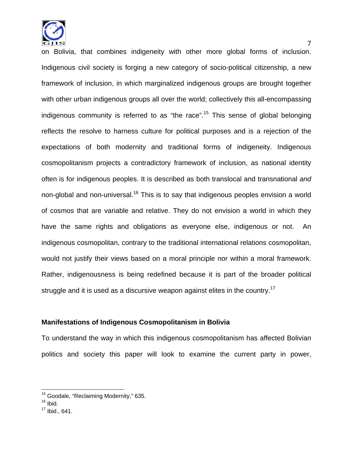

on Bolivia, that combines indigeneity with other more global forms of inclusion. Indigenous civil society is forging a new category of socio-political citizenship, a new framework of inclusion, in which marginalized indigenous groups are brought together with other urban indigenous groups all over the world; collectively this all-encompassing indigenous community is referred to as "the race".<sup>15</sup> This sense of global belonging reflects the resolve to harness culture for political purposes and is a rejection of the expectations of both modernity and traditional forms of indigeneity. Indigenous cosmopolitanism projects a contradictory framework of inclusion, as national identity often is for indigenous peoples. It is described as both translocal and transnational *and* non-global and non-universal.<sup>16</sup> This is to say that indigenous peoples envision a world of cosmos that are variable and relative. They do not envision a world in which they have the same rights and obligations as everyone else, indigenous or not. An indigenous cosmopolitan, contrary to the traditional international relations cosmopolitan, would not justify their views based on a moral principle nor within a moral framework. Rather, indigenousness is being redefined because it is part of the broader political struggle and it is used as a discursive weapon against elites in the country.<sup>17</sup>

## **Manifestations of Indigenous Cosmopolitanism in Bolivia**

To understand the way in which this indigenous cosmopolitanism has affected Bolivian politics and society this paper will look to examine the current party in power,

 $\overline{\phantom{a}}$ <sup>15</sup> Goodale, "Reclaiming Modernity," 635.

 $16$  Ibid.

 $17$  Ibid., 641.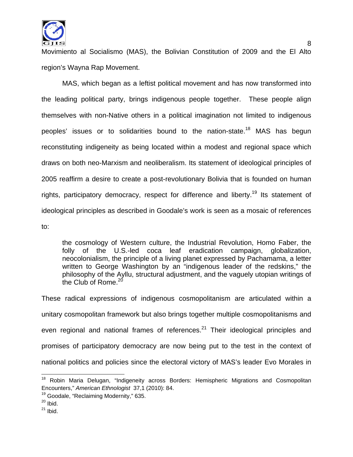

en de la construction de la construction de la construction de la construction de la construction de la constr Movimiento al Socialismo (MAS), the Bolivian Constitution of 2009 and the El Alto region's Wayna Rap Movement.

MAS, which began as a leftist political movement and has now transformed into the leading political party, brings indigenous people together. These people align themselves with non-Native others in a political imagination not limited to indigenous peoples' issues or to solidarities bound to the nation-state.<sup>18</sup> MAS has begun reconstituting indigeneity as being located within a modest and regional space which draws on both neo-Marxism and neoliberalism. Its statement of ideological principles of 2005 reaffirm a desire to create a post-revolutionary Bolivia that is founded on human rights, participatory democracy, respect for difference and liberty.<sup>19</sup> Its statement of ideological principles as described in Goodale's work is seen as a mosaic of references to:

the cosmology of Western culture, the Industrial Revolution, Homo Faber, the folly of the U.S.-led coca leaf eradication campaign, globalization, neocolonialism, the principle of a living planet expressed by Pachamama, a letter written to George Washington by an "indigenous leader of the redskins," the philosophy of the Ayllu, structural adjustment, and the vaguely utopian writings of the Club of Rome. $20$ 

These radical expressions of indigenous cosmopolitanism are articulated within a unitary cosmopolitan framework but also brings together multiple cosmopolitanisms and even regional and national frames of references. $2<sup>1</sup>$  Their ideological principles and promises of participatory democracy are now being put to the test in the context of national politics and policies since the electoral victory of MAS's leader Evo Morales in

 $\overline{\phantom{a}}$ <sup>18</sup> Robin Maria Delugan, "Indigeneity across Borders: Hemispheric Migrations and Cosmopolitan Encounters," *American Ethnologist* 37,1 (2010): 84.

<sup>&</sup>lt;sup>19</sup> Goodale, "Reclaiming Modernity," 635.

 $20$  Ibid.

 $21$  Ibid.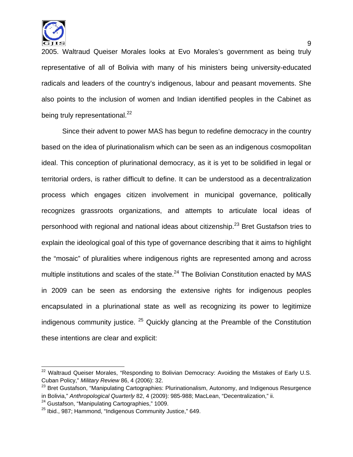

e de la construcción de la construcción de la construcción de la construcción de la construcción de la constru 2005. Waltraud Queiser Morales looks at Evo Morales's government as being truly representative of all of Bolivia with many of his ministers being university-educated radicals and leaders of the country's indigenous, labour and peasant movements. She also points to the inclusion of women and Indian identified peoples in the Cabinet as being truly representational.<sup>22</sup>

 Since their advent to power MAS has begun to redefine democracy in the country based on the idea of plurinationalism which can be seen as an indigenous cosmopolitan ideal. This conception of plurinational democracy, as it is yet to be solidified in legal or territorial orders, is rather difficult to define. It can be understood as a decentralization process which engages citizen involvement in municipal governance, politically recognizes grassroots organizations, and attempts to articulate local ideas of personhood with regional and national ideas about citizenship.<sup>23</sup> Bret Gustafson tries to explain the ideological goal of this type of governance describing that it aims to highlight the "mosaic" of pluralities where indigenous rights are represented among and across multiple institutions and scales of the state. $^{24}$  The Bolivian Constitution enacted by MAS in 2009 can be seen as endorsing the extensive rights for indigenous peoples encapsulated in a plurinational state as well as recognizing its power to legitimize indigenous community justice.  $25$  Quickly glancing at the Preamble of the Constitution these intentions are clear and explicit:

 $\overline{\phantom{a}}$  $22$  Waltraud Queiser Morales, "Responding to Bolivian Democracy: Avoiding the Mistakes of Early U.S. Cuban Policy," *Military Review* 86, 4 (2006): 32.

<sup>&</sup>lt;sup>23</sup> Bret Gustafson, "Manipulating Cartographies: Plurinationalism, Autonomy, and Indigenous Resurgence in Bolivia," *Anthropological Quarterly* 82, 4 (2009): 985-988; MacLean, "Decentralization," ii.

<sup>&</sup>lt;sup>24</sup> Gustafson, "Manipulating Cartographies," 1009.

<sup>25</sup> Ibid., 987; Hammond, "Indigenous Community Justice," 649.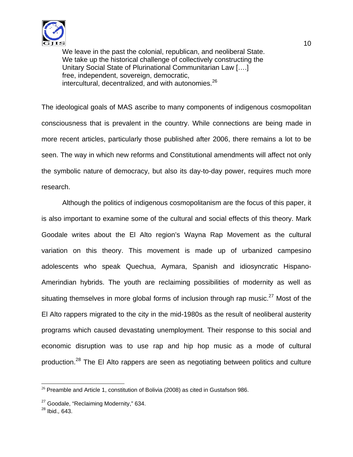

 10 We leave in the past the colonial, republican, and neoliberal State. We take up the historical challenge of collectively constructing the Unitary Social State of Plurinational Communitarian Law [….] free, independent, sovereign, democratic, intercultural, decentralized, and with autonomies.<sup>26</sup>

The ideological goals of MAS ascribe to many components of indigenous cosmopolitan consciousness that is prevalent in the country. While connections are being made in more recent articles, particularly those published after 2006, there remains a lot to be seen. The way in which new reforms and Constitutional amendments will affect not only the symbolic nature of democracy, but also its day-to-day power, requires much more research.

 Although the politics of indigenous cosmopolitanism are the focus of this paper, it is also important to examine some of the cultural and social effects of this theory. Mark Goodale writes about the El Alto region's Wayna Rap Movement as the cultural variation on this theory. This movement is made up of urbanized campesino adolescents who speak Quechua, Aymara, Spanish and idiosyncratic Hispano-Amerindian hybrids. The youth are reclaiming possibilities of modernity as well as situating themselves in more global forms of inclusion through rap music.<sup>27</sup> Most of the El Alto rappers migrated to the city in the mid-1980s as the result of neoliberal austerity programs which caused devastating unemployment. Their response to this social and economic disruption was to use rap and hip hop music as a mode of cultural production.28 The El Alto rappers are seen as negotiating between politics and culture

 $\overline{a}$  $26$  Preamble and Article 1, constitution of Bolivia (2008) as cited in Gustafson 986.

<sup>&</sup>lt;sup>27</sup> Goodale, "Reclaiming Modernity," 634.

<sup>28</sup> Ibid.*,* 643.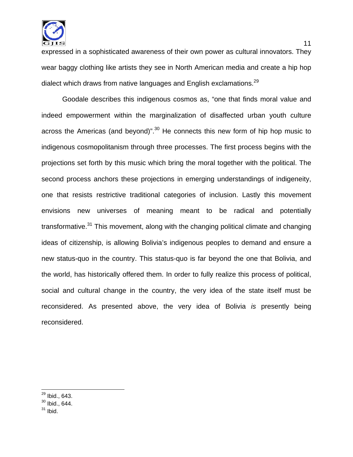

expressed in a sophisticated awareness of their own power as cultural innovators. They wear baggy clothing like artists they see in North American media and create a hip hop dialect which draws from native languages and English exclamations.<sup>29</sup>

Goodale describes this indigenous cosmos as, "one that finds moral value and indeed empowerment within the marginalization of disaffected urban youth culture across the Americas (and beyond)". $30$  He connects this new form of hip hop music to indigenous cosmopolitanism through three processes. The first process begins with the projections set forth by this music which bring the moral together with the political. The second process anchors these projections in emerging understandings of indigeneity, one that resists restrictive traditional categories of inclusion. Lastly this movement envisions new universes of meaning meant to be radical and potentially transformative.<sup>31</sup> This movement, along with the changing political climate and changing ideas of citizenship, is allowing Bolivia's indigenous peoples to demand and ensure a new status-quo in the country. This status-quo is far beyond the one that Bolivia, and the world, has historically offered them. In order to fully realize this process of political, social and cultural change in the country, the very idea of the state itself must be reconsidered. As presented above, the very idea of Bolivia *is* presently being reconsidered.

 $\overline{\phantom{a}}$ <sup>29</sup> Ibid., 643.

 $30$  Ibid., 644.

 $31$  Ibid.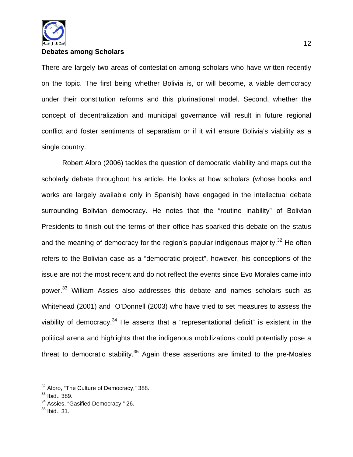

#### **Debates among Scholars**

There are largely two areas of contestation among scholars who have written recently on the topic. The first being whether Bolivia is, or will become, a viable democracy under their constitution reforms and this plurinational model. Second, whether the concept of decentralization and municipal governance will result in future regional conflict and foster sentiments of separatism or if it will ensure Bolivia's viability as a single country.

 Robert Albro (2006) tackles the question of democratic viability and maps out the scholarly debate throughout his article. He looks at how scholars (whose books and works are largely available only in Spanish) have engaged in the intellectual debate surrounding Bolivian democracy. He notes that the "routine inability" of Bolivian Presidents to finish out the terms of their office has sparked this debate on the status and the meaning of democracy for the region's popular indigenous majority. $32$  He often refers to the Bolivian case as a "democratic project", however, his conceptions of the issue are not the most recent and do not reflect the events since Evo Morales came into power.33 William Assies also addresses this debate and names scholars such as Whitehead (2001) and O'Donnell (2003) who have tried to set measures to assess the viability of democracy.<sup>34</sup> He asserts that a "representational deficit" is existent in the political arena and highlights that the indigenous mobilizations could potentially pose a threat to democratic stability. $35$  Again these assertions are limited to the pre-Moales

<sup>&</sup>lt;sup>32</sup> Albro, "The Culture of Democracy," 388.

<sup>33</sup> Ibid., 389.

<sup>&</sup>lt;sup>34</sup> Assies, "Gasified Democracy," 26.

 $35$  Ibid., 31.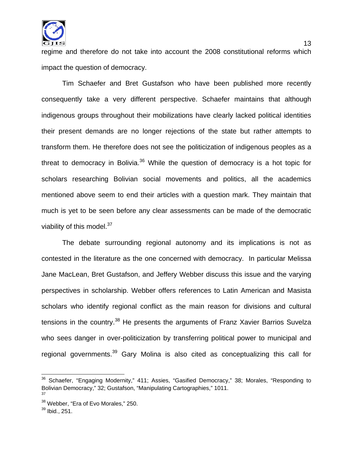

regime and therefore do not take into account the 2008 constitutional reforms which impact the question of democracy.

Tim Schaefer and Bret Gustafson who have been published more recently consequently take a very different perspective. Schaefer maintains that although indigenous groups throughout their mobilizations have clearly lacked political identities their present demands are no longer rejections of the state but rather attempts to transform them. He therefore does not see the politicization of indigenous peoples as a threat to democracy in Bolivia. $36$  While the question of democracy is a hot topic for scholars researching Bolivian social movements and politics, all the academics mentioned above seem to end their articles with a question mark. They maintain that much is yet to be seen before any clear assessments can be made of the democratic viability of this model. $37$ 

The debate surrounding regional autonomy and its implications is not as contested in the literature as the one concerned with democracy. In particular Melissa Jane MacLean, Bret Gustafson, and Jeffery Webber discuss this issue and the varying perspectives in scholarship. Webber offers references to Latin American and Masista scholars who identify regional conflict as the main reason for divisions and cultural tensions in the country.<sup>38</sup> He presents the arguments of Franz Xavier Barrios Suvelza who sees danger in over-politicization by transferring political power to municipal and regional governments.<sup>39</sup> Gary Molina is also cited as conceptualizing this call for

 $\overline{\phantom{a}}$ 

<sup>&</sup>lt;sup>36</sup> Schaefer, "Engaging Modernity," 411; Assies, "Gasified Democracy," 38; Morales, "Responding to Bolivian Democracy," 32; Gustafson, "Manipulating Cartographies," 1011. 37

<sup>&</sup>lt;sup>38</sup> Webber, "Era of Evo Morales," 250.

<sup>39</sup> Ibid., 251.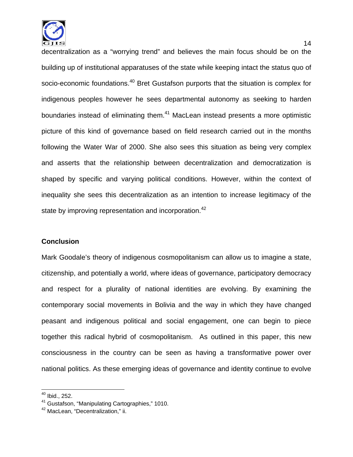

decentralization as a "worrying trend" and believes the main focus should be on the building up of institutional apparatuses of the state while keeping intact the status quo of socio-economic foundations.<sup>40</sup> Bret Gustafson purports that the situation is complex for indigenous peoples however he sees departmental autonomy as seeking to harden boundaries instead of eliminating them.<sup>41</sup> MacLean instead presents a more optimistic picture of this kind of governance based on field research carried out in the months following the Water War of 2000. She also sees this situation as being very complex and asserts that the relationship between decentralization and democratization is shaped by specific and varying political conditions. However, within the context of inequality she sees this decentralization as an intention to increase legitimacy of the state by improving representation and incorporation.<sup>42</sup>

### **Conclusion**

Mark Goodale's theory of indigenous cosmopolitanism can allow us to imagine a state, citizenship, and potentially a world, where ideas of governance, participatory democracy and respect for a plurality of national identities are evolving. By examining the contemporary social movements in Bolivia and the way in which they have changed peasant and indigenous political and social engagement, one can begin to piece together this radical hybrid of cosmopolitanism. As outlined in this paper, this new consciousness in the country can be seen as having a transformative power over national politics. As these emerging ideas of governance and identity continue to evolve

 $\overline{\phantom{a}}$  $40$  Ibid., 252.

<sup>&</sup>lt;sup>41</sup> Gustafson, "Manipulating Cartographies," 1010.

<sup>&</sup>lt;sup>42</sup> MacLean, "Decentralization," ii.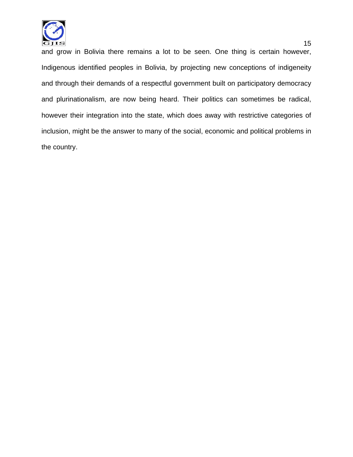

 $15$ and grow in Bolivia there remains a lot to be seen. One thing is certain however, Indigenous identified peoples in Bolivia, by projecting new conceptions of indigeneity and through their demands of a respectful government built on participatory democracy and plurinationalism, are now being heard. Their politics can sometimes be radical, however their integration into the state, which does away with restrictive categories of inclusion, might be the answer to many of the social, economic and political problems in the country.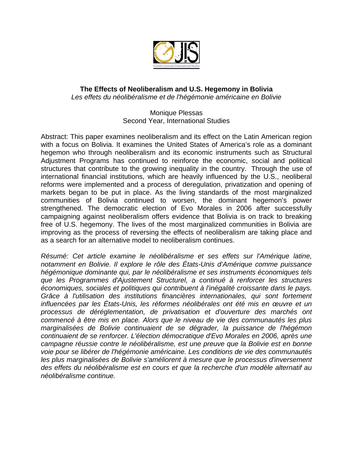

# **The Effects of Neoliberalism and U.S. Hegemony in Bolivia**  *Les effets du néolibéralisme et de l'hégémonie américaine en Bolivie*

## Monique Plessas Second Year, International Studies

Abstract: This paper examines neoliberalism and its effect on the Latin American region with a focus on Bolivia. It examines the United States of America's role as a dominant hegemon who through neoliberalism and its economic instruments such as Structural Adjustment Programs has continued to reinforce the economic, social and political structures that contribute to the growing inequality in the country. Through the use of international financial institutions, which are heavily influenced by the U.S., neoliberal reforms were implemented and a process of deregulation, privatization and opening of markets began to be put in place. As the living standards of the most marginalized communities of Bolivia continued to worsen, the dominant hegemon's power strengthened. The democratic election of Evo Morales in 2006 after successfully campaigning against neoliberalism offers evidence that Bolivia is on track to breaking free of U.S. hegemony. The lives of the most marginalized communities in Bolivia are improving as the process of reversing the effects of neoliberalism are taking place and as a search for an alternative model to neoliberalism continues.

*Résumé: Cet article examine le néolibéralisme et ses effets sur l'Amérique latine, notamment en Bolivie. Il explore le rôle des États-Unis d'Amérique comme puissance hégémonique dominante qui, par le néolibéralisme et ses instruments économiques tels que les Programmes d'Ajustement Structurel, a continué à renforcer les structures économiques, sociales et politiques qui contribuent à l'inégalité croissante dans le pays. Grâce à l'utilisation des institutions financières internationales, qui sont fortement influencées par les États-Unis, les réformes néolibérales ont été mis en œuvre et un processus de déréglementation, de privatisation et d'ouverture des marchés ont commencé à être mis en place. Alors que le niveau de vie des communautés les plus marginalisées de Bolivie continuaient de se dégrader, la puissance de l'hégémon continuaient de se renforcer. L'élection démocratique d'Evo Morales en 2006, après une campagne réussie contre le néolibéralisme, est une preuve que la Bolivie est en bonne voie pour se libérer de l'hégémonie américaine. Les conditions de vie des communautés*  les plus marginalisées de Bolivie s'améliorent à mesure que le processus d'inversement *des effets du néolibéralisme est en cours et que la recherche d'un modèle alternatif au néolibéralisme continue.*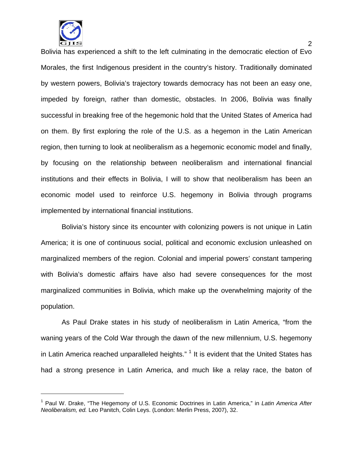

 $\overline{a}$ 

Bolivia has experienced a shift to the left culminating in the democratic election of Evo Morales, the first Indigenous president in the country's history. Traditionally dominated by western powers, Bolivia's trajectory towards democracy has not been an easy one, impeded by foreign, rather than domestic, obstacles. In 2006, Bolivia was finally successful in breaking free of the hegemonic hold that the United States of America had on them. By first exploring the role of the U.S. as a hegemon in the Latin American region, then turning to look at neoliberalism as a hegemonic economic model and finally, by focusing on the relationship between neoliberalism and international financial institutions and their effects in Bolivia, I will to show that neoliberalism has been an economic model used to reinforce U.S. hegemony in Bolivia through programs implemented by international financial institutions.

 Bolivia's history since its encounter with colonizing powers is not unique in Latin America; it is one of continuous social, political and economic exclusion unleashed on marginalized members of the region. Colonial and imperial powers' constant tampering with Bolivia's domestic affairs have also had severe consequences for the most marginalized communities in Bolivia, which make up the overwhelming majority of the population.

 As Paul Drake states in his study of neoliberalism in Latin America, "from the waning years of the Cold War through the dawn of the new millennium, U.S. hegemony in Latin America reached unparalleled heights." <sup>1</sup> It is evident that the United States has had a strong presence in Latin America, and much like a relay race, the baton of

<sup>1</sup> Paul W. Drake, "The Hegemony of U.S. Economic Doctrines in Latin America," in *Latin America After Neoliberalism, ed.* Leo Panitch, Colin Leys. (London: Merlin Press, 2007), 32.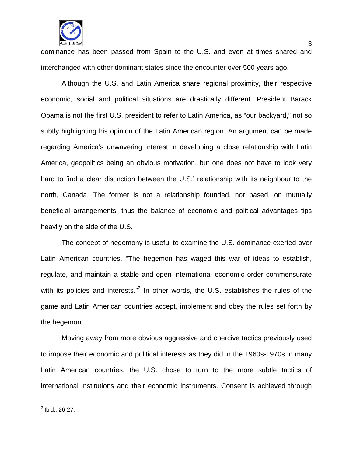

dominance has been passed from Spain to the U.S. and even at times shared and interchanged with other dominant states since the encounter over 500 years ago.

 Although the U.S. and Latin America share regional proximity, their respective economic, social and political situations are drastically different. President Barack Obama is not the first U.S. president to refer to Latin America, as "our backyard," not so subtly highlighting his opinion of the Latin American region. An argument can be made regarding America's unwavering interest in developing a close relationship with Latin America, geopolitics being an obvious motivation, but one does not have to look very hard to find a clear distinction between the U.S.' relationship with its neighbour to the north, Canada. The former is not a relationship founded, nor based, on mutually beneficial arrangements, thus the balance of economic and political advantages tips heavily on the side of the U.S.

 The concept of hegemony is useful to examine the U.S. dominance exerted over Latin American countries. "The hegemon has waged this war of ideas to establish, regulate, and maintain a stable and open international economic order commensurate with its policies and interests."<sup>2</sup> In other words, the U.S. establishes the rules of the game and Latin American countries accept, implement and obey the rules set forth by the hegemon.

 Moving away from more obvious aggressive and coercive tactics previously used to impose their economic and political interests as they did in the 1960s-1970s in many Latin American countries, the U.S. chose to turn to the more subtle tactics of international institutions and their economic instruments. Consent is achieved through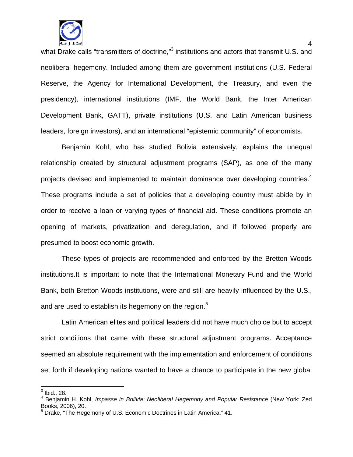

what Drake calls "transmitters of doctrine,"<sup>3</sup> institutions and actors that transmit U.S. and neoliberal hegemony. Included among them are government institutions (U.S. Federal Reserve, the Agency for International Development, the Treasury, and even the presidency), international institutions (IMF, the World Bank, the Inter American Development Bank, GATT), private institutions (U.S. and Latin American business leaders, foreign investors), and an international "epistemic community" of economists.

 Benjamin Kohl, who has studied Bolivia extensively, explains the unequal relationship created by structural adjustment programs (SAP), as one of the many projects devised and implemented to maintain dominance over developing countries.<sup>4</sup> These programs include a set of policies that a developing country must abide by in order to receive a loan or varying types of financial aid. These conditions promote an opening of markets, privatization and deregulation, and if followed properly are presumed to boost economic growth.

 These types of projects are recommended and enforced by the Bretton Woods institutions.It is important to note that the International Monetary Fund and the World Bank, both Bretton Woods institutions, were and still are heavily influenced by the U.S., and are used to establish its hegemony on the region.<sup>5</sup>

 Latin American elites and political leaders did not have much choice but to accept strict conditions that came with these structural adjustment programs. Acceptance seemed an absolute requirement with the implementation and enforcement of conditions set forth if developing nations wanted to have a chance to participate in the new global

 $\overline{\phantom{a}}$  $\frac{3}{1}$  Ibid., 28.

<sup>4</sup> Benjamin H. Kohl, *Impasse in Bolivia: Neoliberal Hegemony and Popular Resistance* (New York: Zed Books, 2006), 20.

<sup>&</sup>lt;sup>5</sup> Drake, "The Hegemony of U.S. Economic Doctrines in Latin America," 41.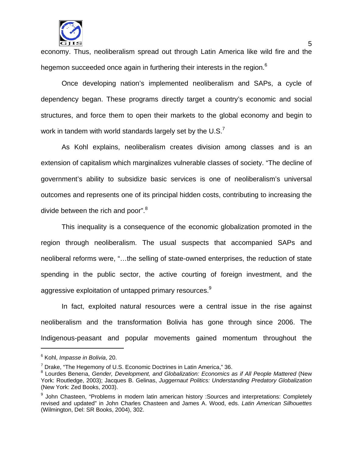

 $\sim$  5  $\sim$  5  $\sim$  5  $\sim$  5  $\sim$  5  $\sim$  5  $\sim$  5  $\sim$  5  $\sim$  5  $\sim$  5  $\sim$  5  $\sim$  5  $\sim$  5  $\sim$  5  $\sim$  5  $\sim$  5  $\sim$  5  $\sim$  5  $\sim$  5  $\sim$  5  $\sim$  5  $\sim$  5  $\sim$  5  $\sim$  5  $\sim$  5  $\sim$  5  $\sim$  5  $\sim$  5  $\sim$  5  $\sim$  5  $\sim$  5  $\sim$ economy. Thus, neoliberalism spread out through Latin America like wild fire and the hegemon succeeded once again in furthering their interests in the region. $6$ 

 Once developing nation's implemented neoliberalism and SAPs, a cycle of dependency began. These programs directly target a country's economic and social structures, and force them to open their markets to the global economy and begin to work in tandem with world standards largely set by the  $U.S.^7$ 

 As Kohl explains, neoliberalism creates division among classes and is an extension of capitalism which marginalizes vulnerable classes of society. "The decline of government's ability to subsidize basic services is one of neoliberalism's universal outcomes and represents one of its principal hidden costs, contributing to increasing the divide between the rich and poor".<sup>8</sup>

 This inequality is a consequence of the economic globalization promoted in the region through neoliberalism. The usual suspects that accompanied SAPs and neoliberal reforms were, "…the selling of state-owned enterprises, the reduction of state spending in the public sector, the active courting of foreign investment, and the aggressive exploitation of untapped primary resources.<sup>9</sup>

 In fact, exploited natural resources were a central issue in the rise against neoliberalism and the transformation Bolivia has gone through since 2006. The Indigenous-peasant and popular movements gained momentum throughout the

<sup>6</sup> Kohl, *Impasse in Bolivia*, 20.

 $^7$  Drake, "The Hegemony of U.S. Economic Doctrines in Latin America," 36.

<sup>8</sup> Lourdes Benerıa, *Gender, Development, and Globalization: Economics as if All People Mattered* (New York: Routledge, 2003); Jacques B. Gelinas, *Juggernaut Politics: Understanding Predatory Globalization* (New York: Zed Books, 2003).

<sup>&</sup>lt;sup>9</sup> John Chasteen, "Problems in modern latin american history :Sources and interpretations: Completely revised and updated" in John Charles Chasteen and James A. Wood, eds. *Latin American Silhouettes* (Wilmington, Del: SR Books, 2004), 302.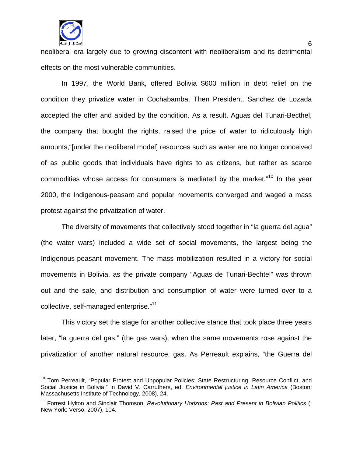

 $\overline{\phantom{a}}$ 

neoliberal era largely due to growing discontent with neoliberalism and its detrimental effects on the most vulnerable communities.

 In 1997, the World Bank, offered Bolivia \$600 million in debt relief on the condition they privatize water in Cochabamba. Then President, Sanchez de Lozada accepted the offer and abided by the condition. As a result, Aguas del Tunari-Becthel, the company that bought the rights, raised the price of water to ridiculously high amounts,"[under the neoliberal model] resources such as water are no longer conceived of as public goods that individuals have rights to as citizens, but rather as scarce commodities whose access for consumers is mediated by the market."<sup>10</sup> In the year 2000, the Indigenous-peasant and popular movements converged and waged a mass protest against the privatization of water.

 The diversity of movements that collectively stood together in "la guerra del agua" (the water wars) included a wide set of social movements, the largest being the Indigenous-peasant movement. The mass mobilization resulted in a victory for social movements in Bolivia, as the private company "Aguas de Tunari-Bechtel" was thrown out and the sale, and distribution and consumption of water were turned over to a collective, self-managed enterprise."11

 This victory set the stage for another collective stance that took place three years later, "la guerra del gas," (the gas wars), when the same movements rose against the privatization of another natural resource, gas. As Perreault explains, "the Guerra del

<sup>&</sup>lt;sup>10</sup> Tom Perreault, "Popular Protest and Unpopular Policies: State Restructuring, Resource Conflict, and Social Justice in Bolivia," in David V. Carruthers, ed. *Environmental justice in Latin America* (Boston: Massachusetts Institute of Technology, 2008), 24.

<sup>&</sup>lt;sup>11</sup> Forrest Hylton and Sinclair Thomson, *Revolutionary Horizons: Past and Present in Bolivian Politics* (; New York: Verso, 2007), 104.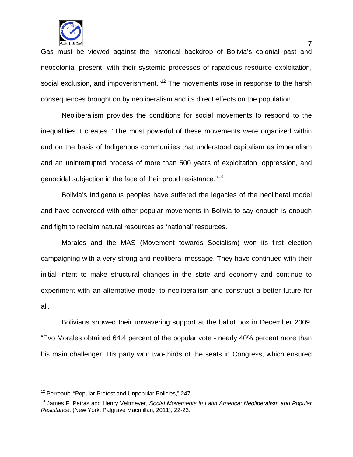

 7 Gas must be viewed against the historical backdrop of Bolivia's colonial past and neocolonial present, with their systemic processes of rapacious resource exploitation, social exclusion, and impoverishment."<sup>12</sup> The movements rose in response to the harsh consequences brought on by neoliberalism and its direct effects on the population.

 Neoliberalism provides the conditions for social movements to respond to the inequalities it creates. "The most powerful of these movements were organized within and on the basis of Indigenous communities that understood capitalism as imperialism and an uninterrupted process of more than 500 years of exploitation, oppression, and genocidal subjection in the face of their proud resistance."13

Bolivia's Indigenous peoples have suffered the legacies of the neoliberal model and have converged with other popular movements in Bolivia to say enough is enough and fight to reclaim natural resources as 'national' resources.

 Morales and the MAS (Movement towards Socialism) won its first election campaigning with a very strong anti-neoliberal message. They have continued with their initial intent to make structural changes in the state and economy and continue to experiment with an alternative model to neoliberalism and construct a better future for all.

 Bolivians showed their unwavering support at the ballot box in December 2009, "Evo Morales obtained 64.4 percent of the popular vote - nearly 40% percent more than his main challenger. His party won two-thirds of the seats in Congress, which ensured

 $\overline{\phantom{a}}$ <sup>12</sup> Perreault, "Popular Protest and Unpopular Policies," 247.

<sup>13</sup> James F. Petras and Henry Veltmeyer, *Social Movements in Latin America: Neoliberalism and Popular Resistance*. (New York: Palgrave Macmillan, 2011), 22-23.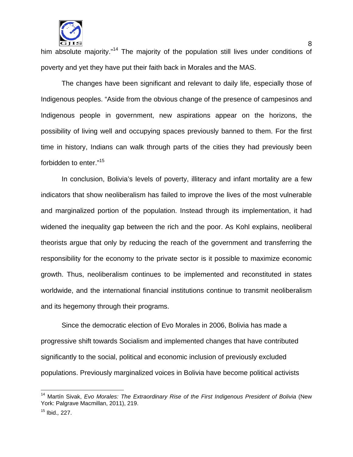

experience of the contract of the contract of the contract of the contract of the contract of the contract of the contract of the contract of the contract of the contract of the contract of the contract of the contract of him absolute majority."<sup>14</sup> The majority of the population still lives under conditions of poverty and yet they have put their faith back in Morales and the MAS.

 The changes have been significant and relevant to daily life, especially those of Indigenous peoples. "Aside from the obvious change of the presence of campesinos and Indigenous people in government, new aspirations appear on the horizons, the possibility of living well and occupying spaces previously banned to them. For the first time in history, Indians can walk through parts of the cities they had previously been forbidden to enter."15

 In conclusion, Bolivia's levels of poverty, illiteracy and infant mortality are a few indicators that show neoliberalism has failed to improve the lives of the most vulnerable and marginalized portion of the population. Instead through its implementation, it had widened the inequality gap between the rich and the poor. As Kohl explains, neoliberal theorists argue that only by reducing the reach of the government and transferring the responsibility for the economy to the private sector is it possible to maximize economic growth. Thus, neoliberalism continues to be implemented and reconstituted in states worldwide, and the international financial institutions continue to transmit neoliberalism and its hegemony through their programs.

 Since the democratic election of Evo Morales in 2006, Bolivia has made a progressive shift towards Socialism and implemented changes that have contributed significantly to the social, political and economic inclusion of previously excluded populations. Previously marginalized voices in Bolivia have become political activists

 $\overline{\phantom{a}}$ 

<sup>&</sup>lt;sup>14</sup> Martín Sivak, *Evo Morales: The Extraordinary Rise of the First Indigenous President of Bolivia (New* York: Palgrave Macmillan, 2011), 219.

<sup>15</sup> Ibid.*,* 227.